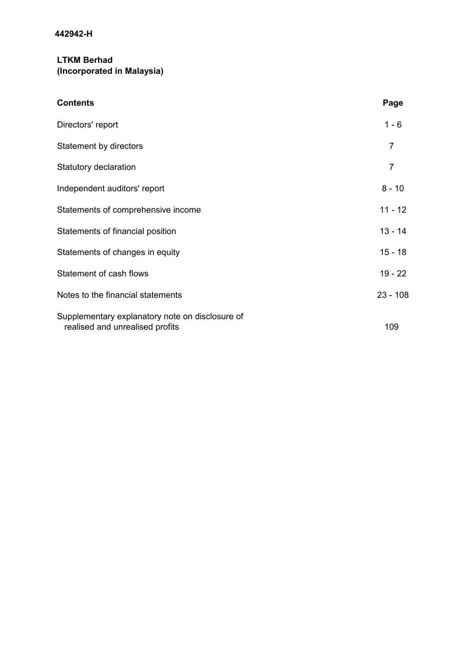# **LTKM Berhad (Incorporated in Malaysia)**

| <b>Contents</b>                                                                    | Page           |
|------------------------------------------------------------------------------------|----------------|
| Directors' report                                                                  | $1 - 6$        |
| Statement by directors                                                             | $\overline{7}$ |
| Statutory declaration                                                              | 7              |
| Independent auditors' report                                                       | $8 - 10$       |
| Statements of comprehensive income                                                 | $11 - 12$      |
| Statements of financial position                                                   | $13 - 14$      |
| Statements of changes in equity                                                    | $15 - 18$      |
| Statement of cash flows                                                            | $19 - 22$      |
| Notes to the financial statements                                                  | $23 - 108$     |
| Supplementary explanatory note on disclosure of<br>realised and unrealised profits | 109            |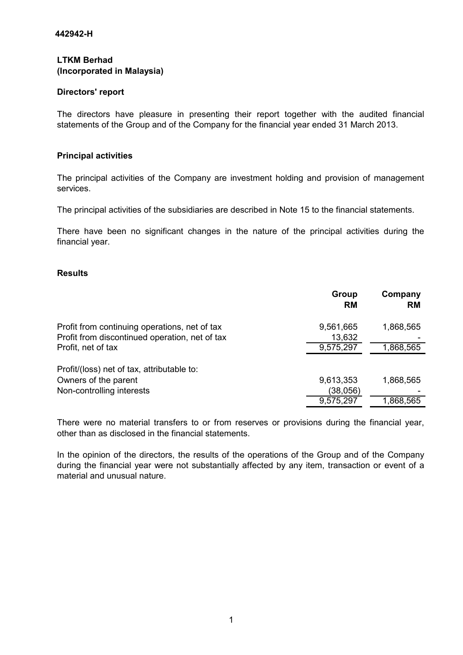#### **Directors' report**

The directors have pleasure in presenting their report together with the audited financial statements of the Group and of the Company for the financial year ended 31 March 2013.

#### **Principal activities**

The principal activities of the Company are investment holding and provision of management services.

The principal activities of the subsidiaries are described in Note 15 to the financial statements.

There have been no significant changes in the nature of the principal activities during the financial year.

#### **Results**

|                                                | Group<br><b>RM</b> | Company<br>RM |
|------------------------------------------------|--------------------|---------------|
| Profit from continuing operations, net of tax  | 9,561,665          | 1,868,565     |
| Profit from discontinued operation, net of tax | 13,632             |               |
| Profit, net of tax                             | 9,575,297          | 1,868,565     |
| Profit/(loss) net of tax, attributable to:     |                    |               |
| Owners of the parent                           | 9,613,353          | 1,868,565     |
| Non-controlling interests                      | (38, 056)          |               |
|                                                | 9,575,297          | 1,868,565     |

There were no material transfers to or from reserves or provisions during the financial year, other than as disclosed in the financial statements.

In the opinion of the directors, the results of the operations of the Group and of the Company during the financial year were not substantially affected by any item, transaction or event of a material and unusual nature.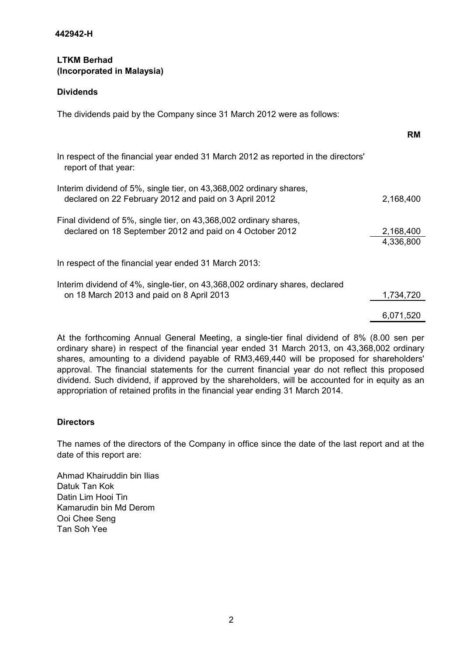#### **Dividends**

The dividends paid by the Company since 31 March 2012 were as follows:

|                                                                                                                               | <b>RM</b>              |
|-------------------------------------------------------------------------------------------------------------------------------|------------------------|
| In respect of the financial year ended 31 March 2012 as reported in the directors'<br>report of that year:                    |                        |
| Interim dividend of 5%, single tier, on 43,368,002 ordinary shares,<br>declared on 22 February 2012 and paid on 3 April 2012  | 2,168,400              |
| Final dividend of 5%, single tier, on 43,368,002 ordinary shares,<br>declared on 18 September 2012 and paid on 4 October 2012 | 2,168,400<br>4,336,800 |
| In respect of the financial year ended 31 March 2013:                                                                         |                        |
| Interim dividend of 4%, single-tier, on 43,368,002 ordinary shares, declared<br>on 18 March 2013 and paid on 8 April 2013     | 1,734,720              |
|                                                                                                                               | 6,071,520              |
|                                                                                                                               |                        |

At the forthcoming Annual General Meeting, a single-tier final dividend of 8% (8.00 sen per ordinary share) in respect of the financial year ended 31 March 2013, on 43,368,002 ordinary shares, amounting to a dividend payable of RM3,469,440 will be proposed for shareholders' approval. The financial statements for the current financial year do not reflect this proposed dividend. Such dividend, if approved by the shareholders, will be accounted for in equity as an appropriation of retained profits in the financial year ending 31 March 2014.

# **Directors**

The names of the directors of the Company in office since the date of the last report and at the date of this report are:

Ahmad Khairuddin bin Ilias Datuk Tan Kok Datin Lim Hooi Tin Kamarudin bin Md Derom Ooi Chee Seng Tan Soh Yee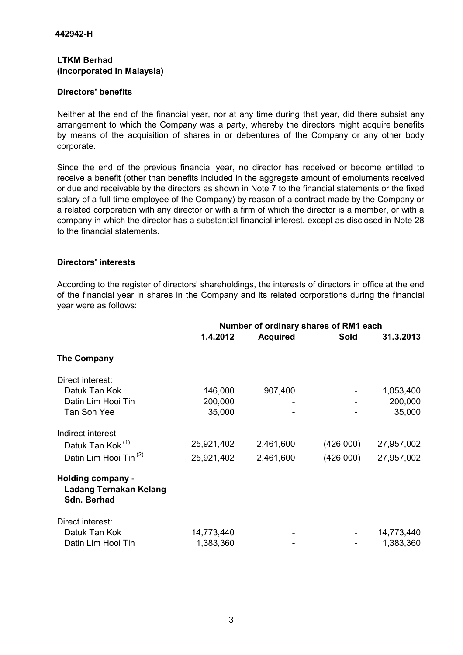#### **Directors' benefits**

Neither at the end of the financial year, nor at any time during that year, did there subsist any arrangement to which the Company was a party, whereby the directors might acquire benefits by means of the acquisition of shares in or debentures of the Company or any other body corporate.

Since the end of the previous financial year, no director has received or become entitled to receive a benefit (other than benefits included in the aggregate amount of emoluments received or due and receivable by the directors as shown in Note 7 to the financial statements or the fixed salary of a full-time employee of the Company) by reason of a contract made by the Company or a related corporation with any director or with a firm of which the director is a member, or with a company in which the director has a substantial financial interest, except as disclosed in Note 28 to the financial statements.

## **Directors' interests**

According to the register of directors' shareholdings, the interests of directors in office at the end of the financial year in shares in the Company and its related corporations during the financial year were as follows:

|                                                                          | Number of ordinary shares of RM1 each |                 |           |            |  |  |  |
|--------------------------------------------------------------------------|---------------------------------------|-----------------|-----------|------------|--|--|--|
|                                                                          | 1.4.2012                              | <b>Acquired</b> | Sold      | 31.3.2013  |  |  |  |
| The Company                                                              |                                       |                 |           |            |  |  |  |
| Direct interest:                                                         |                                       |                 |           |            |  |  |  |
| Datuk Tan Kok                                                            | 146,000                               | 907,400         |           | 1,053,400  |  |  |  |
| Datin Lim Hooi Tin                                                       | 200,000                               |                 |           | 200,000    |  |  |  |
| Tan Soh Yee                                                              | 35,000                                |                 |           | 35,000     |  |  |  |
| Indirect interest:                                                       |                                       |                 |           |            |  |  |  |
| Datuk Tan Kok <sup>(1)</sup>                                             | 25,921,402                            | 2,461,600       | (426,000) | 27,957,002 |  |  |  |
| Datin Lim Hooi Tin <sup>(2)</sup>                                        | 25,921,402                            | 2,461,600       | (426,000) | 27,957,002 |  |  |  |
| <b>Holding company -</b><br><b>Ladang Ternakan Kelang</b><br>Sdn. Berhad |                                       |                 |           |            |  |  |  |
| Direct interest:                                                         |                                       |                 |           |            |  |  |  |
| Datuk Tan Kok                                                            | 14,773,440                            |                 |           | 14,773,440 |  |  |  |
| Datin Lim Hooi Tin                                                       | 1,383,360                             |                 |           | 1,383,360  |  |  |  |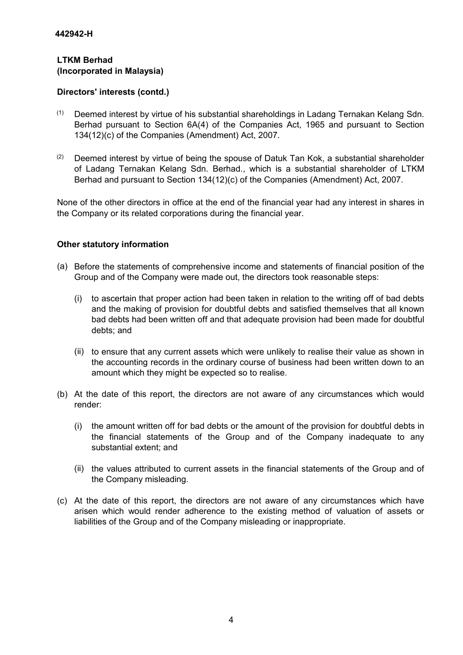## **Directors' interests (contd.)**

- (1) Deemed interest by virtue of his substantial shareholdings in Ladang Ternakan Kelang Sdn. Berhad pursuant to Section 6A(4) of the Companies Act, 1965 and pursuant to Section 134(12)(c) of the Companies (Amendment) Act, 2007.
- (2) Deemed interest by virtue of being the spouse of Datuk Tan Kok, a substantial shareholder of Ladang Ternakan Kelang Sdn. Berhad., which is a substantial shareholder of LTKM Berhad and pursuant to Section 134(12)(c) of the Companies (Amendment) Act, 2007.

None of the other directors in office at the end of the financial year had any interest in shares in the Company or its related corporations during the financial year.

## **Other statutory information**

- (a) Before the statements of comprehensive income and statements of financial position of the Group and of the Company were made out, the directors took reasonable steps:
	- (i) to ascertain that proper action had been taken in relation to the writing off of bad debts and the making of provision for doubtful debts and satisfied themselves that all known bad debts had been written off and that adequate provision had been made for doubtful debts; and
	- (ii) to ensure that any current assets which were unlikely to realise their value as shown in the accounting records in the ordinary course of business had been written down to an amount which they might be expected so to realise.
- (b) At the date of this report, the directors are not aware of any circumstances which would render:
	- (i) the amount written off for bad debts or the amount of the provision for doubtful debts in the financial statements of the Group and of the Company inadequate to any substantial extent; and
	- (ii) the values attributed to current assets in the financial statements of the Group and of the Company misleading.
- (c) At the date of this report, the directors are not aware of any circumstances which have arisen which would render adherence to the existing method of valuation of assets or liabilities of the Group and of the Company misleading or inappropriate.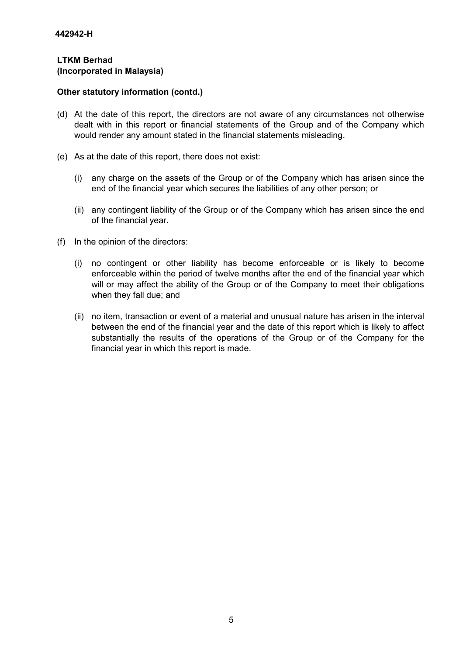#### **Other statutory information (contd.)**

- (d) At the date of this report, the directors are not aware of any circumstances not otherwise dealt with in this report or financial statements of the Group and of the Company which would render any amount stated in the financial statements misleading.
- (e) As at the date of this report, there does not exist:
	- (i) any charge on the assets of the Group or of the Company which has arisen since the end of the financial year which secures the liabilities of any other person; or
	- (ii) any contingent liability of the Group or of the Company which has arisen since the end of the financial year.
- (f) In the opinion of the directors:
	- (i) no contingent or other liability has become enforceable or is likely to become enforceable within the period of twelve months after the end of the financial year which will or may affect the ability of the Group or of the Company to meet their obligations when they fall due; and
	- (ii) no item, transaction or event of a material and unusual nature has arisen in the interval between the end of the financial year and the date of this report which is likely to affect substantially the results of the operations of the Group or of the Company for the financial year in which this report is made.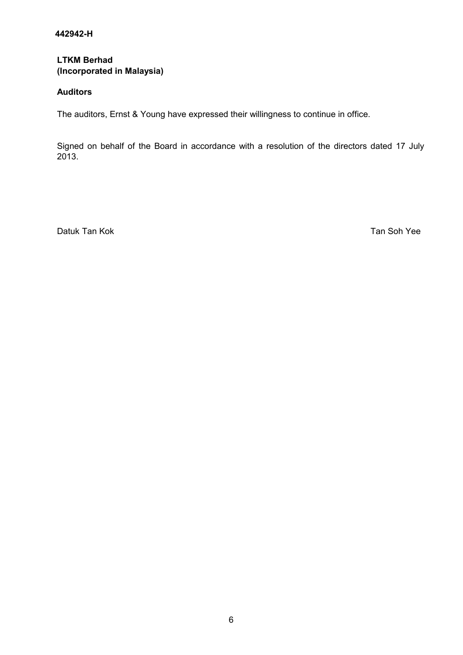## **Auditors**

The auditors, Ernst & Young have expressed their willingness to continue in office.

Signed on behalf of the Board in accordance with a resolution of the directors dated 17 July 2013.

Datuk Tan Kok Tan Soh Yee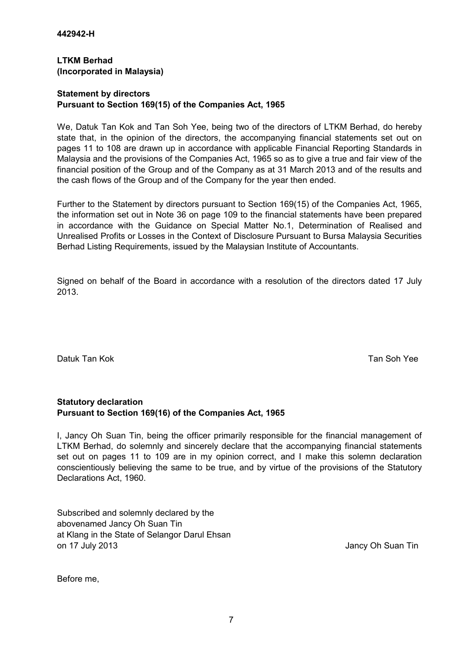#### **Statement by directors Pursuant to Section 169(15) of the Companies Act, 1965**

We, Datuk Tan Kok and Tan Soh Yee, being two of the directors of LTKM Berhad, do hereby state that, in the opinion of the directors, the accompanying financial statements set out on pages 11 to 108 are drawn up in accordance with applicable Financial Reporting Standards in Malaysia and the provisions of the Companies Act, 1965 so as to give a true and fair view of the financial position of the Group and of the Company as at 31 March 2013 and of the results and the cash flows of the Group and of the Company for the year then ended.

Further to the Statement by directors pursuant to Section 169(15) of the Companies Act, 1965, the information set out in Note 36 on page 109 to the financial statements have been prepared in accordance with the Guidance on Special Matter No.1, Determination of Realised and Unrealised Profits or Losses in the Context of Disclosure Pursuant to Bursa Malaysia Securities Berhad Listing Requirements, issued by the Malaysian Institute of Accountants.

Signed on behalf of the Board in accordance with a resolution of the directors dated 17 July 2013.

Datuk Tan Kok Tan Soh Yee

## **Statutory declaration Pursuant to Section 169(16) of the Companies Act, 1965**

I, Jancy Oh Suan Tin, being the officer primarily responsible for the financial management of LTKM Berhad, do solemnly and sincerely declare that the accompanying financial statements set out on pages 11 to 109 are in my opinion correct, and I make this solemn declaration conscientiously believing the same to be true, and by virtue of the provisions of the Statutory Declarations Act, 1960.

Subscribed and solemnly declared by the abovenamed Jancy Oh Suan Tin at Klang in the State of Selangor Darul Ehsan on 17 July 2013 **Jancy Oh Suan Tin** 

Before me,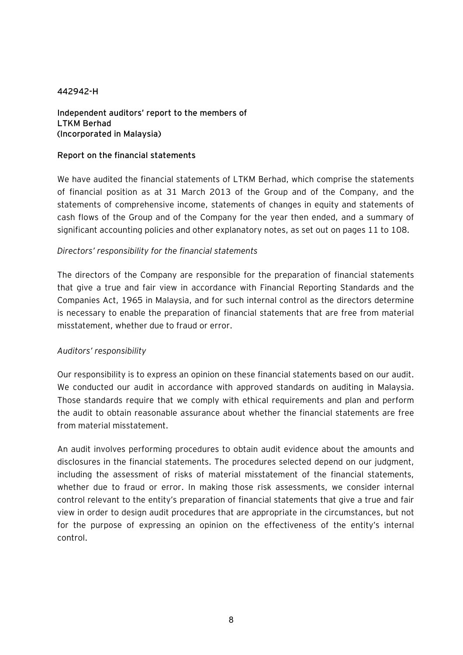# **Independent auditors' report to the members of LTKM Berhad (Incorporated in Malaysia)**

# **Report on the financial statements**

We have audited the financial statements of LTKM Berhad, which comprise the statements of financial position as at 31 March 2013 of the Group and of the Company, and the statements of comprehensive income, statements of changes in equity and statements of cash flows of the Group and of the Company for the year then ended, and a summary of significant accounting policies and other explanatory notes, as set out on pages 11 to 108.

## *Directors' responsibility for the financial statements*

The directors of the Company are responsible for the preparation of financial statements that give a true and fair view in accordance with Financial Reporting Standards and the Companies Act, 1965 in Malaysia, and for such internal control as the directors determine is necessary to enable the preparation of financial statements that are free from material misstatement, whether due to fraud or error.

# *Auditors' responsibility*

Our responsibility is to express an opinion on these financial statements based on our audit. We conducted our audit in accordance with approved standards on auditing in Malaysia. Those standards require that we comply with ethical requirements and plan and perform the audit to obtain reasonable assurance about whether the financial statements are free from material misstatement.

An audit involves performing procedures to obtain audit evidence about the amounts and disclosures in the financial statements. The procedures selected depend on our judgment, including the assessment of risks of material misstatement of the financial statements, whether due to fraud or error. In making those risk assessments, we consider internal control relevant to the entity's preparation of financial statements that give a true and fair view in order to design audit procedures that are appropriate in the circumstances, but not for the purpose of expressing an opinion on the effectiveness of the entity's internal control.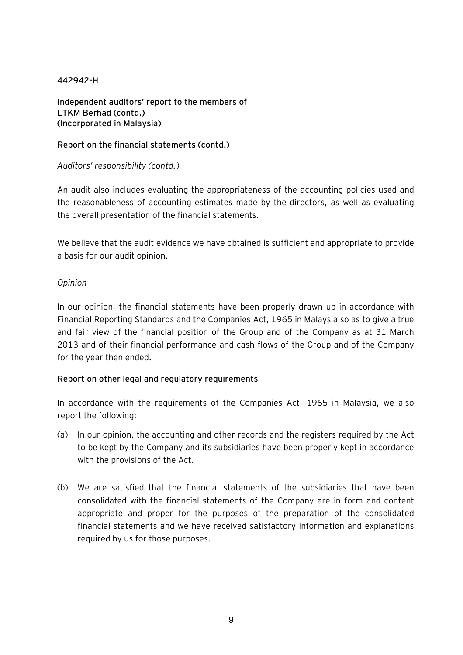**Independent auditors' report to the members of LTKM Berhad (contd.) (Incorporated in Malaysia)**

# **Report on the financial statements (contd.)**

*Auditors' responsibility (contd.)*

An audit also includes evaluating the appropriateness of the accounting policies used and the reasonableness of accounting estimates made by the directors, as well as evaluating the overall presentation of the financial statements.

We believe that the audit evidence we have obtained is sufficient and appropriate to provide a basis for our audit opinion.

## *Opinion*

In our opinion, the financial statements have been properly drawn up in accordance with Financial Reporting Standards and the Companies Act, 1965 in Malaysia so as to give a true and fair view of the financial position of the Group and of the Company as at 31 March 2013 and of their financial performance and cash flows of the Group and of the Company for the year then ended.

# **Report on other legal and regulatory requirements**

In accordance with the requirements of the Companies Act, 1965 in Malaysia, we also report the following:

- (a) In our opinion, the accounting and other records and the registers required by the Act to be kept by the Company and its subsidiaries have been properly kept in accordance with the provisions of the Act.
- (b) We are satisfied that the financial statements of the subsidiaries that have been consolidated with the financial statements of the Company are in form and content appropriate and proper for the purposes of the preparation of the consolidated financial statements and we have received satisfactory information and explanations required by us for those purposes.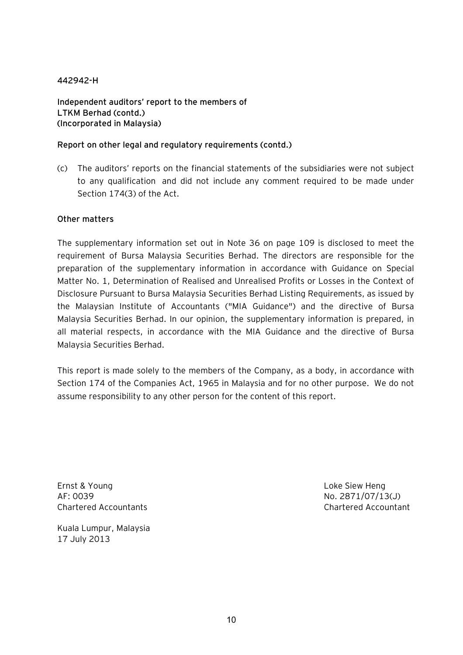**Independent auditors' report to the members of LTKM Berhad (contd.) (Incorporated in Malaysia)**

# **Report on other legal and regulatory requirements (contd.)**

(c) The auditors' reports on the financial statements of the subsidiaries were not subject to any qualification and did not include any comment required to be made under Section 174(3) of the Act.

## **Other matters**

The supplementary information set out in Note 36 on page 109 is disclosed to meet the requirement of Bursa Malaysia Securities Berhad. The directors are responsible for the preparation of the supplementary information in accordance with Guidance on Special Matter No. 1, Determination of Realised and Unrealised Profits or Losses in the Context of Disclosure Pursuant to Bursa Malaysia Securities Berhad Listing Requirements, as issued by the Malaysian Institute of Accountants ("MIA Guidance") and the directive of Bursa Malaysia Securities Berhad. In our opinion, the supplementary information is prepared, in all material respects, in accordance with the MIA Guidance and the directive of Bursa Malaysia Securities Berhad.

This report is made solely to the members of the Company, as a body, in accordance with Section 174 of the Companies Act, 1965 in Malaysia and for no other purpose. We do not assume responsibility to any other person for the content of this report.

Ernst & Young **Loke Siew Heng** AF: 0039 No. 2871/07/13(J) Chartered Accountants Chartered Accountant

Kuala Lumpur, Malaysia 17 July 2013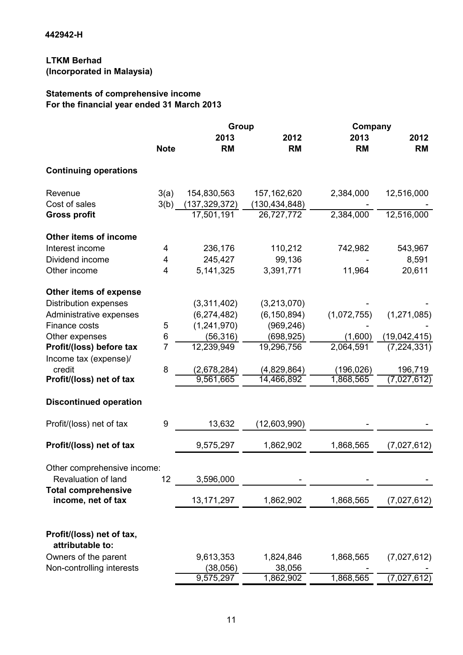# **Statements of comprehensive income For the financial year ended 31 March 2013**

|                                                    |             | Group                  | Company         |             |               |  |
|----------------------------------------------------|-------------|------------------------|-----------------|-------------|---------------|--|
|                                                    |             | 2013                   | 2012            | 2013        | 2012          |  |
|                                                    | <b>Note</b> | <b>RM</b>              | <b>RM</b>       | <b>RM</b>   | <b>RM</b>     |  |
| <b>Continuing operations</b>                       |             |                        |                 |             |               |  |
| Revenue                                            | 3(a)        | 154,830,563            | 157, 162, 620   | 2,384,000   | 12,516,000    |  |
| Cost of sales                                      | 3(b)        | (137, 329, 372)        | (130, 434, 848) |             |               |  |
| <b>Gross profit</b>                                |             | 17,501,191             | 26,727,772      | 2,384,000   | 12,516,000    |  |
| Other items of income                              |             |                        |                 |             |               |  |
| Interest income                                    | 4           | 236,176                | 110,212         | 742,982     | 543,967       |  |
| Dividend income                                    | 4           | 245,427                | 99,136          |             | 8,591         |  |
| Other income                                       | 4           | 5,141,325              | 3,391,771       | 11,964      | 20,611        |  |
| Other items of expense                             |             |                        |                 |             |               |  |
| <b>Distribution expenses</b>                       |             | (3,311,402)            | (3,213,070)     |             |               |  |
| Administrative expenses                            |             | (6,274,482)            | (6, 150, 894)   | (1,072,755) | (1, 271, 085) |  |
| Finance costs                                      | 5           | (1,241,970)            | (969, 246)      |             |               |  |
| Other expenses                                     | 6           | (56, 316)              | (698, 925)      | (1,600)     | (19,042,415)  |  |
| Profit/(loss) before tax                           | 7           | 12,239,949             | 19,296,756      | 2,064,591   | (7, 224, 331) |  |
| Income tax (expense)/                              |             |                        |                 |             |               |  |
| credit                                             | 8           | (2,678,284)            | (4,829,864)     | (196, 026)  | 196,719       |  |
| Profit/(loss) net of tax                           |             | $\overline{9,561,665}$ | 14,466,892      | 1,868,565   | (7,027,612)   |  |
| <b>Discontinued operation</b>                      |             |                        |                 |             |               |  |
| Profit/(loss) net of tax                           | 9           | 13,632                 | (12,603,990)    |             |               |  |
| Profit/(loss) net of tax                           |             | 9,575,297              | 1,862,902       | 1,868,565   | (7,027,612)   |  |
|                                                    |             |                        |                 |             |               |  |
| Other comprehensive income:<br>Revaluation of land | 12          | 3,596,000              |                 |             |               |  |
| <b>Total comprehensive</b>                         |             |                        |                 |             |               |  |
| income, net of tax                                 |             | 13, 171, 297           | 1,862,902       | 1,868,565   | (7,027,612)   |  |
|                                                    |             |                        |                 |             |               |  |
| Profit/(loss) net of tax,<br>attributable to:      |             |                        |                 |             |               |  |
| Owners of the parent                               |             | 9,613,353              | 1,824,846       | 1,868,565   | (7,027,612)   |  |
| Non-controlling interests                          |             | (38,056)               | 38,056          |             |               |  |
|                                                    |             | 9,575,297              | 1,862,902       | 1,868,565   | (7,027,612)   |  |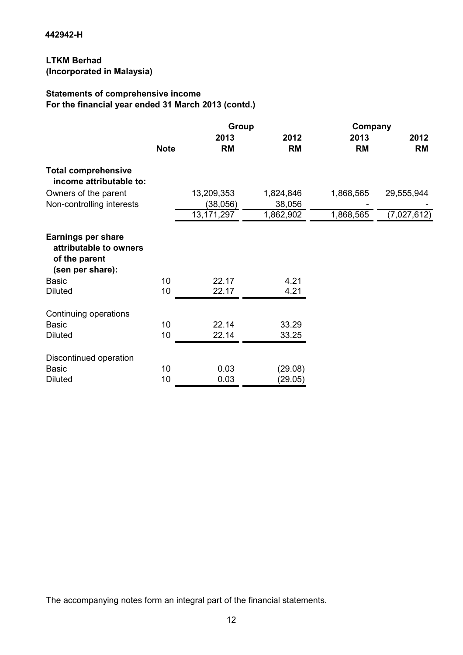# **Statements of comprehensive income For the financial year ended 31 March 2013 (contd.)**

|                                                                                                          |             | Group        | Company   |           |             |  |
|----------------------------------------------------------------------------------------------------------|-------------|--------------|-----------|-----------|-------------|--|
|                                                                                                          |             | 2013         | 2012      | 2013      | 2012        |  |
|                                                                                                          | <b>Note</b> | <b>RM</b>    | <b>RM</b> | <b>RM</b> | <b>RM</b>   |  |
| <b>Total comprehensive</b><br>income attributable to:                                                    |             |              |           |           |             |  |
| Owners of the parent                                                                                     |             | 13,209,353   | 1,824,846 | 1,868,565 | 29,555,944  |  |
| Non-controlling interests                                                                                |             | (38, 056)    | 38,056    |           |             |  |
|                                                                                                          |             | 13, 171, 297 | 1,862,902 | 1,868,565 | (7,027,612) |  |
| <b>Earnings per share</b><br>attributable to owners<br>of the parent<br>(sen per share):<br><b>Basic</b> | 10          | 22.17        | 4.21      |           |             |  |
| <b>Diluted</b>                                                                                           | 10          | 22.17        | 4.21      |           |             |  |
|                                                                                                          |             |              |           |           |             |  |
| Continuing operations                                                                                    |             |              |           |           |             |  |
| <b>Basic</b>                                                                                             | 10          | 22.14        | 33.29     |           |             |  |
| <b>Diluted</b>                                                                                           | 10          | 22.14        | 33.25     |           |             |  |
| Discontinued operation                                                                                   |             |              |           |           |             |  |
| <b>Basic</b>                                                                                             | 10          | 0.03         | (29.08)   |           |             |  |
| <b>Diluted</b>                                                                                           | 10          | 0.03         | (29.05)   |           |             |  |

The accompanying notes form an integral part of the financial statements.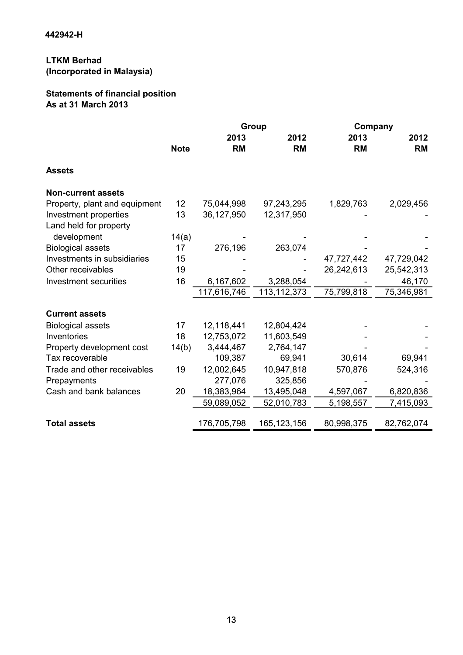# **Statements of financial position As at 31 March 2013**

|                               |             |             | Group         | Company    |            |  |  |
|-------------------------------|-------------|-------------|---------------|------------|------------|--|--|
|                               |             | 2013        | 2012          | 2013       | 2012       |  |  |
|                               | <b>Note</b> | <b>RM</b>   | <b>RM</b>     | <b>RM</b>  | <b>RM</b>  |  |  |
| <b>Assets</b>                 |             |             |               |            |            |  |  |
| <b>Non-current assets</b>     |             |             |               |            |            |  |  |
| Property, plant and equipment | 12          | 75,044,998  | 97,243,295    | 1,829,763  | 2,029,456  |  |  |
| Investment properties         | 13          | 36,127,950  | 12,317,950    |            |            |  |  |
| Land held for property        |             |             |               |            |            |  |  |
| development                   | 14(a)       |             |               |            |            |  |  |
| <b>Biological assets</b>      | 17          | 276,196     | 263,074       |            |            |  |  |
| Investments in subsidiaries   | 15          |             |               | 47,727,442 | 47,729,042 |  |  |
| Other receivables             | 19          |             |               | 26,242,613 | 25,542,313 |  |  |
| Investment securities         | 16          | 6,167,602   | 3,288,054     |            | 46,170     |  |  |
|                               |             | 117,616,746 | 113,112,373   | 75,799,818 | 75,346,981 |  |  |
| <b>Current assets</b>         |             |             |               |            |            |  |  |
| <b>Biological assets</b>      | 17          | 12,118,441  | 12,804,424    |            |            |  |  |
| Inventories                   | 18          | 12,753,072  | 11,603,549    |            |            |  |  |
| Property development cost     | 14(b)       | 3,444,467   | 2,764,147     |            |            |  |  |
| Tax recoverable               |             | 109,387     | 69,941        | 30,614     | 69,941     |  |  |
| Trade and other receivables   | 19          | 12,002,645  | 10,947,818    | 570,876    | 524,316    |  |  |
| Prepayments                   |             | 277,076     | 325,856       |            |            |  |  |
| Cash and bank balances        | 20          | 18,383,964  | 13,495,048    | 4,597,067  | 6,820,836  |  |  |
|                               |             | 59,089,052  | 52,010,783    | 5,198,557  | 7,415,093  |  |  |
| <b>Total assets</b>           |             | 176,705,798 | 165, 123, 156 | 80,998,375 | 82,762,074 |  |  |
|                               |             |             |               |            |            |  |  |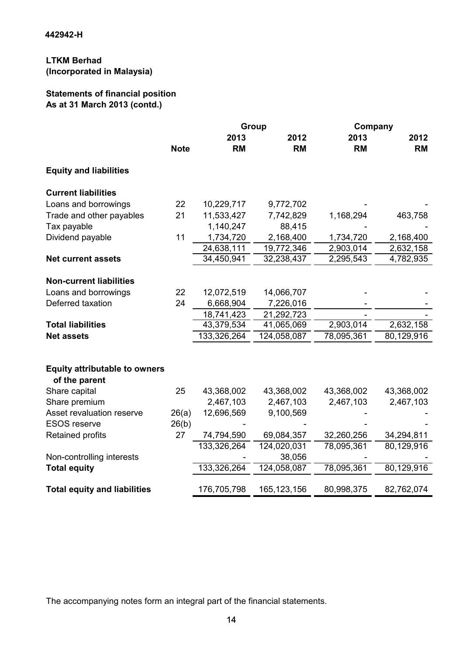# **Statements of financial position As at 31 March 2013 (contd.)**

|                                      |             |             | Group         | Company    |            |  |
|--------------------------------------|-------------|-------------|---------------|------------|------------|--|
|                                      |             | 2013        | 2012          | 2013       | 2012       |  |
|                                      | <b>Note</b> | <b>RM</b>   | <b>RM</b>     | <b>RM</b>  | <b>RM</b>  |  |
| <b>Equity and liabilities</b>        |             |             |               |            |            |  |
| <b>Current liabilities</b>           |             |             |               |            |            |  |
| Loans and borrowings                 | 22          | 10,229,717  | 9,772,702     |            |            |  |
| Trade and other payables             | 21          | 11,533,427  | 7,742,829     | 1,168,294  | 463,758    |  |
| Tax payable                          |             | 1,140,247   | 88,415        |            |            |  |
| Dividend payable                     | 11          | 1,734,720   | 2,168,400     | 1,734,720  | 2,168,400  |  |
|                                      |             | 24,638,111  | 19,772,346    | 2,903,014  | 2,632,158  |  |
| <b>Net current assets</b>            |             | 34,450,941  | 32,238,437    | 2,295,543  | 4,782,935  |  |
|                                      |             |             |               |            |            |  |
| <b>Non-current liabilities</b>       |             |             |               |            |            |  |
| Loans and borrowings                 | 22          | 12,072,519  | 14,066,707    |            |            |  |
| Deferred taxation                    | 24          | 6,668,904   | 7,226,016     |            |            |  |
|                                      |             | 18,741,423  | 21,292,723    |            |            |  |
| <b>Total liabilities</b>             |             | 43,379,534  | 41,065,069    | 2,903,014  | 2,632,158  |  |
| <b>Net assets</b>                    |             | 133,326,264 | 124,058,087   | 78,095,361 | 80,129,916 |  |
|                                      |             |             |               |            |            |  |
| <b>Equity attributable to owners</b> |             |             |               |            |            |  |
| of the parent                        |             |             |               |            |            |  |
| Share capital                        | 25          | 43,368,002  | 43,368,002    | 43,368,002 | 43,368,002 |  |
| Share premium                        |             | 2,467,103   | 2,467,103     | 2,467,103  | 2,467,103  |  |
| Asset revaluation reserve            | 26(a)       | 12,696,569  | 9,100,569     |            |            |  |
| <b>ESOS</b> reserve                  | 26(b)       |             |               |            |            |  |
| Retained profits                     | 27          | 74,794,590  | 69,084,357    | 32,260,256 | 34,294,811 |  |
|                                      |             | 133,326,264 | 124,020,031   | 78,095,361 | 80,129,916 |  |
| Non-controlling interests            |             |             | 38,056        |            |            |  |
| <b>Total equity</b>                  |             | 133,326,264 | 124,058,087   | 78,095,361 | 80,129,916 |  |
| <b>Total equity and liabilities</b>  |             | 176,705,798 | 165, 123, 156 | 80,998,375 | 82,762,074 |  |
|                                      |             |             |               |            |            |  |

The accompanying notes form an integral part of the financial statements.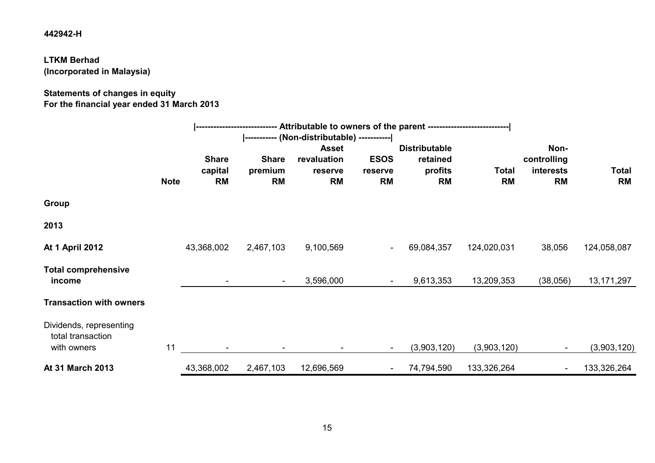# **LTKM Berhad (Incorporated in Malaysia)**

# **Statements of changes in equity For the financial year ended 31 March 2013**

|                                              |             |              |                          |                                            |             | Attributable to owners of the parent --------------------------- |              |                  |              |
|----------------------------------------------|-------------|--------------|--------------------------|--------------------------------------------|-------------|------------------------------------------------------------------|--------------|------------------|--------------|
|                                              |             |              |                          | ---------- (Non-distributable) ----------- |             |                                                                  |              |                  |              |
|                                              |             |              |                          | <b>Asset</b>                               |             | <b>Distributable</b>                                             |              | Non-             |              |
|                                              |             | <b>Share</b> | <b>Share</b>             | revaluation                                | <b>ESOS</b> | retained                                                         |              | controlling      |              |
|                                              |             | capital      | premium                  | reserve                                    | reserve     | profits                                                          | <b>Total</b> | <b>interests</b> | <b>Total</b> |
|                                              | <b>Note</b> | <b>RM</b>    | <b>RM</b>                | <b>RM</b>                                  | <b>RM</b>   | <b>RM</b>                                                        | <b>RM</b>    | <b>RM</b>        | <b>RM</b>    |
| Group                                        |             |              |                          |                                            |             |                                                                  |              |                  |              |
| 2013                                         |             |              |                          |                                            |             |                                                                  |              |                  |              |
| <b>At 1 April 2012</b>                       |             | 43,368,002   | 2,467,103                | 9,100,569                                  |             | 69,084,357                                                       | 124,020,031  | 38,056           | 124,058,087  |
| <b>Total comprehensive</b>                   |             |              |                          |                                            |             |                                                                  |              |                  |              |
| income                                       |             |              | $\sim$                   | 3,596,000                                  |             | 9,613,353                                                        | 13,209,353   | (38,056)         | 13, 171, 297 |
| <b>Transaction with owners</b>               |             |              |                          |                                            |             |                                                                  |              |                  |              |
| Dividends, representing<br>total transaction |             |              |                          |                                            |             |                                                                  |              |                  |              |
| with owners                                  | 11          |              | $\overline{\phantom{a}}$ |                                            |             | (3,903,120)                                                      | (3,903,120)  |                  | (3,903,120)  |
| At 31 March 2013                             |             | 43,368,002   | 2,467,103                | 12,696,569                                 |             | 74,794,590                                                       | 133,326,264  |                  | 133,326,264  |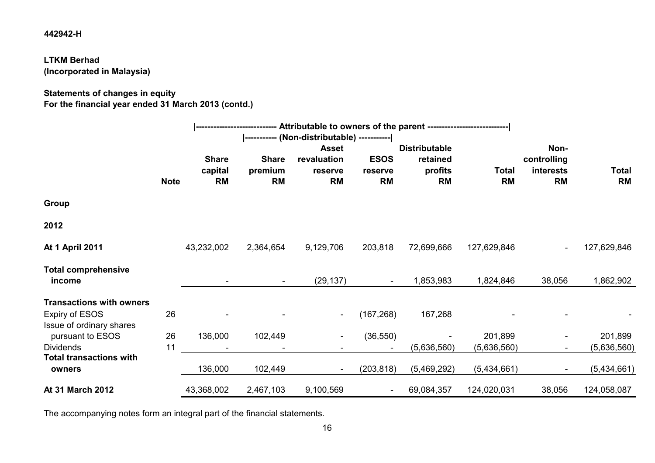# **LTKM Berhad (Incorporated in Malaysia)**

# **Statements of changes in equity For the financial year ended 31 March 2013 (contd.)**

|                                          |             |              |              | ------------------------ Attributable to owners of the parent ----------------------------- |                |                      |              |             |              |
|------------------------------------------|-------------|--------------|--------------|---------------------------------------------------------------------------------------------|----------------|----------------------|--------------|-------------|--------------|
|                                          |             |              |              | ----------- (Non-distributable) -----------                                                 |                |                      |              |             |              |
|                                          |             |              |              | <b>Asset</b>                                                                                |                | <b>Distributable</b> |              | Non-        |              |
|                                          |             | <b>Share</b> | <b>Share</b> | revaluation                                                                                 | <b>ESOS</b>    | retained             |              | controlling |              |
|                                          |             | capital      | premium      | reserve                                                                                     | reserve        | profits              | <b>Total</b> | interests   | <b>Total</b> |
|                                          | <b>Note</b> | <b>RM</b>    | <b>RM</b>    | <b>RM</b>                                                                                   | <b>RM</b>      | <b>RM</b>            | <b>RM</b>    | <b>RM</b>   | <b>RM</b>    |
| Group                                    |             |              |              |                                                                                             |                |                      |              |             |              |
| 2012                                     |             |              |              |                                                                                             |                |                      |              |             |              |
| <b>At 1 April 2011</b>                   |             | 43,232,002   | 2,364,654    | 9,129,706                                                                                   | 203,818        | 72,699,666           | 127,629,846  |             | 127,629,846  |
| <b>Total comprehensive</b><br>income     |             |              | $\sim$       | (29, 137)                                                                                   | $\blacksquare$ | 1,853,983            | 1,824,846    | 38,056      | 1,862,902    |
| <b>Transactions with owners</b>          |             |              |              |                                                                                             |                |                      |              |             |              |
| <b>Expiry of ESOS</b>                    | 26          |              |              | $\sim$                                                                                      | (167, 268)     | 167,268              |              |             |              |
| Issue of ordinary shares                 |             |              |              |                                                                                             |                |                      |              |             |              |
| pursuant to ESOS                         | 26          | 136,000      | 102,449      | $\overline{\phantom{a}}$                                                                    | (36, 550)      |                      | 201,899      |             | 201,899      |
| <b>Dividends</b>                         | 11          |              |              |                                                                                             |                | (5,636,560)          | (5,636,560)  |             | (5,636,560)  |
| <b>Total transactions with</b><br>owners |             | 136,000      | 102,449      | $\overline{\phantom{a}}$                                                                    | (203, 818)     | (5,469,292)          | (5,434,661)  |             | (5,434,661)  |
| At 31 March 2012                         |             | 43,368,002   | 2,467,103    | 9,100,569                                                                                   |                | 69,084,357           | 124,020,031  | 38,056      | 124,058,087  |

The accompanying notes form an integral part of the financial statements.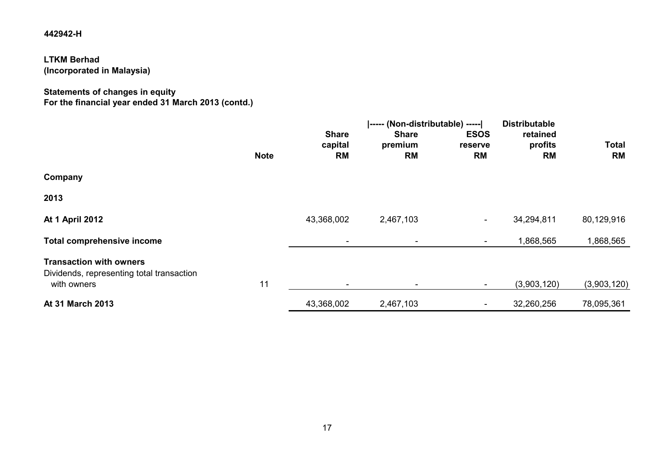# **LTKM Berhad (Incorporated in Malaysia)**

# **Statements of changes in equity For the financial year ended 31 March 2013 (contd.)**

|                                           |             |                          | ----- (Non-distributable) ----- |                          | <b>Distributable</b> |              |  |
|-------------------------------------------|-------------|--------------------------|---------------------------------|--------------------------|----------------------|--------------|--|
|                                           |             | <b>Share</b>             | <b>Share</b>                    | <b>ESOS</b>              | retained             |              |  |
|                                           |             | capital                  | premium                         | reserve                  | profits              | <b>Total</b> |  |
|                                           | <b>Note</b> | <b>RM</b>                | <b>RM</b>                       | <b>RM</b>                | <b>RM</b>            | <b>RM</b>    |  |
| Company                                   |             |                          |                                 |                          |                      |              |  |
| 2013                                      |             |                          |                                 |                          |                      |              |  |
| <b>At 1 April 2012</b>                    |             | 43,368,002               | 2,467,103                       | $\sim$                   | 34,294,811           | 80,129,916   |  |
| <b>Total comprehensive income</b>         |             | $\sim$                   | $\overline{\phantom{a}}$        | $\sim$                   | 1,868,565            | 1,868,565    |  |
| <b>Transaction with owners</b>            |             |                          |                                 |                          |                      |              |  |
| Dividends, representing total transaction |             |                          |                                 |                          |                      |              |  |
| with owners                               | 11          | $\overline{\phantom{0}}$ | $\overline{\phantom{0}}$        | $\sim$                   | (3,903,120)          | (3,903,120)  |  |
| At 31 March 2013                          |             | 43,368,002               | 2,467,103                       | $\overline{\phantom{a}}$ | 32,260,256           | 78,095,361   |  |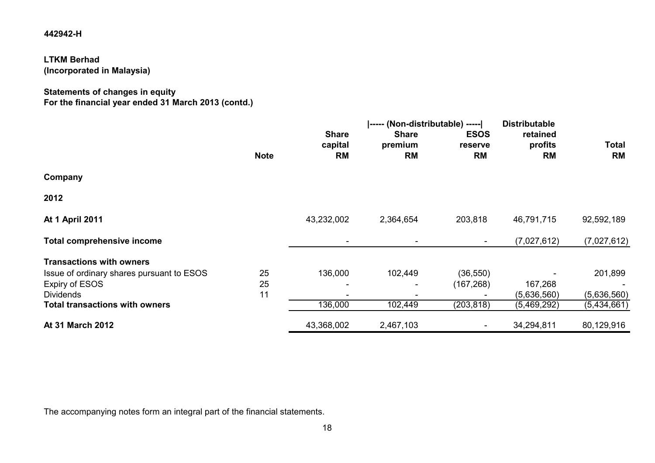# **LTKM Berhad (Incorporated in Malaysia)**

# **Statements of changes in equity For the financial year ended 31 March 2013 (contd.)**

|                                           |             |                                      | ----- (Non-distributable) -----      |                                     | <b>Distributable</b>             |                    |  |
|-------------------------------------------|-------------|--------------------------------------|--------------------------------------|-------------------------------------|----------------------------------|--------------------|--|
|                                           | <b>Note</b> | <b>Share</b><br>capital<br><b>RM</b> | <b>Share</b><br>premium<br><b>RM</b> | <b>ESOS</b><br>reserve<br><b>RM</b> | retained<br>profits<br><b>RM</b> | Total<br><b>RM</b> |  |
| Company                                   |             |                                      |                                      |                                     |                                  |                    |  |
| 2012                                      |             |                                      |                                      |                                     |                                  |                    |  |
| <b>At 1 April 2011</b>                    |             | 43,232,002                           | 2,364,654                            | 203,818                             | 46,791,715                       | 92,592,189         |  |
| <b>Total comprehensive income</b>         |             |                                      |                                      | $\overline{\phantom{a}}$            | (7,027,612)                      | (7,027,612)        |  |
| <b>Transactions with owners</b>           |             |                                      |                                      |                                     |                                  |                    |  |
| Issue of ordinary shares pursuant to ESOS | 25          | 136,000                              | 102,449                              | (36, 550)                           |                                  | 201,899            |  |
| <b>Expiry of ESOS</b>                     | 25          |                                      |                                      | (167, 268)                          | 167,268                          |                    |  |
| <b>Dividends</b>                          | 11          |                                      |                                      |                                     | (5,636,560)                      | (5,636,560)        |  |
| <b>Total transactions with owners</b>     |             | 136,000                              | 102,449                              | (203, 818)                          | (5,469,292)                      | (5,434,661)        |  |
| At 31 March 2012                          |             | 43,368,002                           | 2,467,103                            |                                     | 34,294,811                       | 80,129,916         |  |

The accompanying notes form an integral part of the financial statements.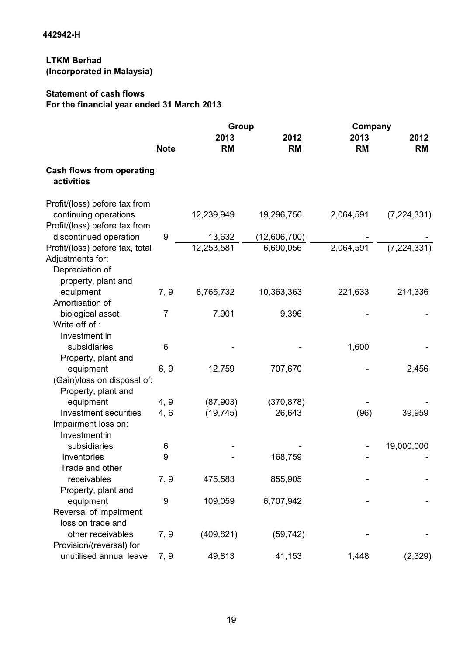# **Statement of cash flows**

**For the financial year ended 31 March 2013**

| 2013<br>2012<br>2013<br>2012<br><b>RM</b><br><b>RM</b><br><b>Note</b><br><b>RM</b><br><b>RM</b><br><b>Cash flows from operating</b><br>activities<br>continuing operations<br>19,296,756<br>2,064,591<br>(7, 224, 331)<br>12,239,949<br>Profit/(loss) before tax from<br>9<br>discontinued operation<br>13,632<br>(12,606,700)<br>12,253,581<br>2,064,591<br>(7, 224, 331)<br>Profit/(loss) before tax, total<br>6,690,056<br>Adjustments for:<br>Depreciation of<br>property, plant and<br>7, 9<br>8,765,732<br>10,363,363<br>221,633<br>equipment<br>214,336<br>Amortisation of<br>$\overline{7}$<br>7,901<br>biological asset<br>9,396<br>Write off of:<br>Investment in<br>subsidiaries<br>6<br>1,600<br>Property, plant and<br>equipment<br>6, 9<br>12,759<br>707,670<br>2,456<br>(Gain)/loss on disposal of:<br>Property, plant and<br>equipment<br>4, 9<br>(87,903)<br>(370, 878)<br><b>Investment securities</b><br>4, 6<br>(19, 745)<br>26,643<br>(96)<br>39,959<br>Impairment loss on:<br>Investment in<br>subsidiaries<br>19,000,000<br>6<br>9<br>Inventories<br>168,759<br>Trade and other<br>receivables<br>7, 9<br>475,583<br>855,905<br>Property, plant and<br>equipment<br>9<br>109,059<br>6,707,942<br>Reversal of impairment<br>loss on trade and<br>other receivables<br>(409, 821)<br>7, 9<br>(59, 742)<br>Provision/(reversal) for |                               | <b>Group</b> |        |        | Company |         |
|---------------------------------------------------------------------------------------------------------------------------------------------------------------------------------------------------------------------------------------------------------------------------------------------------------------------------------------------------------------------------------------------------------------------------------------------------------------------------------------------------------------------------------------------------------------------------------------------------------------------------------------------------------------------------------------------------------------------------------------------------------------------------------------------------------------------------------------------------------------------------------------------------------------------------------------------------------------------------------------------------------------------------------------------------------------------------------------------------------------------------------------------------------------------------------------------------------------------------------------------------------------------------------------------------------------------------------------------------------|-------------------------------|--------------|--------|--------|---------|---------|
|                                                                                                                                                                                                                                                                                                                                                                                                                                                                                                                                                                                                                                                                                                                                                                                                                                                                                                                                                                                                                                                                                                                                                                                                                                                                                                                                                         |                               |              |        |        |         |         |
|                                                                                                                                                                                                                                                                                                                                                                                                                                                                                                                                                                                                                                                                                                                                                                                                                                                                                                                                                                                                                                                                                                                                                                                                                                                                                                                                                         |                               |              |        |        |         |         |
|                                                                                                                                                                                                                                                                                                                                                                                                                                                                                                                                                                                                                                                                                                                                                                                                                                                                                                                                                                                                                                                                                                                                                                                                                                                                                                                                                         |                               |              |        |        |         |         |
|                                                                                                                                                                                                                                                                                                                                                                                                                                                                                                                                                                                                                                                                                                                                                                                                                                                                                                                                                                                                                                                                                                                                                                                                                                                                                                                                                         | Profit/(loss) before tax from |              |        |        |         |         |
|                                                                                                                                                                                                                                                                                                                                                                                                                                                                                                                                                                                                                                                                                                                                                                                                                                                                                                                                                                                                                                                                                                                                                                                                                                                                                                                                                         |                               |              |        |        |         |         |
|                                                                                                                                                                                                                                                                                                                                                                                                                                                                                                                                                                                                                                                                                                                                                                                                                                                                                                                                                                                                                                                                                                                                                                                                                                                                                                                                                         |                               |              |        |        |         |         |
|                                                                                                                                                                                                                                                                                                                                                                                                                                                                                                                                                                                                                                                                                                                                                                                                                                                                                                                                                                                                                                                                                                                                                                                                                                                                                                                                                         |                               |              |        |        |         |         |
|                                                                                                                                                                                                                                                                                                                                                                                                                                                                                                                                                                                                                                                                                                                                                                                                                                                                                                                                                                                                                                                                                                                                                                                                                                                                                                                                                         |                               |              |        |        |         |         |
|                                                                                                                                                                                                                                                                                                                                                                                                                                                                                                                                                                                                                                                                                                                                                                                                                                                                                                                                                                                                                                                                                                                                                                                                                                                                                                                                                         |                               |              |        |        |         |         |
|                                                                                                                                                                                                                                                                                                                                                                                                                                                                                                                                                                                                                                                                                                                                                                                                                                                                                                                                                                                                                                                                                                                                                                                                                                                                                                                                                         |                               |              |        |        |         |         |
|                                                                                                                                                                                                                                                                                                                                                                                                                                                                                                                                                                                                                                                                                                                                                                                                                                                                                                                                                                                                                                                                                                                                                                                                                                                                                                                                                         |                               |              |        |        |         |         |
|                                                                                                                                                                                                                                                                                                                                                                                                                                                                                                                                                                                                                                                                                                                                                                                                                                                                                                                                                                                                                                                                                                                                                                                                                                                                                                                                                         |                               |              |        |        |         |         |
|                                                                                                                                                                                                                                                                                                                                                                                                                                                                                                                                                                                                                                                                                                                                                                                                                                                                                                                                                                                                                                                                                                                                                                                                                                                                                                                                                         |                               |              |        |        |         |         |
|                                                                                                                                                                                                                                                                                                                                                                                                                                                                                                                                                                                                                                                                                                                                                                                                                                                                                                                                                                                                                                                                                                                                                                                                                                                                                                                                                         |                               |              |        |        |         |         |
|                                                                                                                                                                                                                                                                                                                                                                                                                                                                                                                                                                                                                                                                                                                                                                                                                                                                                                                                                                                                                                                                                                                                                                                                                                                                                                                                                         |                               |              |        |        |         |         |
|                                                                                                                                                                                                                                                                                                                                                                                                                                                                                                                                                                                                                                                                                                                                                                                                                                                                                                                                                                                                                                                                                                                                                                                                                                                                                                                                                         |                               |              |        |        |         |         |
|                                                                                                                                                                                                                                                                                                                                                                                                                                                                                                                                                                                                                                                                                                                                                                                                                                                                                                                                                                                                                                                                                                                                                                                                                                                                                                                                                         |                               |              |        |        |         |         |
|                                                                                                                                                                                                                                                                                                                                                                                                                                                                                                                                                                                                                                                                                                                                                                                                                                                                                                                                                                                                                                                                                                                                                                                                                                                                                                                                                         |                               |              |        |        |         |         |
|                                                                                                                                                                                                                                                                                                                                                                                                                                                                                                                                                                                                                                                                                                                                                                                                                                                                                                                                                                                                                                                                                                                                                                                                                                                                                                                                                         |                               |              |        |        |         |         |
|                                                                                                                                                                                                                                                                                                                                                                                                                                                                                                                                                                                                                                                                                                                                                                                                                                                                                                                                                                                                                                                                                                                                                                                                                                                                                                                                                         |                               |              |        |        |         |         |
|                                                                                                                                                                                                                                                                                                                                                                                                                                                                                                                                                                                                                                                                                                                                                                                                                                                                                                                                                                                                                                                                                                                                                                                                                                                                                                                                                         |                               |              |        |        |         |         |
|                                                                                                                                                                                                                                                                                                                                                                                                                                                                                                                                                                                                                                                                                                                                                                                                                                                                                                                                                                                                                                                                                                                                                                                                                                                                                                                                                         |                               |              |        |        |         |         |
|                                                                                                                                                                                                                                                                                                                                                                                                                                                                                                                                                                                                                                                                                                                                                                                                                                                                                                                                                                                                                                                                                                                                                                                                                                                                                                                                                         |                               |              |        |        |         |         |
|                                                                                                                                                                                                                                                                                                                                                                                                                                                                                                                                                                                                                                                                                                                                                                                                                                                                                                                                                                                                                                                                                                                                                                                                                                                                                                                                                         |                               |              |        |        |         |         |
|                                                                                                                                                                                                                                                                                                                                                                                                                                                                                                                                                                                                                                                                                                                                                                                                                                                                                                                                                                                                                                                                                                                                                                                                                                                                                                                                                         |                               |              |        |        |         |         |
|                                                                                                                                                                                                                                                                                                                                                                                                                                                                                                                                                                                                                                                                                                                                                                                                                                                                                                                                                                                                                                                                                                                                                                                                                                                                                                                                                         |                               |              |        |        |         |         |
|                                                                                                                                                                                                                                                                                                                                                                                                                                                                                                                                                                                                                                                                                                                                                                                                                                                                                                                                                                                                                                                                                                                                                                                                                                                                                                                                                         |                               |              |        |        |         |         |
|                                                                                                                                                                                                                                                                                                                                                                                                                                                                                                                                                                                                                                                                                                                                                                                                                                                                                                                                                                                                                                                                                                                                                                                                                                                                                                                                                         |                               |              |        |        |         |         |
|                                                                                                                                                                                                                                                                                                                                                                                                                                                                                                                                                                                                                                                                                                                                                                                                                                                                                                                                                                                                                                                                                                                                                                                                                                                                                                                                                         |                               |              |        |        |         |         |
|                                                                                                                                                                                                                                                                                                                                                                                                                                                                                                                                                                                                                                                                                                                                                                                                                                                                                                                                                                                                                                                                                                                                                                                                                                                                                                                                                         |                               |              |        |        |         |         |
|                                                                                                                                                                                                                                                                                                                                                                                                                                                                                                                                                                                                                                                                                                                                                                                                                                                                                                                                                                                                                                                                                                                                                                                                                                                                                                                                                         |                               |              |        |        |         |         |
|                                                                                                                                                                                                                                                                                                                                                                                                                                                                                                                                                                                                                                                                                                                                                                                                                                                                                                                                                                                                                                                                                                                                                                                                                                                                                                                                                         |                               |              |        |        |         |         |
|                                                                                                                                                                                                                                                                                                                                                                                                                                                                                                                                                                                                                                                                                                                                                                                                                                                                                                                                                                                                                                                                                                                                                                                                                                                                                                                                                         |                               |              |        |        |         |         |
|                                                                                                                                                                                                                                                                                                                                                                                                                                                                                                                                                                                                                                                                                                                                                                                                                                                                                                                                                                                                                                                                                                                                                                                                                                                                                                                                                         |                               |              |        |        |         |         |
|                                                                                                                                                                                                                                                                                                                                                                                                                                                                                                                                                                                                                                                                                                                                                                                                                                                                                                                                                                                                                                                                                                                                                                                                                                                                                                                                                         | unutilised annual leave       | 7, 9         | 49,813 | 41,153 | 1,448   | (2,329) |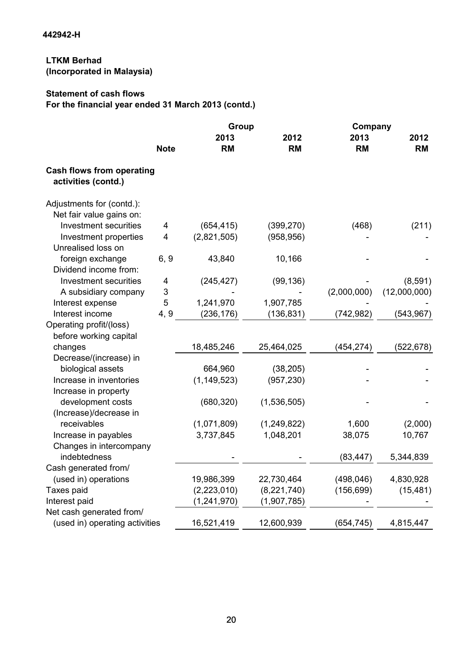# **Statement of cash flows**

**For the financial year ended 31 March 2013 (contd.)**

|                                                         |             | <b>Group</b>  |               | Company     |              |
|---------------------------------------------------------|-------------|---------------|---------------|-------------|--------------|
|                                                         |             | 2013          | 2012          | 2013        | 2012         |
|                                                         | <b>Note</b> | <b>RM</b>     | <b>RM</b>     | <b>RM</b>   | <b>RM</b>    |
| <b>Cash flows from operating</b><br>activities (contd.) |             |               |               |             |              |
| Adjustments for (contd.):                               |             |               |               |             |              |
| Net fair value gains on:                                |             |               |               |             |              |
| <b>Investment securities</b>                            | 4           | (654, 415)    | (399, 270)    | (468)       | (211)        |
| Investment properties                                   | 4           | (2,821,505)   | (958, 956)    |             |              |
| Unrealised loss on                                      |             |               |               |             |              |
| foreign exchange                                        | 6, 9        | 43,840        | 10,166        |             |              |
| Dividend income from:                                   |             |               |               |             |              |
| <b>Investment securities</b>                            | 4           | (245, 427)    | (99, 136)     |             | (8,591)      |
| A subsidiary company                                    | 3           |               |               | (2,000,000) | (12,000,000) |
| Interest expense                                        | 5           | 1,241,970     | 1,907,785     |             |              |
| Interest income                                         | 4, 9        | (236, 176)    | (136, 831)    | (742, 982)  | (543, 967)   |
| Operating profit/(loss)                                 |             |               |               |             |              |
| before working capital                                  |             |               |               |             |              |
| changes                                                 |             | 18,485,246    | 25,464,025    | (454, 274)  | (522, 678)   |
| Decrease/(increase) in                                  |             |               |               |             |              |
| biological assets                                       |             | 664,960       | (38, 205)     |             |              |
| Increase in inventories                                 |             | (1, 149, 523) | (957, 230)    |             |              |
| Increase in property                                    |             |               |               |             |              |
| development costs                                       |             | (680, 320)    | (1,536,505)   |             |              |
| (Increase)/decrease in                                  |             |               |               |             |              |
| receivables                                             |             | (1,071,809)   | (1,249,822)   | 1,600       | (2,000)      |
| Increase in payables                                    |             | 3,737,845     | 1,048,201     | 38,075      | 10,767       |
| Changes in intercompany                                 |             |               |               |             |              |
| indebtedness                                            |             |               |               | (83, 447)   | 5,344,839    |
| Cash generated from/                                    |             |               |               |             |              |
| (used in) operations                                    |             | 19,986,399    | 22,730,464    | (498, 046)  | 4,830,928    |
| Taxes paid                                              |             | (2,223,010)   | (8, 221, 740) | (156, 699)  | (15, 481)    |
| Interest paid                                           |             | (1, 241, 970) | (1,907,785)   |             |              |
| Net cash generated from/                                |             |               |               |             |              |
| (used in) operating activities                          |             | 16,521,419    | 12,600,939    | (654, 745)  | 4,815,447    |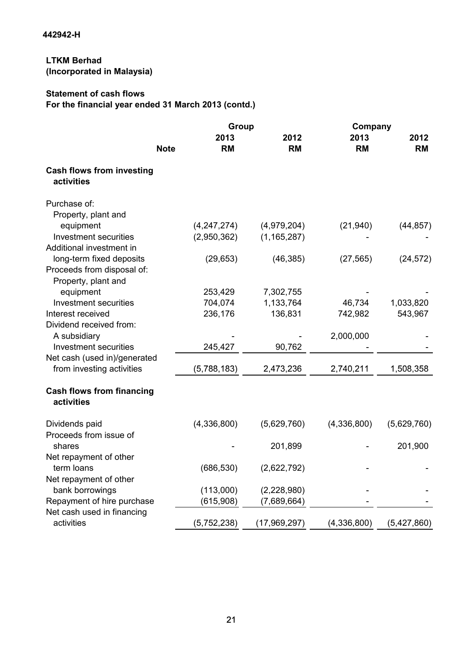# **Statement of cash flows**

# **For the financial year ended 31 March 2013 (contd.)**

|                                                | Group       |               |               | Company     |             |  |
|------------------------------------------------|-------------|---------------|---------------|-------------|-------------|--|
|                                                |             | 2013          | 2012          | 2013        | 2012        |  |
|                                                | <b>Note</b> | <b>RM</b>     | <b>RM</b>     | <b>RM</b>   | <b>RM</b>   |  |
| <b>Cash flows from investing</b><br>activities |             |               |               |             |             |  |
| Purchase of:                                   |             |               |               |             |             |  |
| Property, plant and                            |             |               |               |             |             |  |
| equipment                                      |             | (4, 247, 274) | (4,979,204)   | (21, 940)   | (44, 857)   |  |
| <b>Investment securities</b>                   |             | (2,950,362)   | (1, 165, 287) |             |             |  |
| Additional investment in                       |             |               |               |             |             |  |
| long-term fixed deposits                       |             | (29, 653)     | (46, 385)     | (27, 565)   | (24, 572)   |  |
| Proceeds from disposal of:                     |             |               |               |             |             |  |
| Property, plant and                            |             |               |               |             |             |  |
| equipment                                      |             | 253,429       | 7,302,755     |             |             |  |
| <b>Investment securities</b>                   |             | 704,074       | 1,133,764     | 46,734      | 1,033,820   |  |
| Interest received                              |             | 236,176       | 136,831       | 742,982     | 543,967     |  |
| Dividend received from:                        |             |               |               |             |             |  |
| A subsidiary                                   |             |               |               | 2,000,000   |             |  |
| Investment securities                          |             | 245,427       | 90,762        |             |             |  |
| Net cash (used in)/generated                   |             |               |               |             |             |  |
| from investing activities                      |             | (5,788,183)   | 2,473,236     | 2,740,211   | 1,508,358   |  |
| <b>Cash flows from financing</b>               |             |               |               |             |             |  |
| activities                                     |             |               |               |             |             |  |
| Dividends paid                                 |             | (4,336,800)   | (5,629,760)   | (4,336,800) | (5,629,760) |  |
| Proceeds from issue of                         |             |               |               |             |             |  |
| shares                                         |             |               | 201,899       |             | 201,900     |  |
| Net repayment of other                         |             |               |               |             |             |  |
| term loans                                     |             | (686, 530)    | (2,622,792)   |             |             |  |
| Net repayment of other                         |             |               |               |             |             |  |
| bank borrowings                                |             | (113,000)     | (2,228,980)   |             |             |  |
| Repayment of hire purchase                     |             | (615,908)     | (7,689,664)   |             |             |  |
| Net cash used in financing                     |             |               |               |             |             |  |
| activities                                     |             | (5, 752, 238) | (17,969,297)  | (4,336,800) | (5,427,860) |  |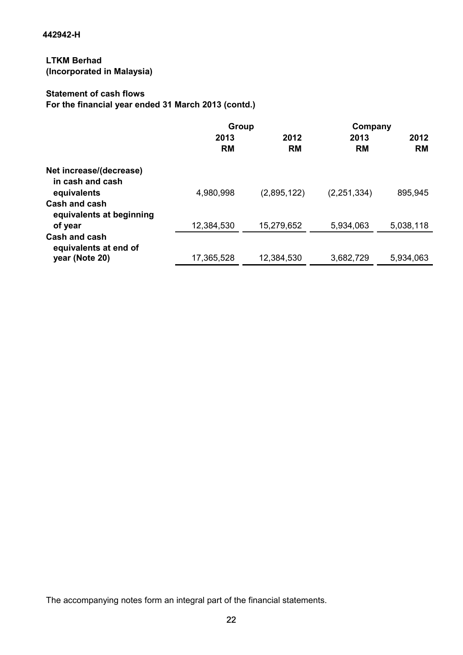## **Statement of cash flows**

**For the financial year ended 31 March 2013 (contd.)**

|                                               | Group      |             | Company     |           |
|-----------------------------------------------|------------|-------------|-------------|-----------|
|                                               | 2013       | 2012        | 2013        | 2012      |
|                                               | <b>RM</b>  | <b>RM</b>   | <b>RM</b>   | <b>RM</b> |
| Net increase/(decrease)                       |            |             |             |           |
| in cash and cash<br>equivalents               | 4,980,998  | (2,895,122) | (2,251,334) | 895,945   |
| Cash and cash<br>equivalents at beginning     |            |             |             |           |
| of year                                       | 12,384,530 | 15,279,652  | 5,934,063   | 5,038,118 |
| <b>Cash and cash</b><br>equivalents at end of |            |             |             |           |
| year (Note 20)                                | 17,365,528 | 12,384,530  | 3,682,729   | 5,934,063 |

The accompanying notes form an integral part of the financial statements.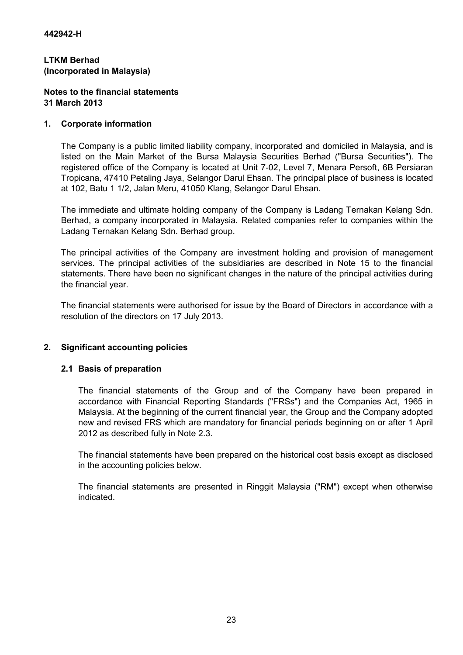# **Notes to the financial statements 31 March 2013**

#### **1. Corporate information**

The Company is a public limited liability company, incorporated and domiciled in Malaysia, and is listed on the Main Market of the Bursa Malaysia Securities Berhad ("Bursa Securities"). The registered office of the Company is located at Unit 7-02, Level 7, Menara Persoft, 6B Persiaran Tropicana, 47410 Petaling Jaya, Selangor Darul Ehsan. The principal place of business is located at 102, Batu 1 1/2, Jalan Meru, 41050 Klang, Selangor Darul Ehsan.

The immediate and ultimate holding company of the Company is Ladang Ternakan Kelang Sdn. Berhad, a company incorporated in Malaysia. Related companies refer to companies within the Ladang Ternakan Kelang Sdn. Berhad group.

The principal activities of the Company are investment holding and provision of management services. The principal activities of the subsidiaries are described in Note 15 to the financial statements. There have been no significant changes in the nature of the principal activities during the financial year.

The financial statements were authorised for issue by the Board of Directors in accordance with a resolution of the directors on 17 July 2013.

# **2. Significant accounting policies**

#### **2.1 Basis of preparation**

The financial statements of the Group and of the Company have been prepared in accordance with Financial Reporting Standards ("FRSs") and the Companies Act, 1965 in Malaysia. At the beginning of the current financial year, the Group and the Company adopted new and revised FRS which are mandatory for financial periods beginning on or after 1 April 2012 as described fully in Note 2.3.

The financial statements have been prepared on the historical cost basis except as disclosed in the accounting policies below.

The financial statements are presented in Ringgit Malaysia ("RM") except when otherwise indicated.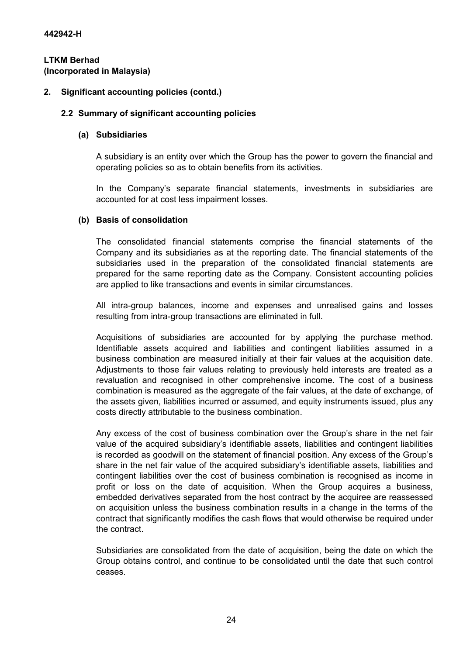## **2. Significant accounting policies (contd.)**

#### **2.2 Summary of significant accounting policies**

#### **(a) Subsidiaries**

A subsidiary is an entity over which the Group has the power to govern the financial and operating policies so as to obtain benefits from its activities.

In the Company's separate financial statements, investments in subsidiaries are accounted for at cost less impairment losses.

#### **(b) Basis of consolidation**

The consolidated financial statements comprise the financial statements of the Company and its subsidiaries as at the reporting date. The financial statements of the subsidiaries used in the preparation of the consolidated financial statements are prepared for the same reporting date as the Company. Consistent accounting policies are applied to like transactions and events in similar circumstances.

All intra-group balances, income and expenses and unrealised gains and losses resulting from intra-group transactions are eliminated in full.

Acquisitions of subsidiaries are accounted for by applying the purchase method. Identifiable assets acquired and liabilities and contingent liabilities assumed in a business combination are measured initially at their fair values at the acquisition date. Adjustments to those fair values relating to previously held interests are treated as a revaluation and recognised in other comprehensive income. The cost of a business combination is measured as the aggregate of the fair values, at the date of exchange, of the assets given, liabilities incurred or assumed, and equity instruments issued, plus any costs directly attributable to the business combination.

Any excess of the cost of business combination over the Group's share in the net fair value of the acquired subsidiary's identifiable assets, liabilities and contingent liabilities is recorded as goodwill on the statement of financial position. Any excess of the Group's share in the net fair value of the acquired subsidiary's identifiable assets, liabilities and contingent liabilities over the cost of business combination is recognised as income in profit or loss on the date of acquisition. When the Group acquires a business, embedded derivatives separated from the host contract by the acquiree are reassessed on acquisition unless the business combination results in a change in the terms of the contract that significantly modifies the cash flows that would otherwise be required under the contract.

Subsidiaries are consolidated from the date of acquisition, being the date on which the Group obtains control, and continue to be consolidated until the date that such control ceases.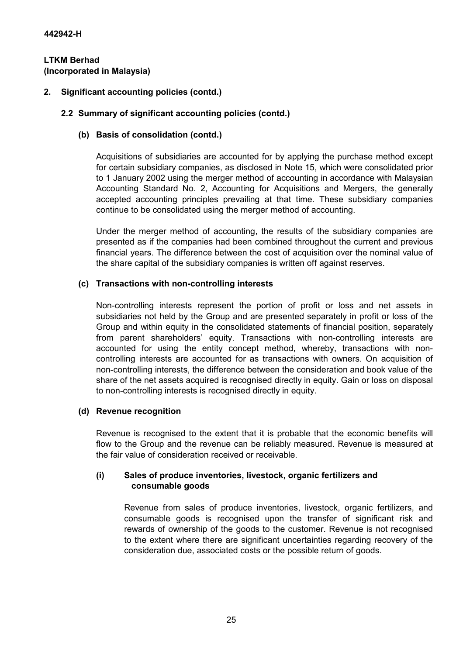# **2. Significant accounting policies (contd.)**

#### **2.2 Summary of significant accounting policies (contd.)**

#### **(b) Basis of consolidation (contd.)**

Acquisitions of subsidiaries are accounted for by applying the purchase method except for certain subsidiary companies, as disclosed in Note 15, which were consolidated prior to 1 January 2002 using the merger method of accounting in accordance with Malaysian Accounting Standard No. 2, Accounting for Acquisitions and Mergers, the generally accepted accounting principles prevailing at that time. These subsidiary companies continue to be consolidated using the merger method of accounting.

Under the merger method of accounting, the results of the subsidiary companies are presented as if the companies had been combined throughout the current and previous financial years. The difference between the cost of acquisition over the nominal value of the share capital of the subsidiary companies is written off against reserves.

## **(c) Transactions with non-controlling interests**

Non-controlling interests represent the portion of profit or loss and net assets in subsidiaries not held by the Group and are presented separately in profit or loss of the Group and within equity in the consolidated statements of financial position, separately from parent shareholders' equity. Transactions with non-controlling interests are accounted for using the entity concept method, whereby, transactions with noncontrolling interests are accounted for as transactions with owners. On acquisition of non-controlling interests, the difference between the consideration and book value of the share of the net assets acquired is recognised directly in equity. Gain or loss on disposal to non-controlling interests is recognised directly in equity.

#### **(d) Revenue recognition**

Revenue is recognised to the extent that it is probable that the economic benefits will flow to the Group and the revenue can be reliably measured. Revenue is measured at the fair value of consideration received or receivable.

## **(i) Sales of produce inventories, livestock, organic fertilizers and consumable goods**

Revenue from sales of produce inventories, livestock, organic fertilizers, and consumable goods is recognised upon the transfer of significant risk and rewards of ownership of the goods to the customer. Revenue is not recognised to the extent where there are significant uncertainties regarding recovery of the consideration due, associated costs or the possible return of goods.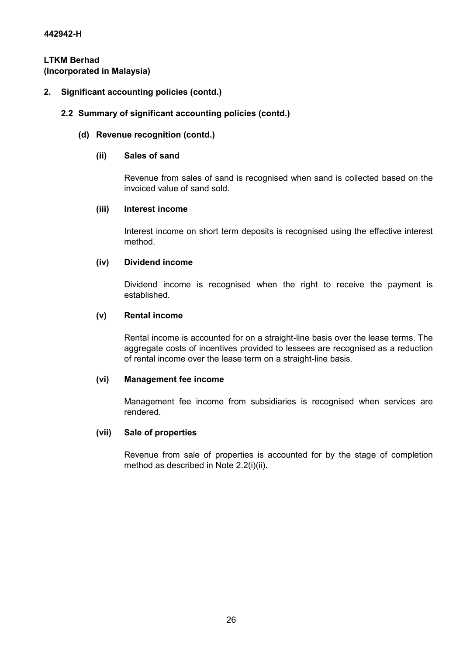# **2. Significant accounting policies (contd.)**

#### **2.2 Summary of significant accounting policies (contd.)**

#### **(d) Revenue recognition (contd.)**

#### **(ii) Sales of sand**

Revenue from sales of sand is recognised when sand is collected based on the invoiced value of sand sold.

#### **(iii) Interest income**

Interest income on short term deposits is recognised using the effective interest method.

#### **(iv) Dividend income**

Dividend income is recognised when the right to receive the payment is established.

#### **(v) Rental income**

Rental income is accounted for on a straight-line basis over the lease terms. The aggregate costs of incentives provided to lessees are recognised as a reduction of rental income over the lease term on a straight-line basis.

#### **(vi) Management fee income**

Management fee income from subsidiaries is recognised when services are rendered.

#### **(vii) Sale of properties**

Revenue from sale of properties is accounted for by the stage of completion method as described in Note 2.2(i)(ii).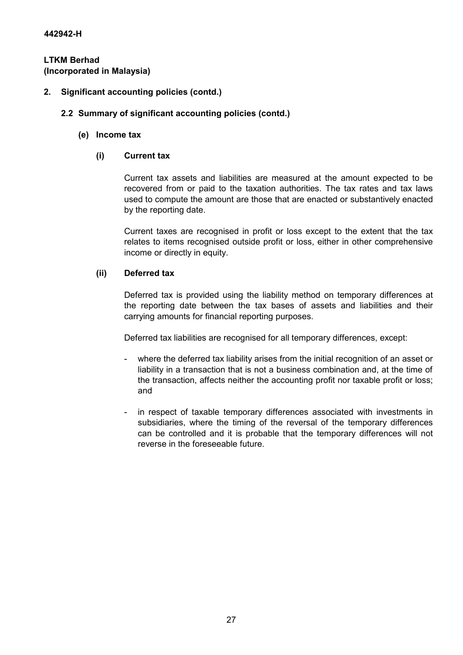# **2. Significant accounting policies (contd.)**

#### **2.2 Summary of significant accounting policies (contd.)**

#### **(e) Income tax**

## **(i) Current tax**

Current tax assets and liabilities are measured at the amount expected to be recovered from or paid to the taxation authorities. The tax rates and tax laws used to compute the amount are those that are enacted or substantively enacted by the reporting date.

Current taxes are recognised in profit or loss except to the extent that the tax relates to items recognised outside profit or loss, either in other comprehensive income or directly in equity.

## **(ii) Deferred tax**

Deferred tax is provided using the liability method on temporary differences at the reporting date between the tax bases of assets and liabilities and their carrying amounts for financial reporting purposes.

Deferred tax liabilities are recognised for all temporary differences, except:

- where the deferred tax liability arises from the initial recognition of an asset or liability in a transaction that is not a business combination and, at the time of the transaction, affects neither the accounting profit nor taxable profit or loss; and
- in respect of taxable temporary differences associated with investments in subsidiaries, where the timing of the reversal of the temporary differences can be controlled and it is probable that the temporary differences will not reverse in the foreseeable future.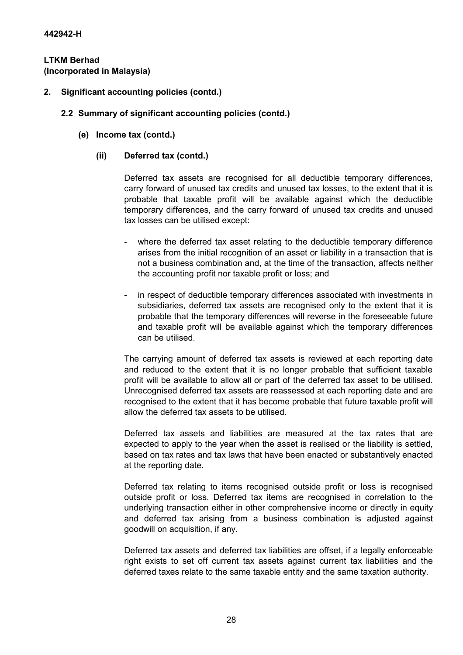# **2. Significant accounting policies (contd.)**

#### **2.2 Summary of significant accounting policies (contd.)**

**(e) Income tax (contd.)**

## **(ii) Deferred tax (contd.)**

Deferred tax assets are recognised for all deductible temporary differences, carry forward of unused tax credits and unused tax losses, to the extent that it is probable that taxable profit will be available against which the deductible temporary differences, and the carry forward of unused tax credits and unused tax losses can be utilised except:

- where the deferred tax asset relating to the deductible temporary difference arises from the initial recognition of an asset or liability in a transaction that is not a business combination and, at the time of the transaction, affects neither the accounting profit nor taxable profit or loss; and
- in respect of deductible temporary differences associated with investments in subsidiaries, deferred tax assets are recognised only to the extent that it is probable that the temporary differences will reverse in the foreseeable future and taxable profit will be available against which the temporary differences can be utilised.

The carrying amount of deferred tax assets is reviewed at each reporting date and reduced to the extent that it is no longer probable that sufficient taxable profit will be available to allow all or part of the deferred tax asset to be utilised. Unrecognised deferred tax assets are reassessed at each reporting date and are recognised to the extent that it has become probable that future taxable profit will allow the deferred tax assets to be utilised.

Deferred tax assets and liabilities are measured at the tax rates that are expected to apply to the year when the asset is realised or the liability is settled, based on tax rates and tax laws that have been enacted or substantively enacted at the reporting date.

Deferred tax relating to items recognised outside profit or loss is recognised outside profit or loss. Deferred tax items are recognised in correlation to the underlying transaction either in other comprehensive income or directly in equity and deferred tax arising from a business combination is adjusted against goodwill on acquisition, if any.

Deferred tax assets and deferred tax liabilities are offset, if a legally enforceable right exists to set off current tax assets against current tax liabilities and the deferred taxes relate to the same taxable entity and the same taxation authority.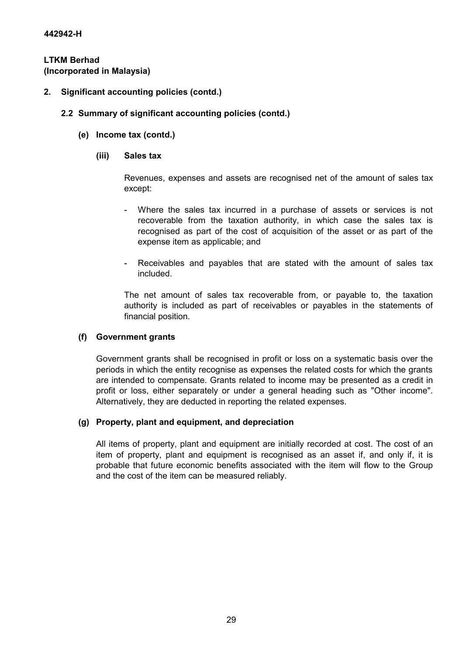# **2. Significant accounting policies (contd.)**

#### **2.2 Summary of significant accounting policies (contd.)**

**(e) Income tax (contd.)**

#### **(iii) Sales tax**

Revenues, expenses and assets are recognised net of the amount of sales tax except:

- Where the sales tax incurred in a purchase of assets or services is not recoverable from the taxation authority, in which case the sales tax is recognised as part of the cost of acquisition of the asset or as part of the expense item as applicable; and
- Receivables and payables that are stated with the amount of sales tax included.

The net amount of sales tax recoverable from, or payable to, the taxation authority is included as part of receivables or payables in the statements of financial position.

#### **(f) Government grants**

Government grants shall be recognised in profit or loss on a systematic basis over the periods in which the entity recognise as expenses the related costs for which the grants are intended to compensate. Grants related to income may be presented as a credit in profit or loss, either separately or under a general heading such as "Other income". Alternatively, they are deducted in reporting the related expenses.

#### **(g) Property, plant and equipment, and depreciation**

All items of property, plant and equipment are initially recorded at cost. The cost of an item of property, plant and equipment is recognised as an asset if, and only if, it is probable that future economic benefits associated with the item will flow to the Group and the cost of the item can be measured reliably.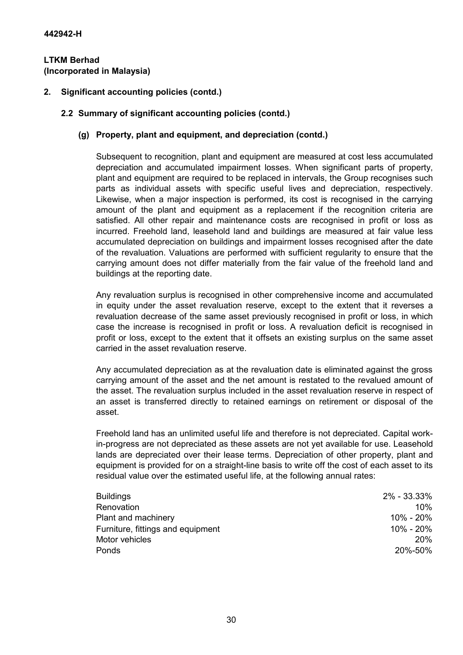# **2. Significant accounting policies (contd.)**

#### **2.2 Summary of significant accounting policies (contd.)**

#### **(g) Property, plant and equipment, and depreciation (contd.)**

Subsequent to recognition, plant and equipment are measured at cost less accumulated depreciation and accumulated impairment losses. When significant parts of property, plant and equipment are required to be replaced in intervals, the Group recognises such parts as individual assets with specific useful lives and depreciation, respectively. Likewise, when a major inspection is performed, its cost is recognised in the carrying amount of the plant and equipment as a replacement if the recognition criteria are satisfied. All other repair and maintenance costs are recognised in profit or loss as incurred. Freehold land, leasehold land and buildings are measured at fair value less accumulated depreciation on buildings and impairment losses recognised after the date of the revaluation. Valuations are performed with sufficient regularity to ensure that the carrying amount does not differ materially from the fair value of the freehold land and buildings at the reporting date.

Any revaluation surplus is recognised in other comprehensive income and accumulated in equity under the asset revaluation reserve, except to the extent that it reverses a revaluation decrease of the same asset previously recognised in profit or loss, in which case the increase is recognised in profit or loss. A revaluation deficit is recognised in profit or loss, except to the extent that it offsets an existing surplus on the same asset carried in the asset revaluation reserve.

Any accumulated depreciation as at the revaluation date is eliminated against the gross carrying amount of the asset and the net amount is restated to the revalued amount of the asset. The revaluation surplus included in the asset revaluation reserve in respect of an asset is transferred directly to retained earnings on retirement or disposal of the asset.

Freehold land has an unlimited useful life and therefore is not depreciated. Capital workin-progress are not depreciated as these assets are not yet available for use. Leasehold lands are depreciated over their lease terms. Depreciation of other property, plant and equipment is provided for on a straight-line basis to write off the cost of each asset to its residual value over the estimated useful life, at the following annual rates:

| 2% - 33.33% |
|-------------|
| $10\%$      |
| 10% - 20%   |
| 10% - 20%   |
| 20%         |
| 20%-50%     |
|             |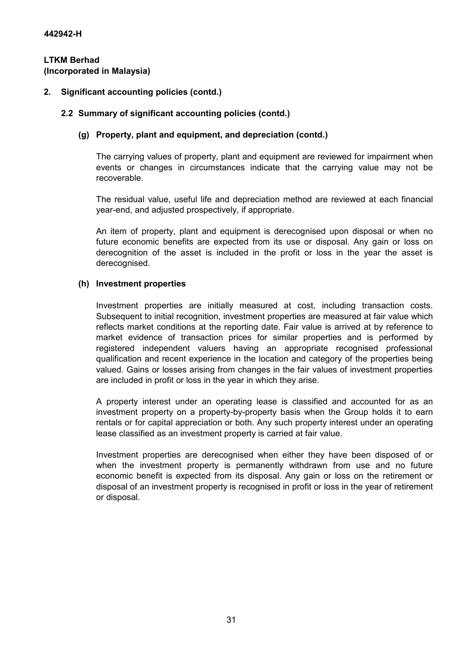# **2. Significant accounting policies (contd.)**

#### **2.2 Summary of significant accounting policies (contd.)**

## **(g) Property, plant and equipment, and depreciation (contd.)**

The carrying values of property, plant and equipment are reviewed for impairment when events or changes in circumstances indicate that the carrying value may not be recoverable.

The residual value, useful life and depreciation method are reviewed at each financial year-end, and adjusted prospectively, if appropriate.

An item of property, plant and equipment is derecognised upon disposal or when no future economic benefits are expected from its use or disposal. Any gain or loss on derecognition of the asset is included in the profit or loss in the year the asset is derecognised.

#### **(h) Investment properties**

Investment properties are initially measured at cost, including transaction costs. Subsequent to initial recognition, investment properties are measured at fair value which reflects market conditions at the reporting date. Fair value is arrived at by reference to market evidence of transaction prices for similar properties and is performed by registered independent valuers having an appropriate recognised professional qualification and recent experience in the location and category of the properties being valued. Gains or losses arising from changes in the fair values of investment properties are included in profit or loss in the year in which they arise.

A property interest under an operating lease is classified and accounted for as an investment property on a property-by-property basis when the Group holds it to earn rentals or for capital appreciation or both. Any such property interest under an operating lease classified as an investment property is carried at fair value.

Investment properties are derecognised when either they have been disposed of or when the investment property is permanently withdrawn from use and no future economic benefit is expected from its disposal. Any gain or loss on the retirement or disposal of an investment property is recognised in profit or loss in the year of retirement or disposal.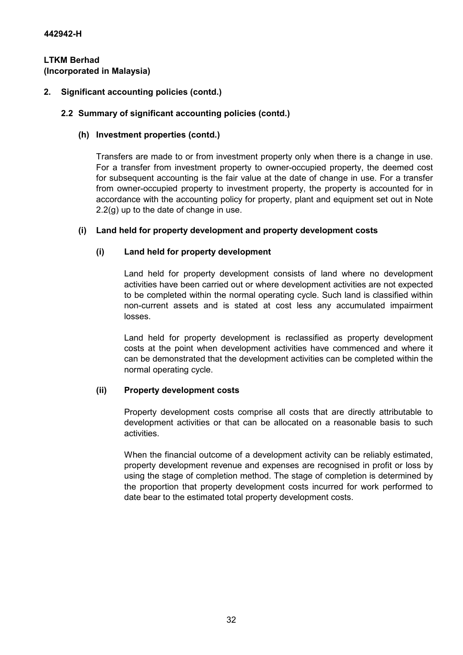# **2. Significant accounting policies (contd.)**

#### **2.2 Summary of significant accounting policies (contd.)**

#### **(h) Investment properties (contd.)**

Transfers are made to or from investment property only when there is a change in use. For a transfer from investment property to owner-occupied property, the deemed cost for subsequent accounting is the fair value at the date of change in use. For a transfer from owner-occupied property to investment property, the property is accounted for in accordance with the accounting policy for property, plant and equipment set out in Note 2.2(g) up to the date of change in use.

## **(i) Land held for property development and property development costs**

## **(i) Land held for property development**

Land held for property development consists of land where no development activities have been carried out or where development activities are not expected to be completed within the normal operating cycle. Such land is classified within non-current assets and is stated at cost less any accumulated impairment losses.

Land held for property development is reclassified as property development costs at the point when development activities have commenced and where it can be demonstrated that the development activities can be completed within the normal operating cycle.

#### **(ii) Property development costs**

Property development costs comprise all costs that are directly attributable to development activities or that can be allocated on a reasonable basis to such activities.

When the financial outcome of a development activity can be reliably estimated, property development revenue and expenses are recognised in profit or loss by using the stage of completion method. The stage of completion is determined by the proportion that property development costs incurred for work performed to date bear to the estimated total property development costs.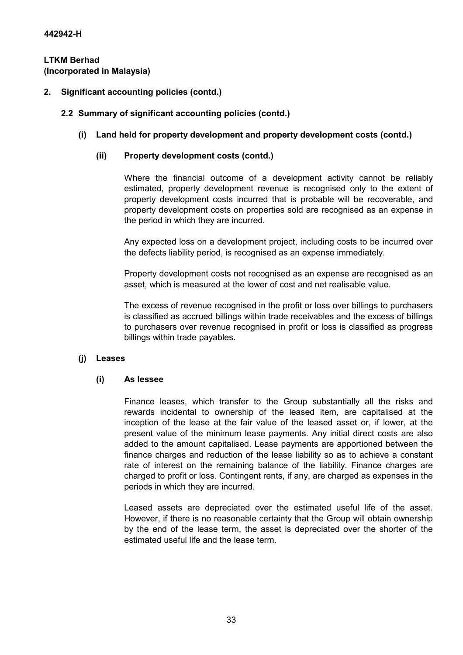# **2. Significant accounting policies (contd.)**

## **2.2 Summary of significant accounting policies (contd.)**

## **(i) Land held for property development and property development costs (contd.)**

#### **(ii) Property development costs (contd.)**

Where the financial outcome of a development activity cannot be reliably estimated, property development revenue is recognised only to the extent of property development costs incurred that is probable will be recoverable, and property development costs on properties sold are recognised as an expense in the period in which they are incurred.

Any expected loss on a development project, including costs to be incurred over the defects liability period, is recognised as an expense immediately.

Property development costs not recognised as an expense are recognised as an asset, which is measured at the lower of cost and net realisable value.

The excess of revenue recognised in the profit or loss over billings to purchasers is classified as accrued billings within trade receivables and the excess of billings to purchasers over revenue recognised in profit or loss is classified as progress billings within trade payables.

#### **(j) Leases**

#### **(i) As lessee**

Finance leases, which transfer to the Group substantially all the risks and rewards incidental to ownership of the leased item, are capitalised at the inception of the lease at the fair value of the leased asset or, if lower, at the present value of the minimum lease payments. Any initial direct costs are also added to the amount capitalised. Lease payments are apportioned between the finance charges and reduction of the lease liability so as to achieve a constant rate of interest on the remaining balance of the liability. Finance charges are charged to profit or loss. Contingent rents, if any, are charged as expenses in the periods in which they are incurred.

Leased assets are depreciated over the estimated useful life of the asset. However, if there is no reasonable certainty that the Group will obtain ownership by the end of the lease term, the asset is depreciated over the shorter of the estimated useful life and the lease term.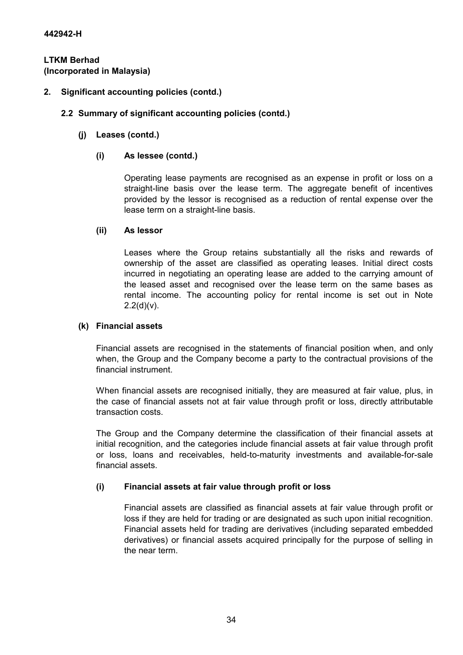# **2. Significant accounting policies (contd.)**

# **2.2 Summary of significant accounting policies (contd.)**

# **(j) Leases (contd.)**

## **(i) As lessee (contd.)**

Operating lease payments are recognised as an expense in profit or loss on a straight-line basis over the lease term. The aggregate benefit of incentives provided by the lessor is recognised as a reduction of rental expense over the lease term on a straight-line basis.

#### **(ii) As lessor**

Leases where the Group retains substantially all the risks and rewards of ownership of the asset are classified as operating leases. Initial direct costs incurred in negotiating an operating lease are added to the carrying amount of the leased asset and recognised over the lease term on the same bases as rental income. The accounting policy for rental income is set out in Note  $2.2(d)(v)$ .

## **(k) Financial assets**

Financial assets are recognised in the statements of financial position when, and only when, the Group and the Company become a party to the contractual provisions of the financial instrument.

When financial assets are recognised initially, they are measured at fair value, plus, in the case of financial assets not at fair value through profit or loss, directly attributable transaction costs.

The Group and the Company determine the classification of their financial assets at initial recognition, and the categories include financial assets at fair value through profit or loss, loans and receivables, held-to-maturity investments and available-for-sale financial assets.

# **(i) Financial assets at fair value through profit or loss**

Financial assets are classified as financial assets at fair value through profit or loss if they are held for trading or are designated as such upon initial recognition. Financial assets held for trading are derivatives (including separated embedded derivatives) or financial assets acquired principally for the purpose of selling in the near term.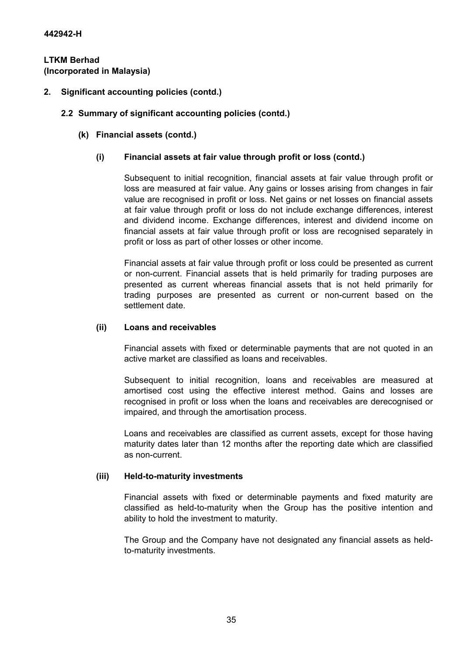# **2. Significant accounting policies (contd.)**

#### **2.2 Summary of significant accounting policies (contd.)**

#### **(k) Financial assets (contd.)**

#### **(i) Financial assets at fair value through profit or loss (contd.)**

Subsequent to initial recognition, financial assets at fair value through profit or loss are measured at fair value. Any gains or losses arising from changes in fair value are recognised in profit or loss. Net gains or net losses on financial assets at fair value through profit or loss do not include exchange differences, interest and dividend income. Exchange differences, interest and dividend income on financial assets at fair value through profit or loss are recognised separately in profit or loss as part of other losses or other income.

Financial assets at fair value through profit or loss could be presented as current or non-current. Financial assets that is held primarily for trading purposes are presented as current whereas financial assets that is not held primarily for trading purposes are presented as current or non-current based on the settlement date.

#### **(ii) Loans and receivables**

Financial assets with fixed or determinable payments that are not quoted in an active market are classified as loans and receivables.

Subsequent to initial recognition, loans and receivables are measured at amortised cost using the effective interest method. Gains and losses are recognised in profit or loss when the loans and receivables are derecognised or impaired, and through the amortisation process.

Loans and receivables are classified as current assets, except for those having maturity dates later than 12 months after the reporting date which are classified as non-current.

#### **(iii) Held-to-maturity investments**

Financial assets with fixed or determinable payments and fixed maturity are classified as held-to-maturity when the Group has the positive intention and ability to hold the investment to maturity.

The Group and the Company have not designated any financial assets as heldto-maturity investments.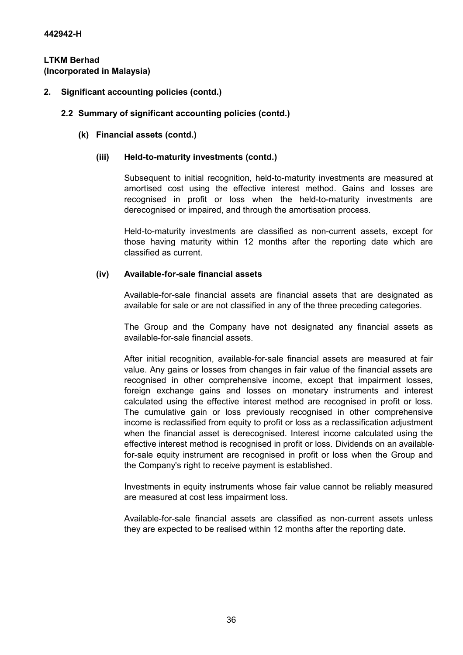## **2. Significant accounting policies (contd.)**

## **2.2 Summary of significant accounting policies (contd.)**

## **(k) Financial assets (contd.)**

### **(iii) Held-to-maturity investments (contd.)**

Subsequent to initial recognition, held-to-maturity investments are measured at amortised cost using the effective interest method. Gains and losses are recognised in profit or loss when the held-to-maturity investments are derecognised or impaired, and through the amortisation process.

Held-to-maturity investments are classified as non-current assets, except for those having maturity within 12 months after the reporting date which are classified as current.

## **(iv) Available-for-sale financial assets**

Available-for-sale financial assets are financial assets that are designated as available for sale or are not classified in any of the three preceding categories.

The Group and the Company have not designated any financial assets as available-for-sale financial assets.

After initial recognition, available-for-sale financial assets are measured at fair value. Any gains or losses from changes in fair value of the financial assets are recognised in other comprehensive income, except that impairment losses, foreign exchange gains and losses on monetary instruments and interest calculated using the effective interest method are recognised in profit or loss. The cumulative gain or loss previously recognised in other comprehensive income is reclassified from equity to profit or loss as a reclassification adjustment when the financial asset is derecognised. Interest income calculated using the effective interest method is recognised in profit or loss. Dividends on an availablefor-sale equity instrument are recognised in profit or loss when the Group and the Company's right to receive payment is established.

Investments in equity instruments whose fair value cannot be reliably measured are measured at cost less impairment loss.

Available-for-sale financial assets are classified as non-current assets unless they are expected to be realised within 12 months after the reporting date.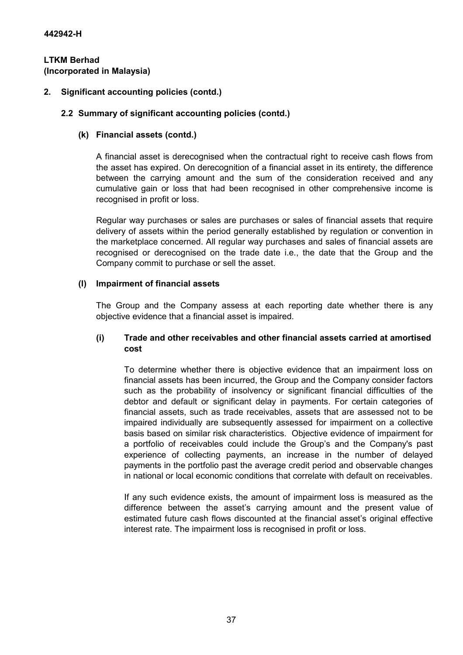## **2. Significant accounting policies (contd.)**

## **2.2 Summary of significant accounting policies (contd.)**

## **(k) Financial assets (contd.)**

A financial asset is derecognised when the contractual right to receive cash flows from the asset has expired. On derecognition of a financial asset in its entirety, the difference between the carrying amount and the sum of the consideration received and any cumulative gain or loss that had been recognised in other comprehensive income is recognised in profit or loss.

Regular way purchases or sales are purchases or sales of financial assets that require delivery of assets within the period generally established by regulation or convention in the marketplace concerned. All regular way purchases and sales of financial assets are recognised or derecognised on the trade date i.e., the date that the Group and the Company commit to purchase or sell the asset.

## **(l) Impairment of financial assets**

The Group and the Company assess at each reporting date whether there is any objective evidence that a financial asset is impaired.

#### **(i) Trade and other receivables and other financial assets carried at amortised cost**

To determine whether there is objective evidence that an impairment loss on financial assets has been incurred, the Group and the Company consider factors such as the probability of insolvency or significant financial difficulties of the debtor and default or significant delay in payments. For certain categories of financial assets, such as trade receivables, assets that are assessed not to be impaired individually are subsequently assessed for impairment on a collective basis based on similar risk characteristics. Objective evidence of impairment for a portfolio of receivables could include the Group's and the Company's past experience of collecting payments, an increase in the number of delayed payments in the portfolio past the average credit period and observable changes in national or local economic conditions that correlate with default on receivables.

If any such evidence exists, the amount of impairment loss is measured as the difference between the asset's carrying amount and the present value of estimated future cash flows discounted at the financial asset's original effective interest rate. The impairment loss is recognised in profit or loss.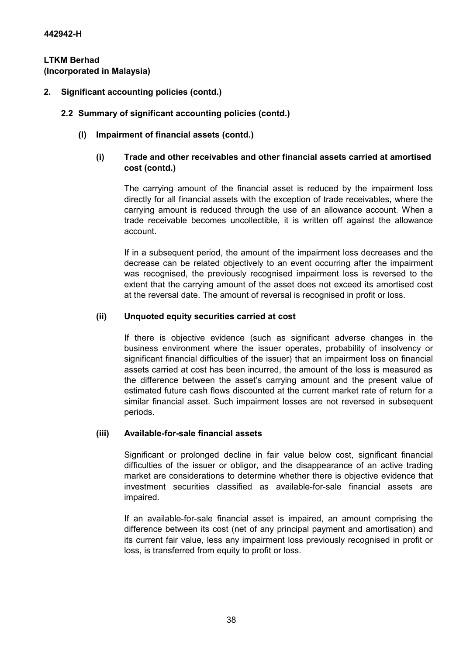## **2. Significant accounting policies (contd.)**

## **2.2 Summary of significant accounting policies (contd.)**

## **(l) Impairment of financial assets (contd.)**

#### **(i) Trade and other receivables and other financial assets carried at amortised cost (contd.)**

The carrying amount of the financial asset is reduced by the impairment loss directly for all financial assets with the exception of trade receivables, where the carrying amount is reduced through the use of an allowance account. When a trade receivable becomes uncollectible, it is written off against the allowance account.

If in a subsequent period, the amount of the impairment loss decreases and the decrease can be related objectively to an event occurring after the impairment was recognised, the previously recognised impairment loss is reversed to the extent that the carrying amount of the asset does not exceed its amortised cost at the reversal date. The amount of reversal is recognised in profit or loss.

## **(ii) Unquoted equity securities carried at cost**

If there is objective evidence (such as significant adverse changes in the business environment where the issuer operates, probability of insolvency or significant financial difficulties of the issuer) that an impairment loss on financial assets carried at cost has been incurred, the amount of the loss is measured as the difference between the asset's carrying amount and the present value of estimated future cash flows discounted at the current market rate of return for a similar financial asset. Such impairment losses are not reversed in subsequent periods.

## **(iii) Available-for-sale financial assets**

Significant or prolonged decline in fair value below cost, significant financial difficulties of the issuer or obligor, and the disappearance of an active trading market are considerations to determine whether there is objective evidence that investment securities classified as available-for-sale financial assets are impaired.

If an available-for-sale financial asset is impaired, an amount comprising the difference between its cost (net of any principal payment and amortisation) and its current fair value, less any impairment loss previously recognised in profit or loss, is transferred from equity to profit or loss.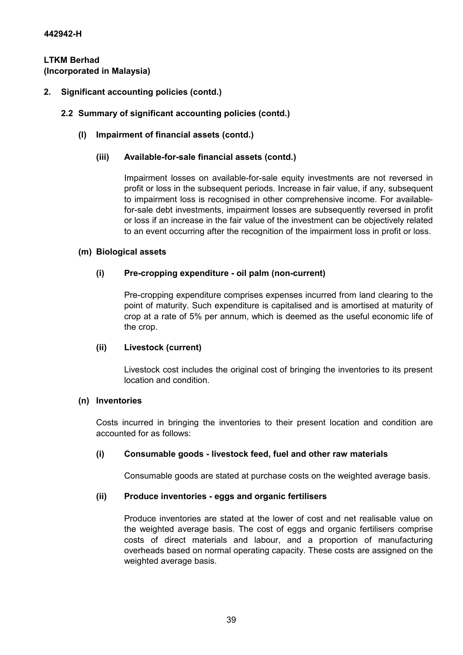## **2. Significant accounting policies (contd.)**

## **2.2 Summary of significant accounting policies (contd.)**

## **(l) Impairment of financial assets (contd.)**

## **(iii) Available-for-sale financial assets (contd.)**

Impairment losses on available-for-sale equity investments are not reversed in profit or loss in the subsequent periods. Increase in fair value, if any, subsequent to impairment loss is recognised in other comprehensive income. For availablefor-sale debt investments, impairment losses are subsequently reversed in profit or loss if an increase in the fair value of the investment can be objectively related to an event occurring after the recognition of the impairment loss in profit or loss.

### **(m) Biological assets**

### **(i) Pre-cropping expenditure - oil palm (non-current)**

Pre-cropping expenditure comprises expenses incurred from land clearing to the point of maturity. Such expenditure is capitalised and is amortised at maturity of crop at a rate of 5% per annum, which is deemed as the useful economic life of the crop.

### **(ii) Livestock (current)**

Livestock cost includes the original cost of bringing the inventories to its present location and condition.

### **(n) Inventories**

Costs incurred in bringing the inventories to their present location and condition are accounted for as follows:

### **(i) Consumable goods - livestock feed, fuel and other raw materials**

Consumable goods are stated at purchase costs on the weighted average basis.

### **(ii) Produce inventories - eggs and organic fertilisers**

Produce inventories are stated at the lower of cost and net realisable value on the weighted average basis. The cost of eggs and organic fertilisers comprise costs of direct materials and labour, and a proportion of manufacturing overheads based on normal operating capacity. These costs are assigned on the weighted average basis.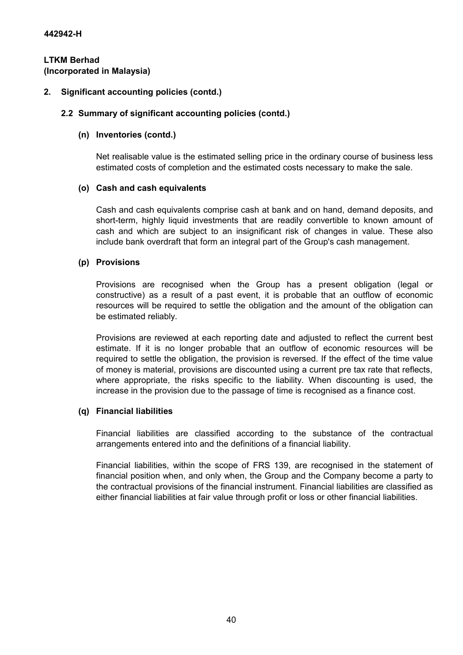## **2. Significant accounting policies (contd.)**

## **2.2 Summary of significant accounting policies (contd.)**

### **(n) Inventories (contd.)**

Net realisable value is the estimated selling price in the ordinary course of business less estimated costs of completion and the estimated costs necessary to make the sale.

## **(o) Cash and cash equivalents**

Cash and cash equivalents comprise cash at bank and on hand, demand deposits, and short-term, highly liquid investments that are readily convertible to known amount of cash and which are subject to an insignificant risk of changes in value. These also include bank overdraft that form an integral part of the Group's cash management.

### **(p) Provisions**

Provisions are recognised when the Group has a present obligation (legal or constructive) as a result of a past event, it is probable that an outflow of economic resources will be required to settle the obligation and the amount of the obligation can be estimated reliably.

Provisions are reviewed at each reporting date and adjusted to reflect the current best estimate. If it is no longer probable that an outflow of economic resources will be required to settle the obligation, the provision is reversed. If the effect of the time value of money is material, provisions are discounted using a current pre tax rate that reflects, where appropriate, the risks specific to the liability. When discounting is used, the increase in the provision due to the passage of time is recognised as a finance cost.

### **(q) Financial liabilities**

Financial liabilities are classified according to the substance of the contractual arrangements entered into and the definitions of a financial liability.

Financial liabilities, within the scope of FRS 139, are recognised in the statement of financial position when, and only when, the Group and the Company become a party to the contractual provisions of the financial instrument. Financial liabilities are classified as either financial liabilities at fair value through profit or loss or other financial liabilities.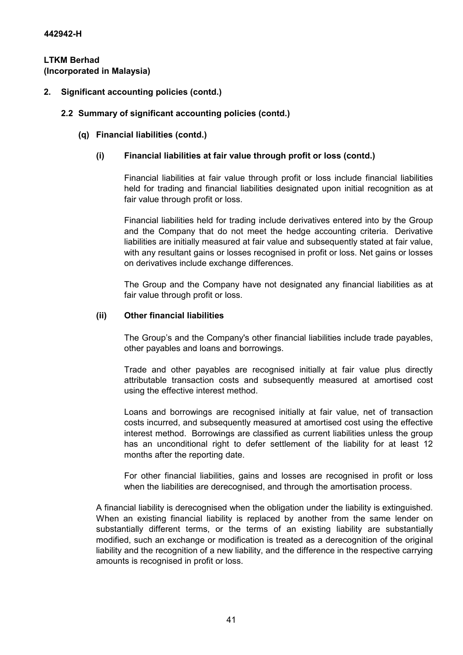## **2. Significant accounting policies (contd.)**

## **2.2 Summary of significant accounting policies (contd.)**

## **(q) Financial liabilities (contd.)**

## **(i) Financial liabilities at fair value through profit or loss (contd.)**

Financial liabilities at fair value through profit or loss include financial liabilities held for trading and financial liabilities designated upon initial recognition as at fair value through profit or loss.

Financial liabilities held for trading include derivatives entered into by the Group and the Company that do not meet the hedge accounting criteria. Derivative liabilities are initially measured at fair value and subsequently stated at fair value, with any resultant gains or losses recognised in profit or loss. Net gains or losses on derivatives include exchange differences.

The Group and the Company have not designated any financial liabilities as at fair value through profit or loss.

### **(ii) Other financial liabilities**

The Group's and the Company's other financial liabilities include trade payables, other payables and loans and borrowings.

Trade and other payables are recognised initially at fair value plus directly attributable transaction costs and subsequently measured at amortised cost using the effective interest method.

Loans and borrowings are recognised initially at fair value, net of transaction costs incurred, and subsequently measured at amortised cost using the effective interest method. Borrowings are classified as current liabilities unless the group has an unconditional right to defer settlement of the liability for at least 12 months after the reporting date.

For other financial liabilities, gains and losses are recognised in profit or loss when the liabilities are derecognised, and through the amortisation process.

A financial liability is derecognised when the obligation under the liability is extinguished. When an existing financial liability is replaced by another from the same lender on substantially different terms, or the terms of an existing liability are substantially modified, such an exchange or modification is treated as a derecognition of the original liability and the recognition of a new liability, and the difference in the respective carrying amounts is recognised in profit or loss.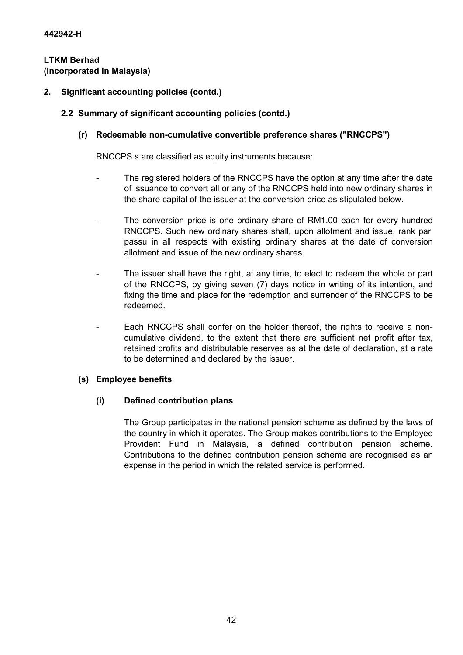## **2. Significant accounting policies (contd.)**

## **2.2 Summary of significant accounting policies (contd.)**

## **(r) Redeemable non-cumulative convertible preference shares ("RNCCPS")**

RNCCPS s are classified as equity instruments because:

- The registered holders of the RNCCPS have the option at any time after the date of issuance to convert all or any of the RNCCPS held into new ordinary shares in the share capital of the issuer at the conversion price as stipulated below.
- The conversion price is one ordinary share of RM1.00 each for every hundred RNCCPS. Such new ordinary shares shall, upon allotment and issue, rank pari passu in all respects with existing ordinary shares at the date of conversion allotment and issue of the new ordinary shares.
- The issuer shall have the right, at any time, to elect to redeem the whole or part of the RNCCPS, by giving seven (7) days notice in writing of its intention, and fixing the time and place for the redemption and surrender of the RNCCPS to be redeemed.
- Each RNCCPS shall confer on the holder thereof, the rights to receive a noncumulative dividend, to the extent that there are sufficient net profit after tax, retained profits and distributable reserves as at the date of declaration, at a rate to be determined and declared by the issuer.

## **(s) Employee benefits**

## **(i) Defined contribution plans**

The Group participates in the national pension scheme as defined by the laws of the country in which it operates. The Group makes contributions to the Employee Provident Fund in Malaysia, a defined contribution pension scheme. Contributions to the defined contribution pension scheme are recognised as an expense in the period in which the related service is performed.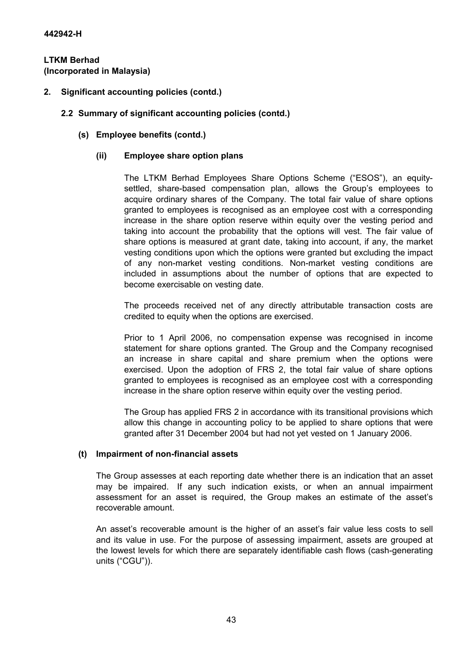**2. Significant accounting policies (contd.)**

## **2.2 Summary of significant accounting policies (contd.)**

**(s) Employee benefits (contd.)**

## **(ii) Employee share option plans**

The LTKM Berhad Employees Share Options Scheme ("ESOS"), an equitysettled, share-based compensation plan, allows the Group's employees to acquire ordinary shares of the Company. The total fair value of share options granted to employees is recognised as an employee cost with a corresponding increase in the share option reserve within equity over the vesting period and taking into account the probability that the options will vest. The fair value of share options is measured at grant date, taking into account, if any, the market vesting conditions upon which the options were granted but excluding the impact of any non-market vesting conditions. Non-market vesting conditions are included in assumptions about the number of options that are expected to become exercisable on vesting date.

The proceeds received net of any directly attributable transaction costs are credited to equity when the options are exercised.

Prior to 1 April 2006, no compensation expense was recognised in income statement for share options granted. The Group and the Company recognised an increase in share capital and share premium when the options were exercised. Upon the adoption of FRS 2, the total fair value of share options granted to employees is recognised as an employee cost with a corresponding increase in the share option reserve within equity over the vesting period.

The Group has applied FRS 2 in accordance with its transitional provisions which allow this change in accounting policy to be applied to share options that were granted after 31 December 2004 but had not yet vested on 1 January 2006.

### **(t) Impairment of non-financial assets**

The Group assesses at each reporting date whether there is an indication that an asset may be impaired. If any such indication exists, or when an annual impairment assessment for an asset is required, the Group makes an estimate of the asset's recoverable amount.

An asset's recoverable amount is the higher of an asset's fair value less costs to sell and its value in use. For the purpose of assessing impairment, assets are grouped at the lowest levels for which there are separately identifiable cash flows (cash-generating units ("CGU")).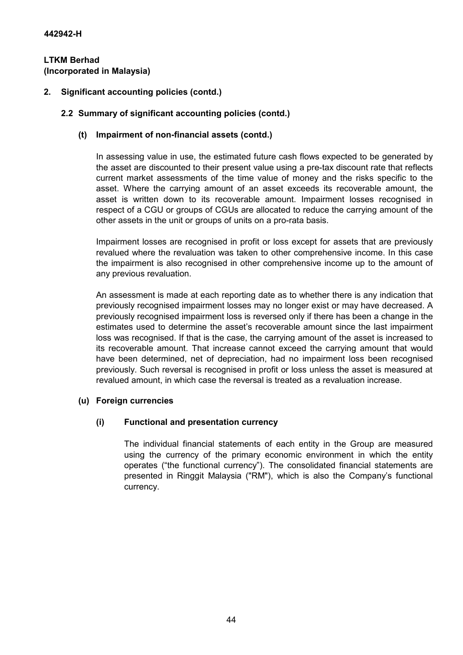## **2. Significant accounting policies (contd.)**

## **2.2 Summary of significant accounting policies (contd.)**

## **(t) Impairment of non-financial assets (contd.)**

In assessing value in use, the estimated future cash flows expected to be generated by the asset are discounted to their present value using a pre-tax discount rate that reflects current market assessments of the time value of money and the risks specific to the asset. Where the carrying amount of an asset exceeds its recoverable amount, the asset is written down to its recoverable amount. Impairment losses recognised in respect of a CGU or groups of CGUs are allocated to reduce the carrying amount of the other assets in the unit or groups of units on a pro-rata basis.

Impairment losses are recognised in profit or loss except for assets that are previously revalued where the revaluation was taken to other comprehensive income. In this case the impairment is also recognised in other comprehensive income up to the amount of any previous revaluation.

An assessment is made at each reporting date as to whether there is any indication that previously recognised impairment losses may no longer exist or may have decreased. A previously recognised impairment loss is reversed only if there has been a change in the estimates used to determine the asset's recoverable amount since the last impairment loss was recognised. If that is the case, the carrying amount of the asset is increased to its recoverable amount. That increase cannot exceed the carrying amount that would have been determined, net of depreciation, had no impairment loss been recognised previously. Such reversal is recognised in profit or loss unless the asset is measured at revalued amount, in which case the reversal is treated as a revaluation increase.

### **(u) Foreign currencies**

## **(i) Functional and presentation currency**

The individual financial statements of each entity in the Group are measured using the currency of the primary economic environment in which the entity operates ("the functional currency"). The consolidated financial statements are presented in Ringgit Malaysia ("RM"), which is also the Company's functional currency.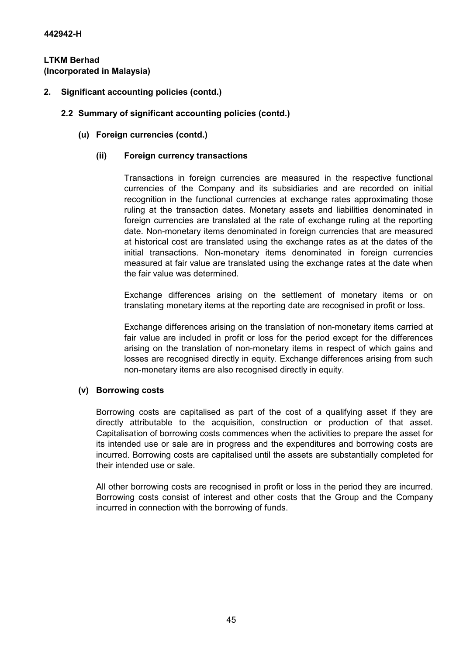## **2. Significant accounting policies (contd.)**

## **2.2 Summary of significant accounting policies (contd.)**

## **(u) Foreign currencies (contd.)**

## **(ii) Foreign currency transactions**

Transactions in foreign currencies are measured in the respective functional currencies of the Company and its subsidiaries and are recorded on initial recognition in the functional currencies at exchange rates approximating those ruling at the transaction dates. Monetary assets and liabilities denominated in foreign currencies are translated at the rate of exchange ruling at the reporting date. Non-monetary items denominated in foreign currencies that are measured at historical cost are translated using the exchange rates as at the dates of the initial transactions. Non-monetary items denominated in foreign currencies measured at fair value are translated using the exchange rates at the date when the fair value was determined.

Exchange differences arising on the settlement of monetary items or on translating monetary items at the reporting date are recognised in profit or loss.

Exchange differences arising on the translation of non-monetary items carried at fair value are included in profit or loss for the period except for the differences arising on the translation of non-monetary items in respect of which gains and losses are recognised directly in equity. Exchange differences arising from such non-monetary items are also recognised directly in equity.

### **(v) Borrowing costs**

Borrowing costs are capitalised as part of the cost of a qualifying asset if they are directly attributable to the acquisition, construction or production of that asset. Capitalisation of borrowing costs commences when the activities to prepare the asset for its intended use or sale are in progress and the expenditures and borrowing costs are incurred. Borrowing costs are capitalised until the assets are substantially completed for their intended use or sale.

All other borrowing costs are recognised in profit or loss in the period they are incurred. Borrowing costs consist of interest and other costs that the Group and the Company incurred in connection with the borrowing of funds.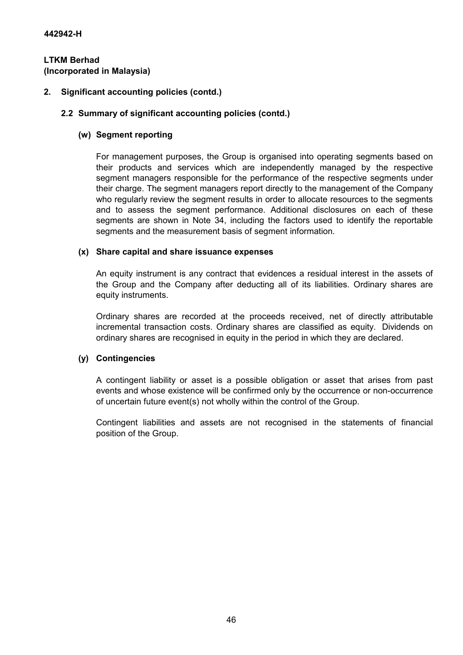## **2. Significant accounting policies (contd.)**

## **2.2 Summary of significant accounting policies (contd.)**

## **(w) Segment reporting**

For management purposes, the Group is organised into operating segments based on their products and services which are independently managed by the respective segment managers responsible for the performance of the respective segments under their charge. The segment managers report directly to the management of the Company who regularly review the segment results in order to allocate resources to the segments and to assess the segment performance. Additional disclosures on each of these segments are shown in Note 34, including the factors used to identify the reportable segments and the measurement basis of segment information.

### **(x) Share capital and share issuance expenses**

An equity instrument is any contract that evidences a residual interest in the assets of the Group and the Company after deducting all of its liabilities. Ordinary shares are equity instruments.

Ordinary shares are recorded at the proceeds received, net of directly attributable incremental transaction costs. Ordinary shares are classified as equity. Dividends on ordinary shares are recognised in equity in the period in which they are declared.

### **(y) Contingencies**

A contingent liability or asset is a possible obligation or asset that arises from past events and whose existence will be confirmed only by the occurrence or non-occurrence of uncertain future event(s) not wholly within the control of the Group.

Contingent liabilities and assets are not recognised in the statements of financial position of the Group.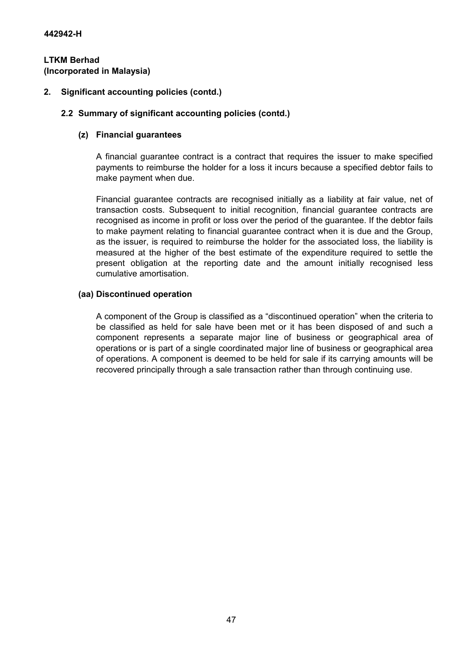## **2. Significant accounting policies (contd.)**

## **2.2 Summary of significant accounting policies (contd.)**

## **(z) Financial guarantees**

A financial guarantee contract is a contract that requires the issuer to make specified payments to reimburse the holder for a loss it incurs because a specified debtor fails to make payment when due.

Financial guarantee contracts are recognised initially as a liability at fair value, net of transaction costs. Subsequent to initial recognition, financial guarantee contracts are recognised as income in profit or loss over the period of the guarantee. If the debtor fails to make payment relating to financial guarantee contract when it is due and the Group, as the issuer, is required to reimburse the holder for the associated loss, the liability is measured at the higher of the best estimate of the expenditure required to settle the present obligation at the reporting date and the amount initially recognised less cumulative amortisation.

## **(aa) Discontinued operation**

A component of the Group is classified as a "discontinued operation" when the criteria to be classified as held for sale have been met or it has been disposed of and such a component represents a separate major line of business or geographical area of operations or is part of a single coordinated major line of business or geographical area of operations. A component is deemed to be held for sale if its carrying amounts will be recovered principally through a sale transaction rather than through continuing use.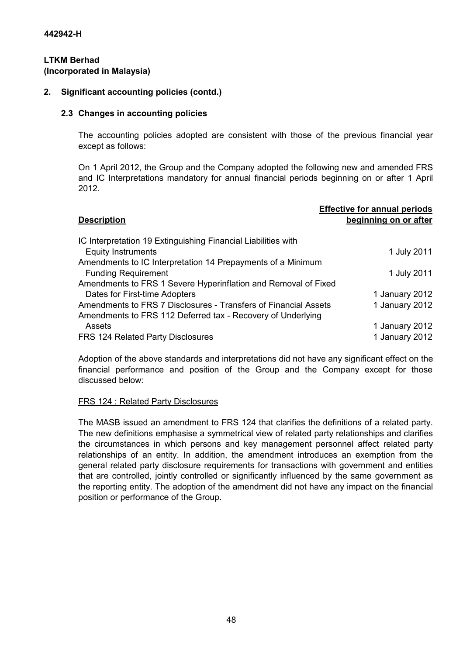## **2. Significant accounting policies (contd.)**

## **2.3 Changes in accounting policies**

The accounting policies adopted are consistent with those of the previous financial year except as follows:

On 1 April 2012, the Group and the Company adopted the following new and amended FRS and IC Interpretations mandatory for annual financial periods beginning on or after 1 April 2012.

| <b>Description</b>                                                                                                             | <b>Effective for annual periods</b><br>beginning on or after |
|--------------------------------------------------------------------------------------------------------------------------------|--------------------------------------------------------------|
| IC Interpretation 19 Extinguishing Financial Liabilities with<br><b>Equity Instruments</b>                                     | 1 July 2011                                                  |
| Amendments to IC Interpretation 14 Prepayments of a Minimum<br><b>Funding Requirement</b>                                      | 1 July 2011                                                  |
| Amendments to FRS 1 Severe Hyperinflation and Removal of Fixed<br>Dates for First-time Adopters                                | 1 January 2012                                               |
| Amendments to FRS 7 Disclosures - Transfers of Financial Assets<br>Amendments to FRS 112 Deferred tax - Recovery of Underlying | 1 January 2012                                               |
| Assets<br>FRS 124 Related Party Disclosures                                                                                    | 1 January 2012<br>1 January 2012                             |

Adoption of the above standards and interpretations did not have any significant effect on the financial performance and position of the Group and the Company except for those discussed below:

### FRS 124 : Related Party Disclosures

The MASB issued an amendment to FRS 124 that clarifies the definitions of a related party. The new definitions emphasise a symmetrical view of related party relationships and clarifies the circumstances in which persons and key management personnel affect related party relationships of an entity. In addition, the amendment introduces an exemption from the general related party disclosure requirements for transactions with government and entities that are controlled, jointly controlled or significantly influenced by the same government as the reporting entity. The adoption of the amendment did not have any impact on the financial position or performance of the Group.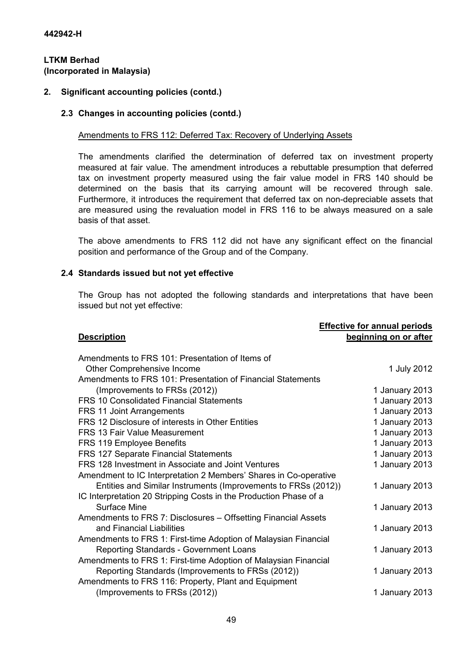## **2. Significant accounting policies (contd.)**

### **2.3 Changes in accounting policies (contd.)**

### Amendments to FRS 112: Deferred Tax: Recovery of Underlying Assets

The amendments clarified the determination of deferred tax on investment property measured at fair value. The amendment introduces a rebuttable presumption that deferred tax on investment property measured using the fair value model in FRS 140 should be determined on the basis that its carrying amount will be recovered through sale. Furthermore, it introduces the requirement that deferred tax on non-depreciable assets that are measured using the revaluation model in FRS 116 to be always measured on a sale basis of that asset.

The above amendments to FRS 112 did not have any significant effect on the financial position and performance of the Group and of the Company.

### **2.4 Standards issued but not yet effective**

The Group has not adopted the following standards and interpretations that have been issued but not yet effective:

|                                                                   | <b>Effective for annual periods</b> |
|-------------------------------------------------------------------|-------------------------------------|
| <b>Description</b>                                                | beginning on or after               |
| Amendments to FRS 101: Presentation of Items of                   |                                     |
| Other Comprehensive Income                                        | 1 July 2012                         |
| Amendments to FRS 101: Presentation of Financial Statements       |                                     |
| (Improvements to FRSs (2012))                                     | 1 January 2013                      |
| <b>FRS 10 Consolidated Financial Statements</b>                   | 1 January 2013                      |
| FRS 11 Joint Arrangements                                         | 1 January 2013                      |
| FRS 12 Disclosure of interests in Other Entities                  | 1 January 2013                      |
| FRS 13 Fair Value Measurement                                     | 1 January 2013                      |
| FRS 119 Employee Benefits                                         | 1 January 2013                      |
| FRS 127 Separate Financial Statements                             | 1 January 2013                      |
| FRS 128 Investment in Associate and Joint Ventures                | 1 January 2013                      |
| Amendment to IC Interpretation 2 Members' Shares in Co-operative  |                                     |
| Entities and Similar Instruments (Improvements to FRSs (2012))    | 1 January 2013                      |
| IC Interpretation 20 Stripping Costs in the Production Phase of a |                                     |
| Surface Mine                                                      | 1 January 2013                      |
| Amendments to FRS 7: Disclosures – Offsetting Financial Assets    |                                     |
| and Financial Liabilities                                         | 1 January 2013                      |
| Amendments to FRS 1: First-time Adoption of Malaysian Financial   |                                     |
| <b>Reporting Standards - Government Loans</b>                     | 1 January 2013                      |
| Amendments to FRS 1: First-time Adoption of Malaysian Financial   |                                     |
| Reporting Standards (Improvements to FRSs (2012))                 | 1 January 2013                      |
| Amendments to FRS 116: Property, Plant and Equipment              |                                     |
| (Improvements to FRSs (2012))                                     | 1 January 2013                      |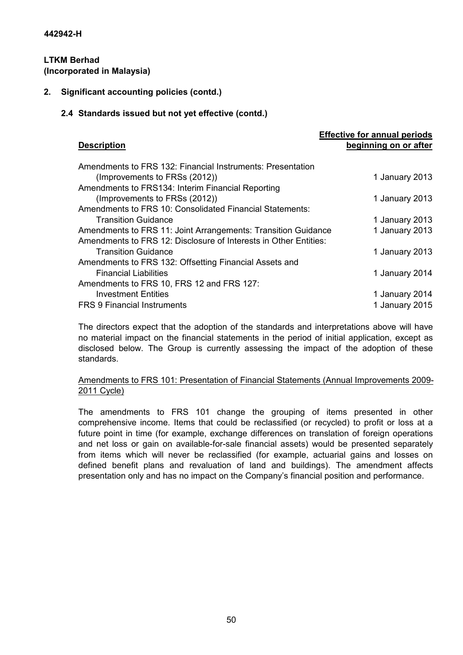## **2. Significant accounting policies (contd.)**

## **2.4 Standards issued but not yet effective (contd.)**

## **Effective for annual periods Description beginning** on or after Amendments to FRS 132: Financial Instruments: Presentation (Improvements to FRSs (2012)) (Improvements to FRSs (2012)) Amendments to FRS134: Interim Financial Reporting (Improvements to FRSs (2012)) (Improvements to FRSs (2012)) Amendments to FRS 10: Consolidated Financial Statements: **Transition Guidance** 1 January 2013 Amendments to FRS 11: Joint Arrangements: Transition Guidance 1 January 2013 Amendments to FRS 12: Disclosure of Interests in Other Entities: Transition Guidance **1 1** January 2013 Amendments to FRS 132: Offsetting Financial Assets and Financial Liabilities 1 January 2014 Amendments to FRS 10, FRS 12 and FRS 127: **Investment Entities 1 January 2014** FRS 9 Financial Instruments 1 January 2015

The directors expect that the adoption of the standards and interpretations above will have no material impact on the financial statements in the period of initial application, except as disclosed below. The Group is currently assessing the impact of the adoption of these standards.

## Amendments to FRS 101: Presentation of Financial Statements (Annual Improvements 2009- 2011 Cycle)

The amendments to FRS 101 change the grouping of items presented in other comprehensive income. Items that could be reclassified (or recycled) to profit or loss at a future point in time (for example, exchange differences on translation of foreign operations and net loss or gain on available-for-sale financial assets) would be presented separately from items which will never be reclassified (for example, actuarial gains and losses on defined benefit plans and revaluation of land and buildings). The amendment affects presentation only and has no impact on the Company's financial position and performance.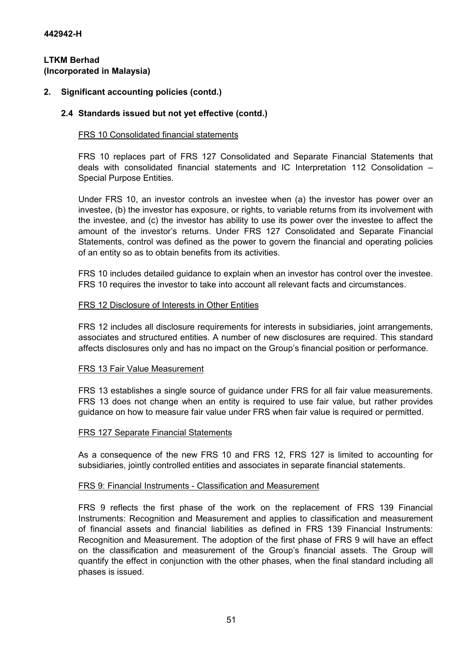## **2. Significant accounting policies (contd.)**

## **2.4 Standards issued but not yet effective (contd.)**

#### FRS 10 Consolidated financial statements

FRS 10 replaces part of FRS 127 Consolidated and Separate Financial Statements that deals with consolidated financial statements and IC Interpretation 112 Consolidation – Special Purpose Entities.

Under FRS 10, an investor controls an investee when (a) the investor has power over an investee, (b) the investor has exposure, or rights, to variable returns from its involvement with the investee, and (c) the investor has ability to use its power over the investee to affect the amount of the investor's returns. Under FRS 127 Consolidated and Separate Financial Statements, control was defined as the power to govern the financial and operating policies of an entity so as to obtain benefits from its activities.

FRS 10 includes detailed guidance to explain when an investor has control over the investee. FRS 10 requires the investor to take into account all relevant facts and circumstances.

#### FRS 12 Disclosure of Interests in Other Entities

FRS 12 includes all disclosure requirements for interests in subsidiaries, joint arrangements, associates and structured entities. A number of new disclosures are required. This standard affects disclosures only and has no impact on the Group's financial position or performance.

### FRS 13 Fair Value Measurement

FRS 13 establishes a single source of guidance under FRS for all fair value measurements. FRS 13 does not change when an entity is required to use fair value, but rather provides guidance on how to measure fair value under FRS when fair value is required or permitted.

### FRS 127 Separate Financial Statements

As a consequence of the new FRS 10 and FRS 12, FRS 127 is limited to accounting for subsidiaries, jointly controlled entities and associates in separate financial statements.

#### FRS 9: Financial Instruments - Classification and Measurement

FRS 9 reflects the first phase of the work on the replacement of FRS 139 Financial Instruments: Recognition and Measurement and applies to classification and measurement of financial assets and financial liabilities as defined in FRS 139 Financial Instruments: Recognition and Measurement. The adoption of the first phase of FRS 9 will have an effect on the classification and measurement of the Group's financial assets. The Group will quantify the effect in conjunction with the other phases, when the final standard including all phases is issued.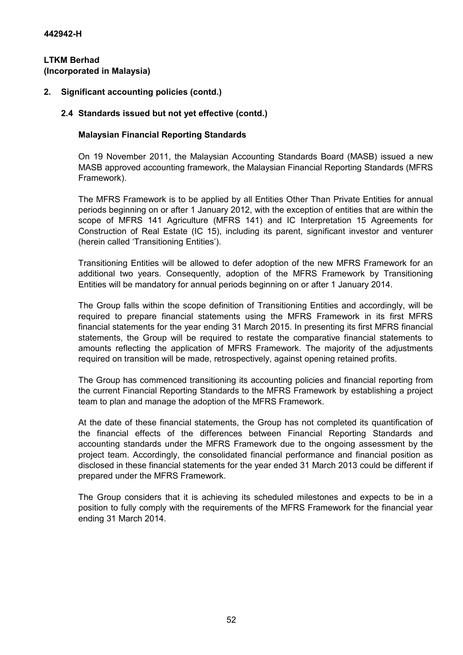## **2. Significant accounting policies (contd.)**

## **2.4 Standards issued but not yet effective (contd.)**

## **Malaysian Financial Reporting Standards**

On 19 November 2011, the Malaysian Accounting Standards Board (MASB) issued a new MASB approved accounting framework, the Malaysian Financial Reporting Standards (MFRS Framework).

The MFRS Framework is to be applied by all Entities Other Than Private Entities for annual periods beginning on or after 1 January 2012, with the exception of entities that are within the scope of MFRS 141 Agriculture (MFRS 141) and IC Interpretation 15 Agreements for Construction of Real Estate (IC 15), including its parent, significant investor and venturer (herein called 'Transitioning Entities').

Transitioning Entities will be allowed to defer adoption of the new MFRS Framework for an additional two years. Consequently, adoption of the MFRS Framework by Transitioning Entities will be mandatory for annual periods beginning on or after 1 January 2014.

The Group falls within the scope definition of Transitioning Entities and accordingly, will be required to prepare financial statements using the MFRS Framework in its first MFRS financial statements for the year ending 31 March 2015. In presenting its first MFRS financial statements, the Group will be required to restate the comparative financial statements to amounts reflecting the application of MFRS Framework. The majority of the adjustments required on transition will be made, retrospectively, against opening retained profits.

The Group has commenced transitioning its accounting policies and financial reporting from the current Financial Reporting Standards to the MFRS Framework by establishing a project team to plan and manage the adoption of the MFRS Framework.

At the date of these financial statements, the Group has not completed its quantification of the financial effects of the differences between Financial Reporting Standards and accounting standards under the MFRS Framework due to the ongoing assessment by the project team. Accordingly, the consolidated financial performance and financial position as disclosed in these financial statements for the year ended 31 March 2013 could be different if prepared under the MFRS Framework.

The Group considers that it is achieving its scheduled milestones and expects to be in a position to fully comply with the requirements of the MFRS Framework for the financial year ending 31 March 2014.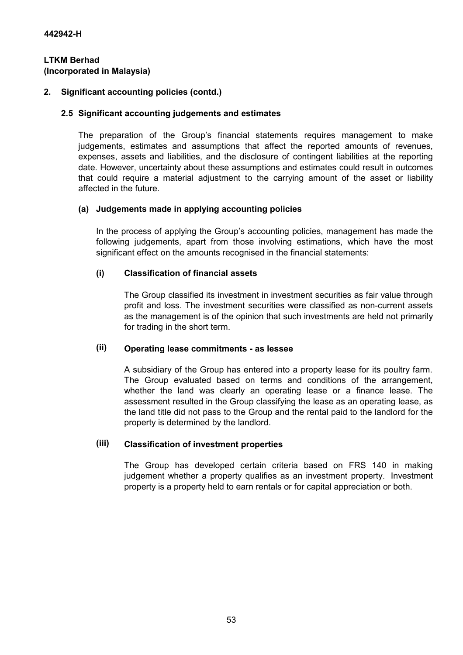## **2. Significant accounting policies (contd.)**

## **2.5 Significant accounting judgements and estimates**

The preparation of the Group's financial statements requires management to make judgements, estimates and assumptions that affect the reported amounts of revenues, expenses, assets and liabilities, and the disclosure of contingent liabilities at the reporting date. However, uncertainty about these assumptions and estimates could result in outcomes that could require a material adjustment to the carrying amount of the asset or liability affected in the future.

## **(a) Judgements made in applying accounting policies**

In the process of applying the Group's accounting policies, management has made the following judgements, apart from those involving estimations, which have the most significant effect on the amounts recognised in the financial statements:

## **(i) Classification of financial assets**

The Group classified its investment in investment securities as fair value through profit and loss. The investment securities were classified as non-current assets as the management is of the opinion that such investments are held not primarily for trading in the short term.

## **(ii) Operating lease commitments - as lessee**

A subsidiary of the Group has entered into a property lease for its poultry farm. The Group evaluated based on terms and conditions of the arrangement, whether the land was clearly an operating lease or a finance lease. The assessment resulted in the Group classifying the lease as an operating lease, as the land title did not pass to the Group and the rental paid to the landlord for the property is determined by the landlord.

## **(iii) Classification of investment properties**

The Group has developed certain criteria based on FRS 140 in making judgement whether a property qualifies as an investment property. Investment property is a property held to earn rentals or for capital appreciation or both.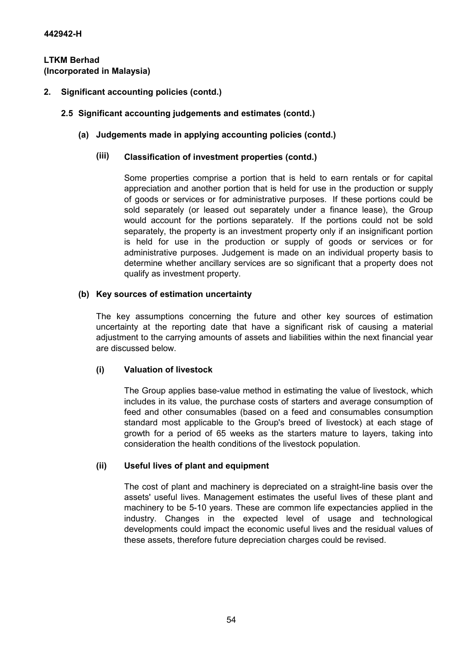## **2. Significant accounting policies (contd.)**

## **2.5 Significant accounting judgements and estimates (contd.)**

## **(a) Judgements made in applying accounting policies (contd.)**

## **(iii) Classification of investment properties (contd.)**

Some properties comprise a portion that is held to earn rentals or for capital appreciation and another portion that is held for use in the production or supply of goods or services or for administrative purposes. If these portions could be sold separately (or leased out separately under a finance lease), the Group would account for the portions separately. If the portions could not be sold separately, the property is an investment property only if an insignificant portion is held for use in the production or supply of goods or services or for administrative purposes. Judgement is made on an individual property basis to determine whether ancillary services are so significant that a property does not qualify as investment property.

### **(b) Key sources of estimation uncertainty**

The key assumptions concerning the future and other key sources of estimation uncertainty at the reporting date that have a significant risk of causing a material adjustment to the carrying amounts of assets and liabilities within the next financial year are discussed below.

### **(i) Valuation of livestock**

The Group applies base-value method in estimating the value of livestock, which includes in its value, the purchase costs of starters and average consumption of feed and other consumables (based on a feed and consumables consumption standard most applicable to the Group's breed of livestock) at each stage of growth for a period of 65 weeks as the starters mature to layers, taking into consideration the health conditions of the livestock population.

### **(ii) Useful lives of plant and equipment**

The cost of plant and machinery is depreciated on a straight-line basis over the assets' useful lives. Management estimates the useful lives of these plant and machinery to be 5-10 years. These are common life expectancies applied in the industry. Changes in the expected level of usage and technological developments could impact the economic useful lives and the residual values of these assets, therefore future depreciation charges could be revised.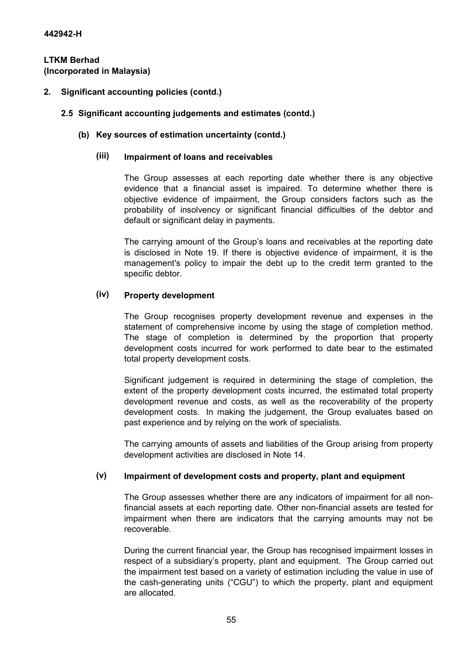## **2. Significant accounting policies (contd.)**

## **2.5 Significant accounting judgements and estimates (contd.)**

### **(b) Key sources of estimation uncertainty (contd.)**

### **(iii) Impairment of loans and receivables**

The Group assesses at each reporting date whether there is any objective evidence that a financial asset is impaired. To determine whether there is objective evidence of impairment, the Group considers factors such as the probability of insolvency or significant financial difficulties of the debtor and default or significant delay in payments.

The carrying amount of the Group's loans and receivables at the reporting date is disclosed in Note 19. If there is objective evidence of impairment, it is the management's policy to impair the debt up to the credit term granted to the specific debtor.

### **(iv) Property development**

The Group recognises property development revenue and expenses in the statement of comprehensive income by using the stage of completion method. The stage of completion is determined by the proportion that property development costs incurred for work performed to date bear to the estimated total property development costs.

Significant judgement is required in determining the stage of completion, the extent of the property development costs incurred, the estimated total property development revenue and costs, as well as the recoverability of the property development costs. In making the judgement, the Group evaluates based on past experience and by relying on the work of specialists.

The carrying amounts of assets and liabilities of the Group arising from property development activities are disclosed in Note 14.

## **(v) Impairment of development costs and property, plant and equipment**

The Group assesses whether there are any indicators of impairment for all nonfinancial assets at each reporting date. Other non-financial assets are tested for impairment when there are indicators that the carrying amounts may not be recoverable.

During the current financial year, the Group has recognised impairment losses in respect of a subsidiary's property, plant and equipment. The Group carried out the impairment test based on a variety of estimation including the value in use of the cash-generating units ("CGU") to which the property, plant and equipment are allocated.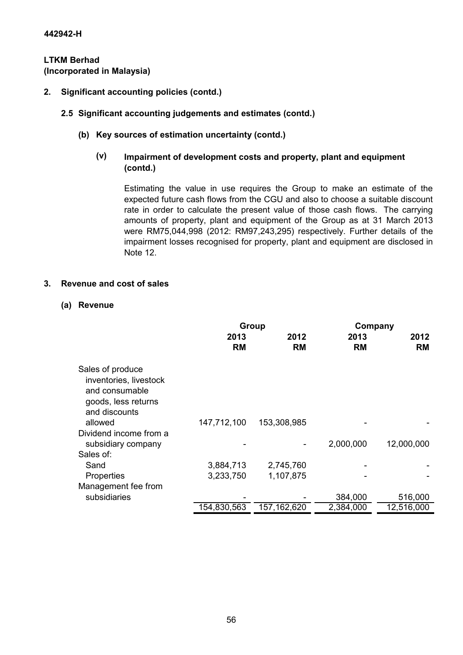**2. Significant accounting policies (contd.)**

## **2.5 Significant accounting judgements and estimates (contd.)**

**(b) Key sources of estimation uncertainty (contd.)**

#### **(v) Impairment of development costs and property, plant and equipment (contd.)**

Estimating the value in use requires the Group to make an estimate of the expected future cash flows from the CGU and also to choose a suitable discount rate in order to calculate the present value of those cash flows. The carrying amounts of property, plant and equipment of the Group as at 31 March 2013 were RM75,044,998 (2012: RM97,243,295) respectively. Further details of the impairment losses recognised for property, plant and equipment are disclosed in Note 12.

## **3. Revenue and cost of sales**

## **(a) Revenue**

|                                                                                                      |                   | Group             |                   | Company           |
|------------------------------------------------------------------------------------------------------|-------------------|-------------------|-------------------|-------------------|
|                                                                                                      | 2013<br><b>RM</b> | 2012<br><b>RM</b> | 2013<br><b>RM</b> | 2012<br><b>RM</b> |
| Sales of produce<br>inventories, livestock<br>and consumable<br>goods, less returns<br>and discounts |                   |                   |                   |                   |
| allowed                                                                                              | 147,712,100       | 153,308,985       |                   |                   |
| Dividend income from a                                                                               |                   |                   |                   |                   |
| subsidiary company                                                                                   |                   |                   | 2,000,000         | 12,000,000        |
| Sales of:                                                                                            |                   |                   |                   |                   |
| Sand                                                                                                 | 3,884,713         | 2,745,760         |                   |                   |
| Properties                                                                                           | 3,233,750         | 1,107,875         |                   |                   |
| Management fee from                                                                                  |                   |                   |                   |                   |
| subsidiaries                                                                                         |                   |                   | 384,000           | 516,000           |
|                                                                                                      | 154,830,563       | 157, 162, 620     | 2,384,000         | 12,516,000        |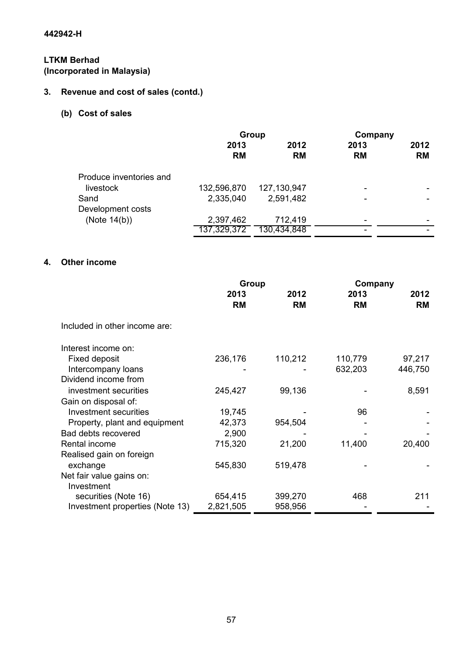## **3. Revenue and cost of sales (contd.)**

## **(b) Cost of sales**

|                         | Group       |             | Company   |                          |
|-------------------------|-------------|-------------|-----------|--------------------------|
|                         | 2013        | 2012        | 2013      | 2012                     |
|                         | <b>RM</b>   | <b>RM</b>   | <b>RM</b> | <b>RM</b>                |
| Produce inventories and |             |             |           |                          |
| livestock               | 132,596,870 | 127,130,947 | ٠         |                          |
| Sand                    | 2,335,040   | 2,591,482   | ٠         | $\overline{\phantom{0}}$ |
| Development costs       |             |             |           |                          |
| (Note $14(b)$ )         | 2,397,462   | 712,419     | ٠         |                          |
|                         | 137,329,372 | 130,434,848 | -         |                          |

## **4. Other income**

|                                 | <b>Group</b> |           | Company   |           |
|---------------------------------|--------------|-----------|-----------|-----------|
|                                 | 2013         | 2012      | 2013      | 2012      |
|                                 | <b>RM</b>    | <b>RM</b> | <b>RM</b> | <b>RM</b> |
| Included in other income are:   |              |           |           |           |
| Interest income on:             |              |           |           |           |
| <b>Fixed deposit</b>            | 236,176      | 110,212   | 110,779   | 97,217    |
| Intercompany loans              |              |           | 632,203   | 446,750   |
| Dividend income from            |              |           |           |           |
| investment securities           | 245,427      | 99,136    |           | 8,591     |
| Gain on disposal of:            |              |           |           |           |
| Investment securities           | 19,745       |           | 96        |           |
| Property, plant and equipment   | 42,373       | 954,504   |           |           |
| Bad debts recovered             | 2,900        |           |           |           |
| Rental income                   | 715,320      | 21,200    | 11,400    | 20,400    |
| Realised gain on foreign        |              |           |           |           |
| exchange                        | 545,830      | 519,478   |           |           |
| Net fair value gains on:        |              |           |           |           |
| Investment                      |              |           |           |           |
| securities (Note 16)            | 654,415      | 399,270   | 468       | 211       |
| Investment properties (Note 13) | 2,821,505    | 958,956   |           |           |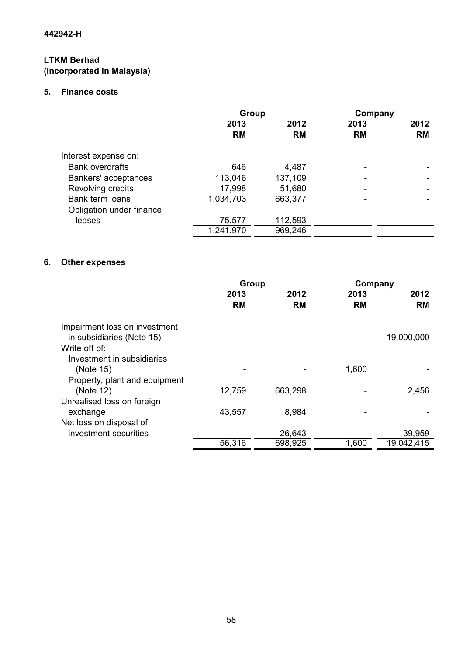## **5. Finance costs**

|                          | Group     |           | Company   |           |
|--------------------------|-----------|-----------|-----------|-----------|
|                          | 2013      | 2012      | 2013      | 2012      |
|                          | <b>RM</b> | <b>RM</b> | <b>RM</b> | <b>RM</b> |
| Interest expense on:     |           |           |           |           |
| <b>Bank overdrafts</b>   | 646       | 4,487     |           |           |
| Bankers' acceptances     | 113,046   | 137,109   |           |           |
| Revolving credits        | 17,998    | 51,680    |           |           |
| Bank term loans          | 1,034,703 | 663,377   |           |           |
| Obligation under finance |           |           |           |           |
| leases                   | 75,577    | 112,593   |           |           |
|                          | 1,241,970 | 969,246   |           |           |

## **6. Other expenses**

|                               |           | Group<br>Company |           |            |  |
|-------------------------------|-----------|------------------|-----------|------------|--|
|                               | 2013      | 2012             | 2013      | 2012       |  |
|                               | <b>RM</b> | <b>RM</b>        | <b>RM</b> | <b>RM</b>  |  |
| Impairment loss on investment |           |                  |           |            |  |
| in subsidiaries (Note 15)     |           |                  |           | 19,000,000 |  |
| Write off of:                 |           |                  |           |            |  |
| Investment in subsidiaries    |           |                  |           |            |  |
| (Note 15)                     |           |                  | 1,600     |            |  |
| Property, plant and equipment |           |                  |           |            |  |
| (Note 12)                     | 12,759    | 663,298          |           | 2,456      |  |
| Unrealised loss on foreign    |           |                  |           |            |  |
| exchange                      | 43,557    | 8,984            |           |            |  |
| Net loss on disposal of       |           |                  |           |            |  |
| investment securities         |           | 26,643           |           | 39,959     |  |
|                               | 56,316    | 698,925          | 1,600     | 19,042,415 |  |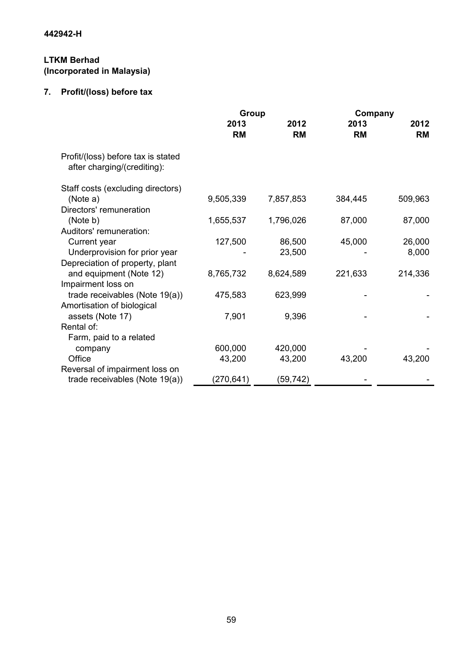# **7. Profit/(loss) before tax**

|                                    | Group      |           | Company   |           |
|------------------------------------|------------|-----------|-----------|-----------|
|                                    | 2013       | 2012      | 2013      | 2012      |
|                                    | <b>RM</b>  | <b>RM</b> | <b>RM</b> | <b>RM</b> |
| Profit/(loss) before tax is stated |            |           |           |           |
| after charging/(crediting):        |            |           |           |           |
| Staff costs (excluding directors)  |            |           |           |           |
| (Note a)                           | 9,505,339  | 7,857,853 | 384,445   | 509,963   |
| Directors' remuneration            |            |           |           |           |
| (Note b)                           | 1,655,537  | 1,796,026 | 87,000    | 87,000    |
| Auditors' remuneration:            |            |           |           |           |
| Current year                       | 127,500    | 86,500    | 45,000    | 26,000    |
| Underprovision for prior year      |            | 23,500    |           | 8,000     |
| Depreciation of property, plant    |            |           |           |           |
| and equipment (Note 12)            | 8,765,732  | 8,624,589 | 221,633   | 214,336   |
| Impairment loss on                 |            |           |           |           |
| trade receivables (Note 19(a))     | 475,583    | 623,999   |           |           |
| Amortisation of biological         |            |           |           |           |
| assets (Note 17)                   | 7,901      | 9,396     |           |           |
| Rental of:                         |            |           |           |           |
| Farm, paid to a related            |            |           |           |           |
| company                            | 600,000    | 420,000   |           |           |
| Office                             | 43,200     | 43,200    | 43,200    | 43,200    |
| Reversal of impairment loss on     |            |           |           |           |
| trade receivables (Note 19(a))     | (270, 641) | (59, 742) |           |           |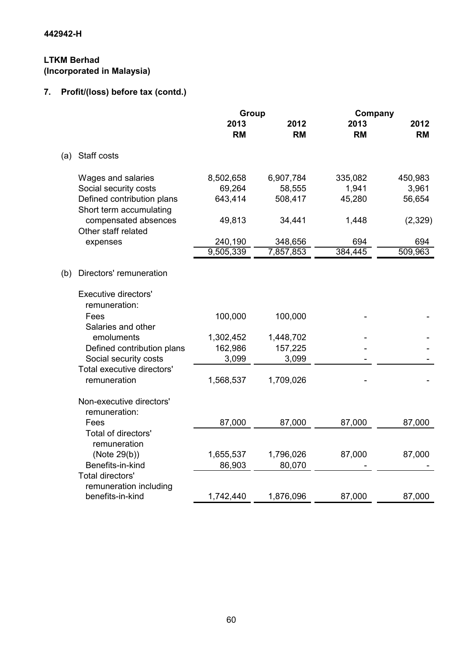# **7. Profit/(loss) before tax (contd.)**

|     |                                                       | Group     |           | Company   |           |
|-----|-------------------------------------------------------|-----------|-----------|-----------|-----------|
|     |                                                       | 2013      | 2012      | 2013      | 2012      |
|     |                                                       | <b>RM</b> | <b>RM</b> | <b>RM</b> | <b>RM</b> |
| (a) | Staff costs                                           |           |           |           |           |
|     | Wages and salaries                                    | 8,502,658 | 6,907,784 | 335,082   | 450,983   |
|     | Social security costs                                 | 69,264    | 58,555    | 1,941     | 3,961     |
|     | Defined contribution plans<br>Short term accumulating | 643,414   | 508,417   | 45,280    | 56,654    |
|     | compensated absences<br>Other staff related           | 49,813    | 34,441    | 1,448     | (2,329)   |
|     | expenses                                              | 240,190   | 348,656   | 694       | 694       |
|     |                                                       | 9,505,339 | 7,857,853 | 384,445   | 509,963   |
| (b) | Directors' remuneration                               |           |           |           |           |
|     | <b>Executive directors'</b><br>remuneration:          |           |           |           |           |
|     | Fees<br>Salaries and other                            | 100,000   | 100,000   |           |           |
|     | emoluments                                            | 1,302,452 | 1,448,702 |           |           |
|     | Defined contribution plans                            | 162,986   | 157,225   |           |           |
|     | Social security costs                                 | 3,099     | 3,099     |           |           |
|     | Total executive directors'                            |           |           |           |           |
|     | remuneration                                          | 1,568,537 | 1,709,026 |           |           |
|     | Non-executive directors'<br>remuneration:             |           |           |           |           |
|     | Fees                                                  | 87,000    | 87,000    | 87,000    | 87,000    |
|     | Total of directors'<br>remuneration                   |           |           |           |           |
|     | (Note 29(b))                                          | 1,655,537 | 1,796,026 | 87,000    | 87,000    |
|     | Benefits-in-kind                                      | 86,903    | 80,070    |           |           |
|     | Total directors'<br>remuneration including            |           |           |           |           |
|     | benefits-in-kind                                      | 1,742,440 | 1,876,096 | 87,000    | 87,000    |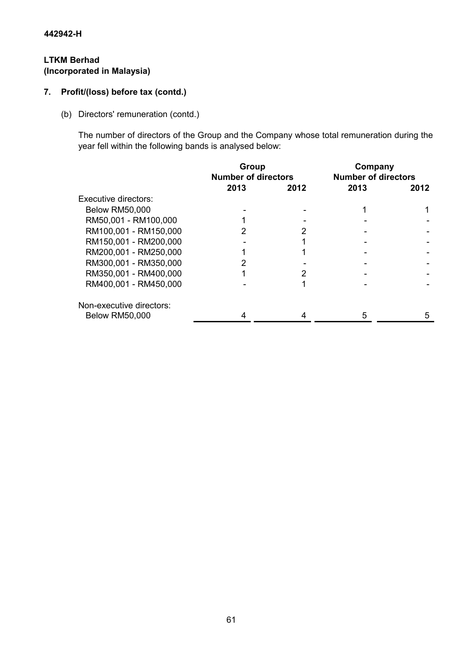## **7. Profit/(loss) before tax (contd.)**

(b) Directors' remuneration (contd.)

The number of directors of the Group and the Company whose total remuneration during the year fell within the following bands is analysed below:

|                          | Group                      |      | Company                    |      |
|--------------------------|----------------------------|------|----------------------------|------|
|                          | <b>Number of directors</b> |      | <b>Number of directors</b> |      |
|                          | 2013                       | 2012 | 2013                       | 2012 |
| Executive directors:     |                            |      |                            |      |
| <b>Below RM50,000</b>    |                            |      |                            |      |
| RM50,001 - RM100,000     |                            |      |                            |      |
| RM100,001 - RM150,000    |                            |      |                            |      |
| RM150,001 - RM200,000    |                            |      |                            |      |
| RM200,001 - RM250,000    |                            |      |                            |      |
| RM300,001 - RM350,000    |                            |      |                            |      |
| RM350,001 - RM400,000    |                            |      |                            |      |
| RM400,001 - RM450,000    |                            |      |                            |      |
| Non-executive directors: |                            |      |                            |      |
| <b>Below RM50,000</b>    |                            |      | 5                          |      |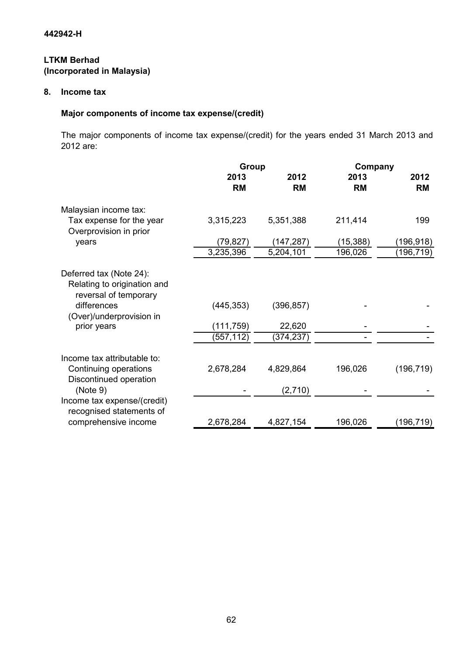## **8. Income tax**

## **Major components of income tax expense/(credit)**

The major components of income tax expense/(credit) for the years ended 31 March 2013 and 2012 are:

|                                                                                                                                           | Group                    |                      | Company   |            |
|-------------------------------------------------------------------------------------------------------------------------------------------|--------------------------|----------------------|-----------|------------|
|                                                                                                                                           | 2013                     | 2012                 | 2013      | 2012       |
|                                                                                                                                           | <b>RM</b>                | <b>RM</b>            | <b>RM</b> | <b>RM</b>  |
| Malaysian income tax:                                                                                                                     |                          |                      |           |            |
| Tax expense for the year<br>Overprovision in prior                                                                                        | 3,315,223                | 5,351,388            | 211,414   | 199        |
| years                                                                                                                                     | (79,827)                 | (147,287)            | (15, 388) | (196, 918) |
|                                                                                                                                           | 3,235,396                | 5,204,101            | 196,026   | (196,719)  |
| Deferred tax (Note 24):<br>Relating to origination and<br>reversal of temporary<br>differences<br>(Over)/underprovision in<br>prior years | (445, 353)<br>(111, 759) | (396, 857)<br>22,620 |           |            |
|                                                                                                                                           | (557, 112)               | (374, 237)           |           |            |
| Income tax attributable to:<br>Continuing operations<br>Discontinued operation                                                            | 2,678,284                | 4,829,864            | 196,026   | (196, 719) |
| (Note 9)                                                                                                                                  |                          | (2,710)              |           |            |
| Income tax expense/(credit)<br>recognised statements of                                                                                   |                          |                      |           |            |
| comprehensive income                                                                                                                      | 2,678,284                | 4,827,154            | 196,026   | (196, 719) |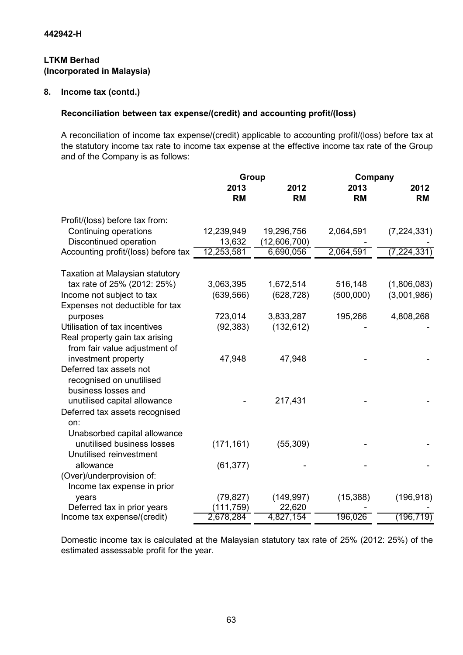### **8. Income tax (contd.)**

## **Reconciliation between tax expense/(credit) and accounting profit/(loss)**

A reconciliation of income tax expense/(credit) applicable to accounting profit/(loss) before tax at the statutory income tax rate to income tax expense at the effective income tax rate of the Group and of the Company is as follows:

|                                                                            | <b>Group</b>      |                   | Company           |                   |
|----------------------------------------------------------------------------|-------------------|-------------------|-------------------|-------------------|
|                                                                            | 2013<br><b>RM</b> | 2012<br><b>RM</b> | 2013<br><b>RM</b> | 2012<br><b>RM</b> |
| Profit/(loss) before tax from:                                             |                   |                   |                   |                   |
| Continuing operations                                                      | 12,239,949        | 19,296,756        | 2,064,591         | (7, 224, 331)     |
| Discontinued operation                                                     | 13,632            | (12,606,700)      |                   |                   |
| Accounting profit/(loss) before tax                                        | 12,253,581        | 6,690,056         | 2,064,591         | (7, 224, 331)     |
| <b>Taxation at Malaysian statutory</b>                                     |                   |                   |                   |                   |
| tax rate of 25% (2012: 25%)                                                | 3,063,395         | 1,672,514         | 516,148           | (1,806,083)       |
| Income not subject to tax                                                  | (639, 566)        | (628, 728)        | (500,000)         | (3,001,986)       |
| Expenses not deductible for tax                                            |                   |                   |                   |                   |
| purposes                                                                   | 723,014           | 3,833,287         | 195,266           | 4,808,268         |
| Utilisation of tax incentives                                              | (92, 383)         | (132, 612)        |                   |                   |
| Real property gain tax arising<br>from fair value adjustment of            |                   |                   |                   |                   |
| investment property                                                        | 47,948            | 47,948            |                   |                   |
| Deferred tax assets not<br>recognised on unutilised<br>business losses and |                   |                   |                   |                   |
| unutilised capital allowance                                               |                   | 217,431           |                   |                   |
| Deferred tax assets recognised<br>on:<br>Unabsorbed capital allowance      |                   |                   |                   |                   |
| unutilised business losses<br>Unutilised reinvestment                      | (171, 161)        | (55, 309)         |                   |                   |
| allowance                                                                  | (61, 377)         |                   |                   |                   |
| (Over)/underprovision of:<br>Income tax expense in prior                   |                   |                   |                   |                   |
| years                                                                      | (79, 827)         | (149, 997)        | (15, 388)         | (196, 918)        |
| Deferred tax in prior years                                                | (111, 759)        | 22,620            |                   |                   |
| Income tax expense/(credit)                                                | 2,678,284         | 4,827,154         | 196,026           | (196, 719)        |

Domestic income tax is calculated at the Malaysian statutory tax rate of 25% (2012: 25%) of the estimated assessable profit for the year.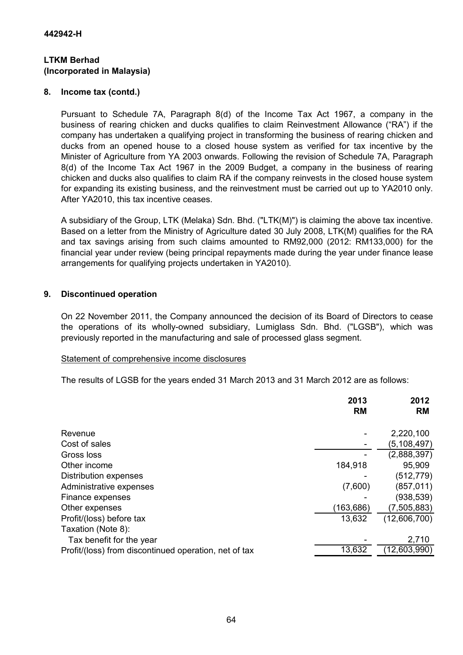## **8. Income tax (contd.)**

Pursuant to Schedule 7A, Paragraph 8(d) of the Income Tax Act 1967, a company in the business of rearing chicken and ducks qualifies to claim Reinvestment Allowance ("RA") if the company has undertaken a qualifying project in transforming the business of rearing chicken and ducks from an opened house to a closed house system as verified for tax incentive by the Minister of Agriculture from YA 2003 onwards. Following the revision of Schedule 7A, Paragraph 8(d) of the Income Tax Act 1967 in the 2009 Budget, a company in the business of rearing chicken and ducks also qualifies to claim RA if the company reinvests in the closed house system for expanding its existing business, and the reinvestment must be carried out up to YA2010 only. After YA2010, this tax incentive ceases.

A subsidiary of the Group, LTK (Melaka) Sdn. Bhd. ("LTK(M)") is claiming the above tax incentive. Based on a letter from the Ministry of Agriculture dated 30 July 2008, LTK(M) qualifies for the RA and tax savings arising from such claims amounted to RM92,000 (2012: RM133,000) for the financial year under review (being principal repayments made during the year under finance lease arrangements for qualifying projects undertaken in YA2010).

## **9. Discontinued operation**

On 22 November 2011, the Company announced the decision of its Board of Directors to cease the operations of its wholly-owned subsidiary, Lumiglass Sdn. Bhd. ("LGSB"), which was previously reported in the manufacturing and sale of processed glass segment.

### Statement of comprehensive income disclosures

The results of LGSB for the years ended 31 March 2013 and 31 March 2012 are as follows:

|                                                       | 2013      | 2012         |
|-------------------------------------------------------|-----------|--------------|
|                                                       | <b>RM</b> | <b>RM</b>    |
| Revenue                                               |           | 2,220,100    |
| Cost of sales                                         |           | (5,108,497)  |
| Gross loss                                            |           | (2,888,397)  |
| Other income                                          | 184,918   | 95,909       |
| <b>Distribution expenses</b>                          |           | (512, 779)   |
| Administrative expenses                               | (7,600)   | (857, 011)   |
| Finance expenses                                      |           | (938, 539)   |
| Other expenses                                        | (163,686) | (7,505,883)  |
| Profit/(loss) before tax                              | 13,632    | (12,606,700) |
| Taxation (Note 8):                                    |           |              |
| Tax benefit for the year                              |           | 2,710        |
| Profit/(loss) from discontinued operation, net of tax | 13,632    | (12,603,990) |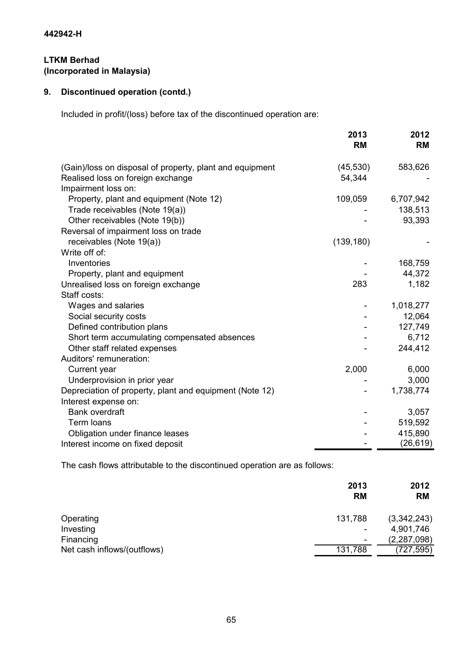## **9. Discontinued operation (contd.)**

Included in profit/(loss) before tax of the discontinued operation are:

|                                                          | 2013<br><b>RM</b> | 2012<br><b>RM</b> |
|----------------------------------------------------------|-------------------|-------------------|
| (Gain)/loss on disposal of property, plant and equipment | (45, 530)         | 583,626           |
| Realised loss on foreign exchange                        | 54,344            |                   |
| Impairment loss on:                                      |                   |                   |
| Property, plant and equipment (Note 12)                  | 109,059           | 6,707,942         |
| Trade receivables (Note 19(a))                           |                   | 138,513           |
| Other receivables (Note 19(b))                           |                   | 93,393            |
| Reversal of impairment loss on trade                     |                   |                   |
| receivables (Note 19(a))                                 | (139, 180)        |                   |
| Write off of:                                            |                   |                   |
| Inventories                                              |                   | 168,759           |
| Property, plant and equipment                            |                   | 44,372            |
| Unrealised loss on foreign exchange                      | 283               | 1,182             |
| Staff costs:                                             |                   |                   |
| Wages and salaries                                       |                   | 1,018,277         |
| Social security costs                                    |                   | 12,064            |
| Defined contribution plans                               |                   | 127,749           |
| Short term accumulating compensated absences             |                   | 6,712             |
| Other staff related expenses                             |                   | 244,412           |
| Auditors' remuneration:                                  |                   |                   |
| Current year                                             | 2,000             | 6,000             |
| Underprovision in prior year                             |                   | 3,000             |
| Depreciation of property, plant and equipment (Note 12)  |                   | 1,738,774         |
| Interest expense on:<br><b>Bank overdraft</b>            |                   | 3,057             |
| Term loans                                               |                   | 519,592           |
| Obligation under finance leases                          |                   | 415,890           |
| Interest income on fixed deposit                         |                   | (26, 619)         |
|                                                          |                   |                   |

The cash flows attributable to the discontinued operation are as follows:

|                             | 2013<br><b>RM</b>        | 2012<br><b>RM</b> |
|-----------------------------|--------------------------|-------------------|
| Operating                   | 131,788                  | (3,342,243)       |
| Investing                   | $\overline{\phantom{a}}$ | 4,901,746         |
| Financing                   | $\overline{\phantom{a}}$ | (2,287,098)       |
| Net cash inflows/(outflows) | 131,788                  | (727,595)         |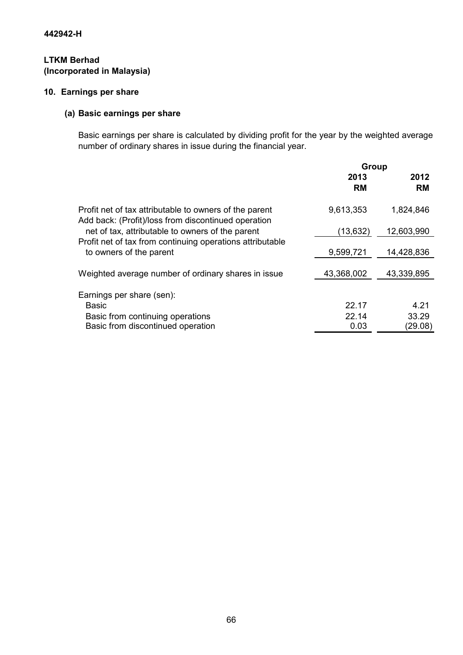## **10. Earnings per share**

## **(a) Basic earnings per share**

Basic earnings per share is calculated by dividing profit for the year by the weighted average number of ordinary shares in issue during the financial year.

|                                                                                                               | Group             |                   |  |  |
|---------------------------------------------------------------------------------------------------------------|-------------------|-------------------|--|--|
|                                                                                                               | 2013<br><b>RM</b> | 2012<br><b>RM</b> |  |  |
| Profit net of tax attributable to owners of the parent<br>Add back: (Profit)/loss from discontinued operation | 9,613,353         | 1,824,846         |  |  |
| net of tax, attributable to owners of the parent                                                              | (13, 632)         | 12,603,990        |  |  |
| Profit net of tax from continuing operations attributable                                                     |                   |                   |  |  |
| to owners of the parent                                                                                       | 9,599,721         | 14,428,836        |  |  |
| Weighted average number of ordinary shares in issue                                                           | 43,368,002        | 43,339,895        |  |  |
| Earnings per share (sen):                                                                                     |                   |                   |  |  |
| <b>Basic</b>                                                                                                  | 22.17             | 4.21              |  |  |
| Basic from continuing operations                                                                              | 22.14             | 33.29             |  |  |
| Basic from discontinued operation                                                                             | 0.03              | (29.08)           |  |  |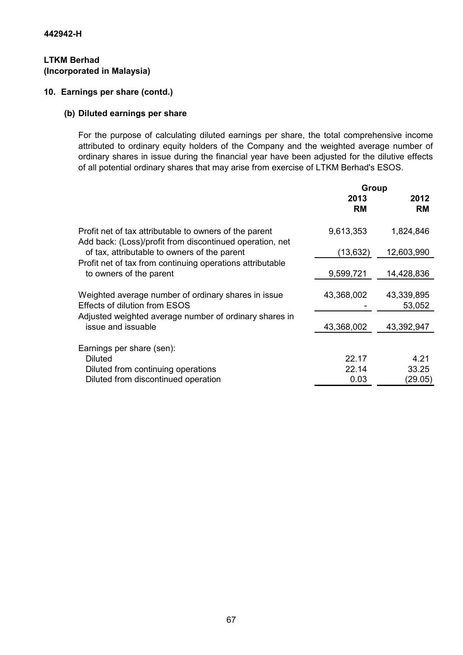## **10. Earnings per share (contd.)**

## **(b) Diluted earnings per share**

For the purpose of calculating diluted earnings per share, the total comprehensive income attributed to ordinary equity holders of the Company and the weighted average number of ordinary shares in issue during the financial year have been adjusted for the dilutive effects of all potential ordinary shares that may arise from exercise of LTKM Berhad's ESOS.

|                                                                                                                    | Group             |                      |  |  |
|--------------------------------------------------------------------------------------------------------------------|-------------------|----------------------|--|--|
|                                                                                                                    | 2013<br><b>RM</b> | 2012<br><b>RM</b>    |  |  |
| Profit net of tax attributable to owners of the parent<br>Add back: (Loss)/profit from discontinued operation, net | 9,613,353         | 1,824,846            |  |  |
| of tax, attributable to owners of the parent                                                                       | (13, 632)         | 12,603,990           |  |  |
| Profit net of tax from continuing operations attributable<br>to owners of the parent                               | 9,599,721         | 14,428,836           |  |  |
| Weighted average number of ordinary shares in issue<br><b>Effects of dilution from ESOS</b>                        | 43,368,002        | 43,339,895<br>53,052 |  |  |
| Adjusted weighted average number of ordinary shares in                                                             |                   |                      |  |  |
| issue and issuable                                                                                                 | 43,368,002        | 43,392,947           |  |  |
| Earnings per share (sen):                                                                                          |                   |                      |  |  |
| <b>Diluted</b>                                                                                                     | 22.17             | 4.21                 |  |  |
| Diluted from continuing operations                                                                                 | 22.14             | 33.25                |  |  |
| Diluted from discontinued operation                                                                                | 0.03              | (29.05)              |  |  |
|                                                                                                                    |                   |                      |  |  |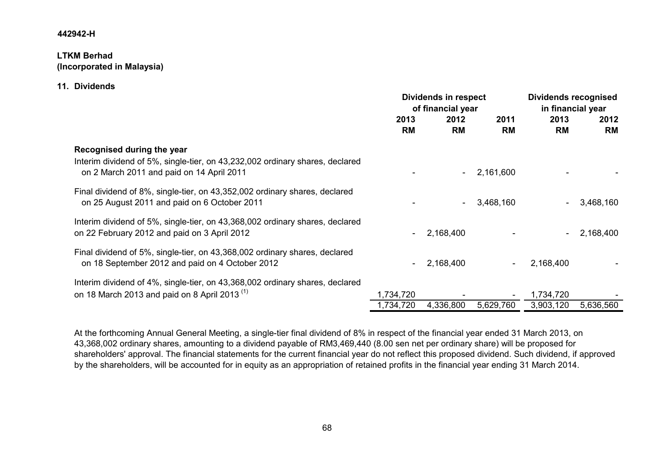**LTKM Berhad (Incorporated in Malaysia)**

**11. Dividends**

|                                                                                                                                                         |                      | Dividends in respect<br>of financial year | Dividends recognised<br>in financial year |                          |            |
|---------------------------------------------------------------------------------------------------------------------------------------------------------|----------------------|-------------------------------------------|-------------------------------------------|--------------------------|------------|
|                                                                                                                                                         | 2013<br><b>RM</b>    | 2012<br><b>RM</b>                         | 2011<br><b>RM</b>                         | 2013<br><b>RM</b>        | 2012<br>RM |
| Recognised during the year<br>Interim dividend of 5%, single-tier, on 43,232,002 ordinary shares, declared<br>on 2 March 2011 and paid on 14 April 2011 |                      | $\blacksquare$                            | 2,161,600                                 |                          |            |
| Final dividend of 8%, single-tier, on 43,352,002 ordinary shares, declared<br>on 25 August 2011 and paid on 6 October 2011                              |                      | $\blacksquare$                            | 3,468,160                                 | $\overline{\phantom{0}}$ | 3,468,160  |
| Interim dividend of 5%, single-tier, on 43,368,002 ordinary shares, declared<br>on 22 February 2012 and paid on 3 April 2012                            |                      | 2,168,400                                 |                                           | $\overline{\phantom{0}}$ | 2,168,400  |
| Final dividend of 5%, single-tier, on 43,368,002 ordinary shares, declared<br>on 18 September 2012 and paid on 4 October 2012                           |                      | 2,168,400                                 |                                           | 2,168,400                |            |
| Interim dividend of 4%, single-tier, on 43,368,002 ordinary shares, declared<br>on 18 March 2013 and paid on 8 April 2013 <sup>(1)</sup>                | ,734,720<br>,734,720 | 4,336,800                                 | 5,629,760                                 | 1,734,720<br>3,903,120   | 5,636,560  |

At the forthcoming Annual General Meeting, a single-tier final dividend of 8% in respect of the financial year ended 31 March 2013, on 43,368,002 ordinary shares, amounting to a dividend payable of RM3,469,440 (8.00 sen net per ordinary share) will be proposed for shareholders' approval. The financial statements for the current financial year do not reflect this proposed dividend. Such dividend, if approved by the shareholders, will be accounted for in equity as an appropriation of retained profits in the financial year ending 31 March 2014.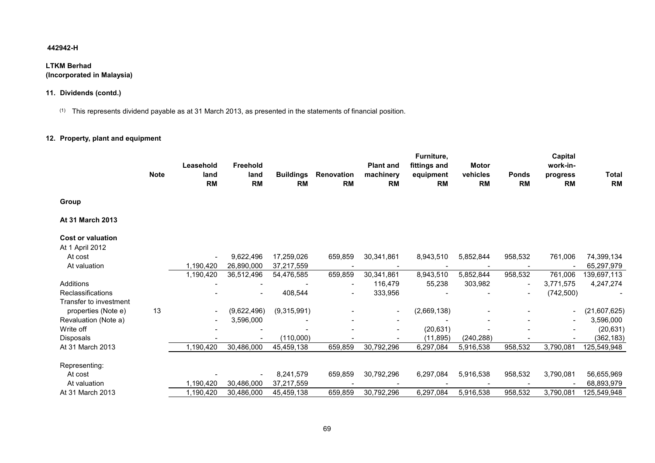#### **LTKM Berhad (Incorporated in Malaysia)**

#### **11. Dividends (contd.)**

 $(1)$  This represents dividend payable as at 31 March 2013, as presented in the statements of financial position.

#### **12. Property, plant and equipment**

|                                             | <b>Note</b> | Leasehold<br>land<br><b>RM</b> | <b>Freehold</b><br>land<br><b>RM</b> | <b>Buildings</b><br><b>RM</b> | <b>Renovation</b><br><b>RM</b> | <b>Plant and</b><br>machinery<br><b>RM</b> | Furniture,<br>fittings and<br>equipment<br><b>RM</b> | <b>Motor</b><br>vehicles<br><b>RM</b> | <b>Ponds</b><br><b>RM</b> | Capital<br>work-in-<br>progress<br><b>RM</b> | Total<br><b>RM</b> |
|---------------------------------------------|-------------|--------------------------------|--------------------------------------|-------------------------------|--------------------------------|--------------------------------------------|------------------------------------------------------|---------------------------------------|---------------------------|----------------------------------------------|--------------------|
| Group                                       |             |                                |                                      |                               |                                |                                            |                                                      |                                       |                           |                                              |                    |
| At 31 March 2013                            |             |                                |                                      |                               |                                |                                            |                                                      |                                       |                           |                                              |                    |
| <b>Cost or valuation</b><br>At 1 April 2012 |             |                                |                                      |                               |                                |                                            |                                                      |                                       |                           |                                              |                    |
| At cost                                     |             |                                | 9,622,496                            | 17,259,026                    | 659,859                        | 30,341,861                                 | 8,943,510                                            | 5,852,844                             | 958,532                   | 761,006                                      | 74,399,134         |
| At valuation                                |             | 1,190,420                      | 26,890,000                           | 37,217,559                    |                                |                                            |                                                      |                                       |                           |                                              | 65,297,979         |
|                                             |             | 1,190,420                      | 36,512,496                           | 54,476,585                    | 659,859                        | 30,341,861                                 | 8,943,510                                            | 5,852,844                             | 958,532                   | 761,006                                      | 139,697,113        |
| Additions                                   |             |                                |                                      |                               |                                | 116,479                                    | 55,238                                               | 303,982                               | $\qquad \qquad -$         | 3,771,575                                    | 4,247,274          |
| Reclassifications                           |             |                                |                                      | 408,544                       | $\overline{\phantom{a}}$       | 333,956                                    |                                                      |                                       |                           | (742, 500)                                   |                    |
| Transfer to investment                      |             |                                |                                      |                               |                                |                                            |                                                      |                                       |                           |                                              |                    |
| properties (Note e)                         | 13          |                                | (9,622,496)                          | (9,315,991)                   |                                | $\overline{\phantom{a}}$                   | (2,669,138)                                          |                                       |                           |                                              | (21,607,625)       |
| Revaluation (Note a)                        |             |                                | 3,596,000                            |                               |                                |                                            |                                                      |                                       |                           |                                              | 3,596,000          |
| Write off                                   |             |                                |                                      |                               |                                |                                            | (20, 631)                                            |                                       |                           |                                              | (20, 631)          |
| <b>Disposals</b>                            |             |                                |                                      | (110,000)                     |                                |                                            | (11, 895)                                            | (240, 288)                            |                           |                                              | (362, 183)         |
| At 31 March 2013                            |             | 1,190,420                      | 30,486,000                           | 45,459,138                    | 659,859                        | 30,792,296                                 | 6,297,084                                            | 5,916,538                             | 958,532                   | 3,790,081                                    | 125,549,948        |
| Representing:                               |             |                                |                                      |                               |                                |                                            |                                                      |                                       |                           |                                              |                    |
| At cost                                     |             |                                |                                      | 8,241,579                     | 659,859                        | 30,792,296                                 | 6,297,084                                            | 5,916,538                             | 958,532                   | 3,790,081                                    | 56,655,969         |
| At valuation                                |             | 1,190,420                      | 30,486,000                           | 37,217,559                    |                                |                                            |                                                      |                                       |                           |                                              | 68,893,979         |
| At 31 March 2013                            |             | 1,190,420                      | 30,486,000                           | 45,459,138                    | 659,859                        | 30,792,296                                 | 6,297,084                                            | 5,916,538                             | 958,532                   | 3,790,081                                    | 125,549,948        |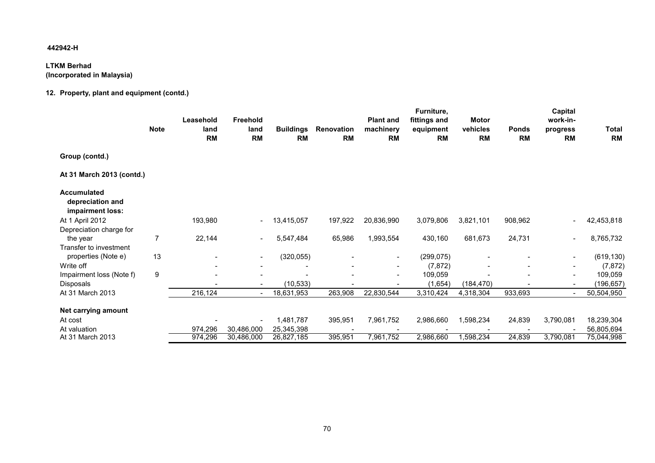## **LTKM Berhad**

**(Incorporated in Malaysia)**

#### **12. Property, plant and equipment (contd.)**

|                                                            | <b>Note</b>    | Leasehold<br>land<br><b>RM</b> | Freehold<br>land<br><b>RM</b> | <b>Buildings</b><br><b>RM</b> | Renovation<br><b>RM</b> | <b>Plant and</b><br>machinery<br><b>RM</b> | Furniture,<br>fittings and<br>equipment<br><b>RM</b> | <b>Motor</b><br>vehicles<br><b>RM</b> | <b>Ponds</b><br><b>RM</b> | Capital<br>work-in-<br>progress<br><b>RM</b> | Total<br><b>RM</b> |
|------------------------------------------------------------|----------------|--------------------------------|-------------------------------|-------------------------------|-------------------------|--------------------------------------------|------------------------------------------------------|---------------------------------------|---------------------------|----------------------------------------------|--------------------|
| Group (contd.)                                             |                |                                |                               |                               |                         |                                            |                                                      |                                       |                           |                                              |                    |
| At 31 March 2013 (contd.)                                  |                |                                |                               |                               |                         |                                            |                                                      |                                       |                           |                                              |                    |
| <b>Accumulated</b><br>depreciation and<br>impairment loss: |                |                                |                               |                               |                         |                                            |                                                      |                                       |                           |                                              |                    |
| At 1 April 2012<br>Depreciation charge for                 |                | 193,980                        |                               | 13,415,057                    | 197,922                 | 20,836,990                                 | 3,079,806                                            | 3,821,101                             | 908,962                   |                                              | 42,453,818         |
| the year<br>Transfer to investment                         | $\overline{7}$ | 22,144                         |                               | 5,547,484                     | 65,986                  | 1,993,554                                  | 430,160                                              | 681,673                               | 24,731                    | $\overline{\phantom{a}}$                     | 8,765,732          |
| properties (Note e)                                        | 13             |                                | $\overline{\phantom{a}}$      | (320, 055)                    |                         | $\overline{\phantom{a}}$                   | (299, 075)                                           |                                       |                           | $\blacksquare$                               | (619, 130)         |
| Write off                                                  |                |                                |                               |                               |                         |                                            | (7, 872)                                             |                                       |                           | $\blacksquare$                               | (7, 872)           |
| Impairment loss (Note f)                                   | 9              |                                |                               |                               |                         |                                            | 109,059                                              |                                       |                           | $\overline{\phantom{a}}$                     | 109,059            |
| Disposals                                                  |                |                                | $\overline{\phantom{a}}$      | (10, 533)                     |                         |                                            | (1,654)                                              | (184,470)                             |                           | $\sim$                                       | (196, 657)         |
| At 31 March 2013                                           |                | 216,124                        |                               | 18,631,953                    | 263,908                 | 22,830,544                                 | 3,310,424                                            | 4,318,304                             | 933,693                   | $\sim$                                       | 50,504,950         |
| Net carrying amount                                        |                |                                |                               |                               |                         |                                            |                                                      |                                       |                           |                                              |                    |
| At cost                                                    |                |                                |                               | 1,481,787                     | 395,951                 | 7,961,752                                  | 2,986,660                                            | 1,598,234                             | 24,839                    | 3,790,081                                    | 18,239,304         |
| At valuation                                               |                | 974,296                        | 30,486,000                    | 25,345,398                    |                         |                                            |                                                      |                                       |                           |                                              | 56,805,694         |
| At 31 March 2013                                           |                | 974,296                        | 30,486,000                    | 26,827,185                    | 395,951                 | 7,961,752                                  | 2,986,660                                            | 1,598,234                             | 24,839                    | 3,790,081                                    | 75,044,998         |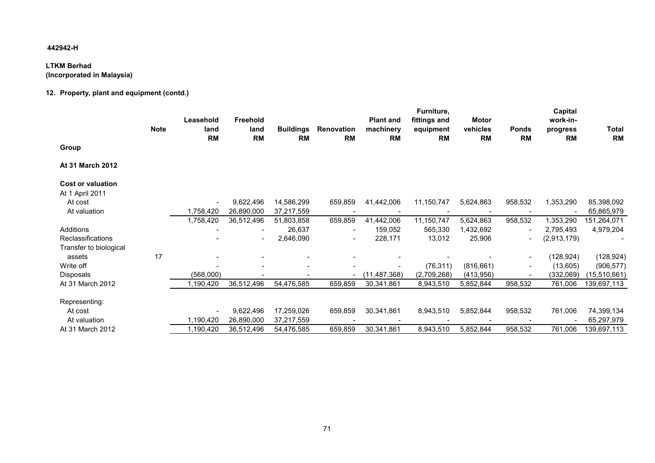## **LTKM Berhad**

**(Incorporated in Malaysia)**

#### **12. Property, plant and equipment (contd.)**

| <b>Note</b> | Leasehold<br>land        | Freehold<br>land                    | <b>Buildings</b>        | Renovation              | <b>Plant and</b><br>machinery | Furniture,<br>fittings and<br>equipment | <b>Motor</b><br>vehicles             | <b>Ponds</b>             | Capital<br>work-in-<br>progress | Total<br><b>RM</b>     |
|-------------|--------------------------|-------------------------------------|-------------------------|-------------------------|-------------------------------|-----------------------------------------|--------------------------------------|--------------------------|---------------------------------|------------------------|
|             |                          |                                     |                         |                         |                               |                                         |                                      |                          |                                 |                        |
|             |                          |                                     |                         |                         |                               |                                         |                                      |                          |                                 |                        |
|             |                          |                                     |                         |                         |                               |                                         |                                      |                          |                                 |                        |
|             | $\overline{\phantom{a}}$ | 9,622,496                           | 14,586,299              | 659,859                 | 41,442,006                    | 11,150,747                              | 5,624,863                            | 958,532                  | 1,353,290                       | 85,398,092             |
|             |                          |                                     |                         |                         |                               |                                         |                                      |                          |                                 | 65,865,979             |
|             |                          | 36,512,496                          | 51,803,858              |                         |                               |                                         |                                      |                          |                                 | 151,264,071            |
|             |                          |                                     | 26,637                  |                         | 159,052                       | 565,330                                 | 1,432,692                            | $\overline{\phantom{a}}$ | 2,795,493                       | 4,979,204              |
|             |                          |                                     | 2,646,090               |                         | 228,171                       | 13,012                                  | 25,906                               |                          | (2,913,179)                     |                        |
|             |                          |                                     |                         |                         |                               |                                         |                                      |                          |                                 |                        |
| 17          |                          |                                     |                         |                         |                               |                                         |                                      |                          | (128, 924)                      | (128, 924)             |
|             |                          |                                     |                         |                         | $\overline{\phantom{0}}$      | (76, 311)                               | (816, 661)                           | $\overline{\phantom{a}}$ | (13,605)                        | (906, 577)             |
|             | (568,000)                |                                     |                         |                         | (11, 487, 368)                | (2,709,268)                             | (413,956)                            |                          | (332,069)                       | (15, 510, 661)         |
|             | 1,190,420                | 36,512,496                          | 54,476,585              | 659,859                 | 30,341,861                    | 8,943,510                               | 5,852,844                            | 958,532                  | 761,006                         | 139,697,113            |
|             |                          |                                     |                         |                         |                               |                                         |                                      |                          |                                 |                        |
|             |                          | 9,622,496                           | 17,259,026              | 659,859                 | 30,341,861                    |                                         | 5,852,844                            | 958,532                  | 761,006                         | 74,399,134             |
|             | 1,190,420                | 26,890,000                          | 37,217,559              |                         |                               |                                         |                                      |                          |                                 | 65,297,979             |
|             | 1,190,420                | 36,512,496                          | 54,476,585              | 659,859                 | 30,341,861                    | 8,943,510                               | 5,852,844                            | 958,532                  | 761,006                         | 139,697,113            |
|             |                          | <b>RM</b><br>1,758,420<br>1,758,420 | <b>RM</b><br>26,890,000 | <b>RM</b><br>37,217,559 | <b>RM</b><br>659,859          | <b>RM</b><br>41,442,006                 | <b>RM</b><br>11,150,747<br>8,943,510 | <b>RM</b><br>5,624,863   | <b>RM</b><br>958,532            | <b>RM</b><br>1,353,290 |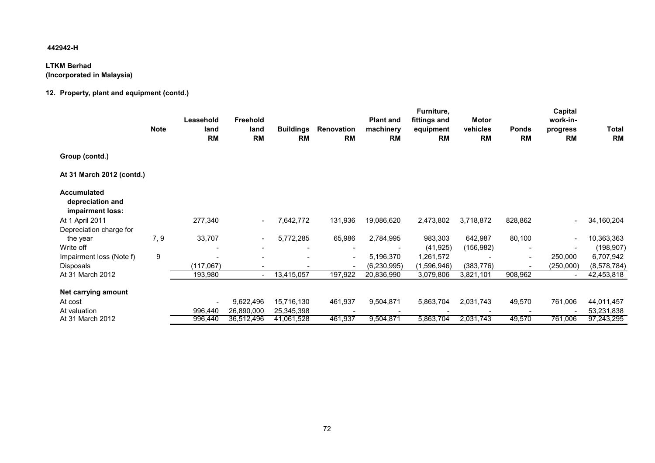### **442942-H**

# **LTKM Berhad**

**(Incorporated in Malaysia)**

# **12. Property, plant and equipment (contd.)**

|                                                     | <b>Note</b> | Leasehold<br>land<br><b>RM</b> | Freehold<br>land<br><b>RM</b> | <b>Buildings</b><br><b>RM</b> | <b>Renovation</b><br><b>RM</b> | <b>Plant and</b><br>machinery<br><b>RM</b> | Furniture,<br>fittings and<br>equipment<br><b>RM</b> | <b>Motor</b><br>vehicles<br><b>RM</b> | <b>Ponds</b><br><b>RM</b>          | Capital<br>work-in-<br>progress<br><b>RM</b> | <b>Total</b><br>RM       |
|-----------------------------------------------------|-------------|--------------------------------|-------------------------------|-------------------------------|--------------------------------|--------------------------------------------|------------------------------------------------------|---------------------------------------|------------------------------------|----------------------------------------------|--------------------------|
| Group (contd.)                                      |             |                                |                               |                               |                                |                                            |                                                      |                                       |                                    |                                              |                          |
| At 31 March 2012 (contd.)                           |             |                                |                               |                               |                                |                                            |                                                      |                                       |                                    |                                              |                          |
| Accumulated<br>depreciation and<br>impairment loss: |             |                                |                               |                               |                                |                                            |                                                      |                                       |                                    |                                              |                          |
| At 1 April 2011                                     |             | 277,340                        | $\overline{\phantom{0}}$      | 7,642,772                     | 131,936                        | 19,086,620                                 | 2,473,802                                            | 3,718,872                             | 828,862                            |                                              | 34,160,204               |
| Depreciation charge for<br>the year<br>Write off    | 7, 9        | 33,707                         | $\sim$                        | 5,772,285                     | 65,986                         | 2,784,995                                  | 983,303<br>(41, 925)                                 | 642,987<br>(156, 982)                 | 80,100<br>$\overline{\phantom{a}}$ |                                              | 10,363,363<br>(198, 907) |
| Impairment loss (Note f)                            | 9           |                                |                               |                               | $\overline{\phantom{a}}$       | 5,196,370                                  | 1,261,572                                            |                                       |                                    | 250,000                                      | 6,707,942                |
| Disposals                                           |             | (117, 067)                     |                               |                               |                                | (6, 230, 995)                              | (1,596,946)                                          | (383, 776)                            |                                    | (250,000)                                    | (8,578,784)              |
| At 31 March 2012                                    |             | 193,980                        | $\qquad \qquad \blacksquare$  | 13,415,057                    | 197,922                        | 20,836,990                                 | 3,079,806                                            | 3,821,101                             | 908,962                            |                                              | 42,453,818               |
| Net carrying amount                                 |             |                                |                               |                               |                                |                                            |                                                      |                                       |                                    |                                              |                          |
| At cost                                             |             | $\overline{\phantom{a}}$       | 9,622,496                     | 15,716,130                    | 461,937                        | 9,504,871                                  | 5,863,704                                            | 2,031,743                             | 49,570                             | 761,006                                      | 44,011,457               |
| At valuation                                        |             | 996,440                        | 26,890,000                    | 25,345,398                    |                                |                                            |                                                      |                                       |                                    |                                              | 53,231,838               |
| At 31 March 2012                                    |             | 996,440                        | 36,512,496                    | 41,061,528                    | 461,937                        | 9,504,871                                  | 5,863,704                                            | 2,031,743                             | 49,570                             | 761,006                                      | 97,243,295               |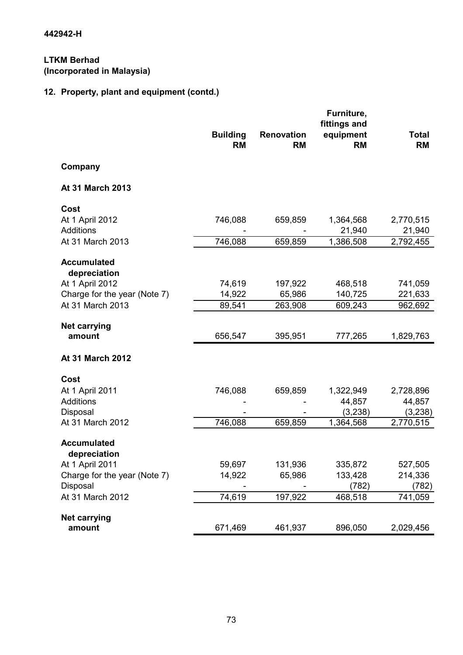# **12. Property, plant and equipment (contd.)**

|                                     | <b>Building</b><br><b>RM</b> | <b>Renovation</b><br><b>RM</b> | Furniture,<br>fittings and<br>equipment<br><b>RM</b> | <b>Total</b><br><b>RM</b> |
|-------------------------------------|------------------------------|--------------------------------|------------------------------------------------------|---------------------------|
| Company                             |                              |                                |                                                      |                           |
| At 31 March 2013                    |                              |                                |                                                      |                           |
| Cost                                |                              |                                |                                                      |                           |
| At 1 April 2012<br><b>Additions</b> | 746,088                      | 659,859                        | 1,364,568<br>21,940                                  | 2,770,515<br>21,940       |
| At 31 March 2013                    | 746,088                      | 659,859                        | 1,386,508                                            | 2,792,455                 |
| <b>Accumulated</b><br>depreciation  |                              |                                |                                                      |                           |
| At 1 April 2012                     | 74,619                       | 197,922                        | 468,518                                              | 741,059                   |
| Charge for the year (Note 7)        | 14,922                       | 65,986                         | 140,725                                              | 221,633                   |
| At 31 March 2013                    | 89,541                       | 263,908                        | 609,243                                              | 962,692                   |
| <b>Net carrying</b><br>amount       | 656,547                      | 395,951                        | 777,265                                              | 1,829,763                 |
| At 31 March 2012                    |                              |                                |                                                      |                           |
| Cost                                |                              |                                |                                                      |                           |
| At 1 April 2011                     | 746,088                      | 659,859                        | 1,322,949                                            | 2,728,896                 |
| <b>Additions</b>                    |                              |                                | 44,857                                               | 44,857                    |
| Disposal                            |                              |                                | (3,238)                                              | (3,238)                   |
| At 31 March 2012                    | 746,088                      | 659,859                        | 1,364,568                                            | 2,770,515                 |
| <b>Accumulated</b><br>depreciation  |                              |                                |                                                      |                           |
| At 1 April 2011                     | 59,697                       | 131,936                        | 335,872                                              | 527,505                   |
| Charge for the year (Note 7)        | 14,922                       | 65,986                         | 133,428                                              | 214,336                   |
| Disposal                            |                              |                                | (782)                                                | (782)                     |
| At 31 March 2012                    | 74,619                       | 197,922                        | 468,518                                              | 741,059                   |
| <b>Net carrying</b><br>amount       | 671,469                      | 461,937                        | 896,050                                              | 2,029,456                 |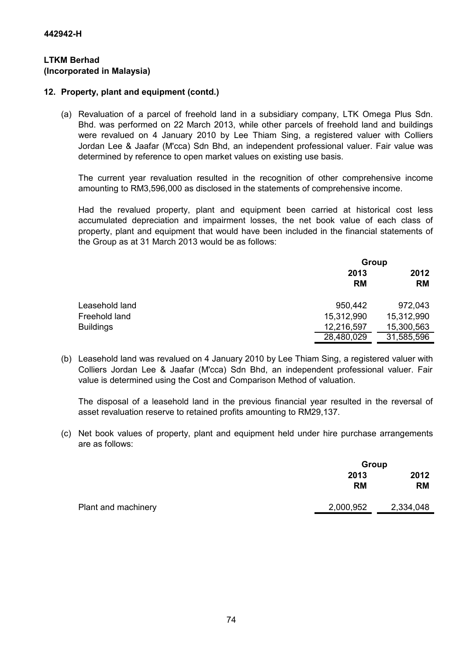# **12. Property, plant and equipment (contd.)**

(a) Revaluation of a parcel of freehold land in a subsidiary company, LTK Omega Plus Sdn. Bhd. was performed on 22 March 2013, while other parcels of freehold land and buildings were revalued on 4 January 2010 by Lee Thiam Sing, a registered valuer with Colliers Jordan Lee & Jaafar (M'cca) Sdn Bhd, an independent professional valuer. Fair value was determined by reference to open market values on existing use basis.

The current year revaluation resulted in the recognition of other comprehensive income amounting to RM3,596,000 as disclosed in the statements of comprehensive income.

Had the revalued property, plant and equipment been carried at historical cost less accumulated depreciation and impairment losses, the net book value of each class of property, plant and equipment that would have been included in the financial statements of the Group as at 31 March 2013 would be as follows:

|                  |                   | Group             |  |  |
|------------------|-------------------|-------------------|--|--|
|                  | 2013<br><b>RM</b> | 2012<br><b>RM</b> |  |  |
|                  |                   |                   |  |  |
| Leasehold land   | 950,442           | 972,043           |  |  |
| Freehold land    | 15,312,990        | 15,312,990        |  |  |
| <b>Buildings</b> | 12,216,597        | 15,300,563        |  |  |
|                  | 28,480,029        | 31,585,596        |  |  |

(b) Leasehold land was revalued on 4 January 2010 by Lee Thiam Sing, a registered valuer with Colliers Jordan Lee & Jaafar (M'cca) Sdn Bhd, an independent professional valuer. Fair value is determined using the Cost and Comparison Method of valuation.

The disposal of a leasehold land in the previous financial year resulted in the reversal of asset revaluation reserve to retained profits amounting to RM29,137.

(c) Net book values of property, plant and equipment held under hire purchase arrangements are as follows:

|                     |                   | Group             |  |  |
|---------------------|-------------------|-------------------|--|--|
|                     | 2013<br><b>RM</b> | 2012<br><b>RM</b> |  |  |
| Plant and machinery | 2,000,952         | 2,334,048         |  |  |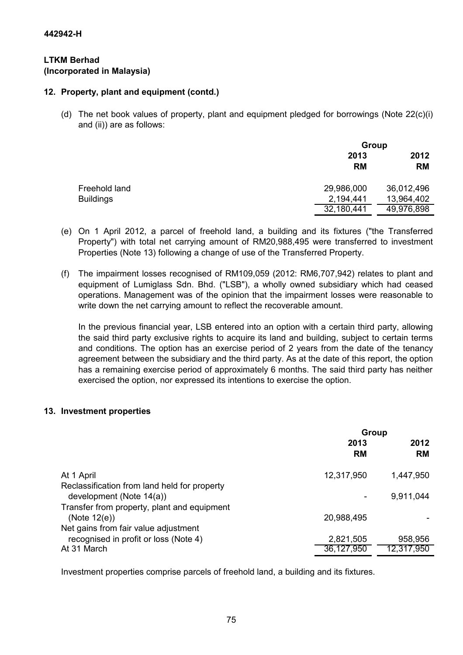## **12. Property, plant and equipment (contd.)**

(d) The net book values of property, plant and equipment pledged for borrowings (Note 22(c)(i) and (ii)) are as follows:

|                  |            | Group      |  |  |
|------------------|------------|------------|--|--|
|                  | 2013       | 2012       |  |  |
|                  | <b>RM</b>  | <b>RM</b>  |  |  |
| Freehold land    | 29,986,000 | 36,012,496 |  |  |
| <b>Buildings</b> | 2,194,441  | 13,964,402 |  |  |
|                  | 32,180,441 | 49,976,898 |  |  |

- (e) On 1 April 2012, a parcel of freehold land, a building and its fixtures ("the Transferred Property") with total net carrying amount of RM20,988,495 were transferred to investment Properties (Note 13) following a change of use of the Transferred Property.
- (f) The impairment losses recognised of RM109,059 (2012: RM6,707,942) relates to plant and equipment of Lumiglass Sdn. Bhd. ("LSB"), a wholly owned subsidiary which had ceased operations. Management was of the opinion that the impairment losses were reasonable to write down the net carrying amount to reflect the recoverable amount.

In the previous financial year, LSB entered into an option with a certain third party, allowing the said third party exclusive rights to acquire its land and building, subject to certain terms and conditions. The option has an exercise period of 2 years from the date of the tenancy agreement between the subsidiary and the third party. As at the date of this report, the option has a remaining exercise period of approximately 6 months. The said third party has neither exercised the option, nor expressed its intentions to exercise the option.

# **13. Investment properties**

|                                              |                   | Group             |  |  |
|----------------------------------------------|-------------------|-------------------|--|--|
|                                              | 2013<br><b>RM</b> | 2012<br><b>RM</b> |  |  |
| At 1 April                                   | 12,317,950        | 1,447,950         |  |  |
| Reclassification from land held for property |                   |                   |  |  |
| development (Note 14(a))                     |                   | 9,911,044         |  |  |
| Transfer from property, plant and equipment  |                   |                   |  |  |
| (Note $12(e)$ )                              | 20,988,495        |                   |  |  |
| Net gains from fair value adjustment         |                   |                   |  |  |
| recognised in profit or loss (Note 4)        | 2,821,505         | 958,956           |  |  |
| At 31 March                                  | 36,127,950        | 12,317,950        |  |  |

Investment properties comprise parcels of freehold land, a building and its fixtures.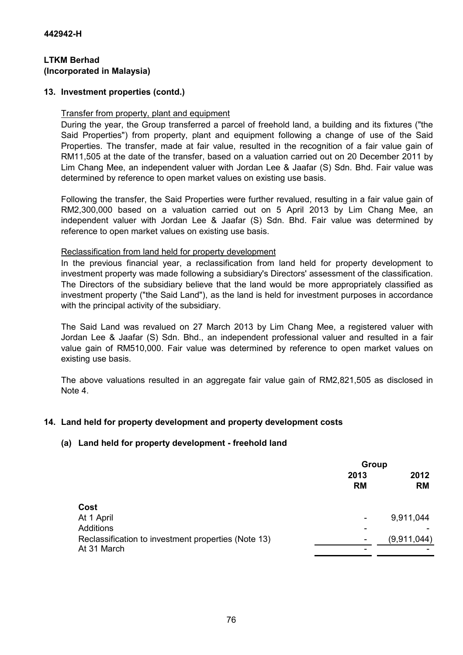# **13. Investment properties (contd.)**

### Transfer from property, plant and equipment

During the year, the Group transferred a parcel of freehold land, a building and its fixtures ("the Said Properties") from property, plant and equipment following a change of use of the Said Properties. The transfer, made at fair value, resulted in the recognition of a fair value gain of RM11,505 at the date of the transfer, based on a valuation carried out on 20 December 2011 by Lim Chang Mee, an independent valuer with Jordan Lee & Jaafar (S) Sdn. Bhd. Fair value was determined by reference to open market values on existing use basis.

Following the transfer, the Said Properties were further revalued, resulting in a fair value gain of RM2,300,000 based on a valuation carried out on 5 April 2013 by Lim Chang Mee, an independent valuer with Jordan Lee & Jaafar (S) Sdn. Bhd. Fair value was determined by reference to open market values on existing use basis.

### Reclassification from land held for property development

In the previous financial year, a reclassification from land held for property development to investment property was made following a subsidiary's Directors' assessment of the classification. The Directors of the subsidiary believe that the land would be more appropriately classified as investment property ("the Said Land"), as the land is held for investment purposes in accordance with the principal activity of the subsidiary.

The Said Land was revalued on 27 March 2013 by Lim Chang Mee, a registered valuer with Jordan Lee & Jaafar (S) Sdn. Bhd., an independent professional valuer and resulted in a fair value gain of RM510,000. Fair value was determined by reference to open market values on existing use basis.

The above valuations resulted in an aggregate fair value gain of RM2,821,505 as disclosed in Note 4.

# **14. Land held for property development and property development costs**

### **(a) Land held for property development - freehold land**

|                                                     | Group                    |                   |  |
|-----------------------------------------------------|--------------------------|-------------------|--|
|                                                     | 2013<br><b>RM</b>        | 2012<br><b>RM</b> |  |
| Cost                                                |                          |                   |  |
| At 1 April                                          | $\overline{\phantom{a}}$ | 9,911,044         |  |
| Additions                                           | $\overline{\phantom{0}}$ |                   |  |
| Reclassification to investment properties (Note 13) | $\overline{\phantom{a}}$ | (9,911,044)       |  |
| At 31 March                                         | $\overline{\phantom{0}}$ |                   |  |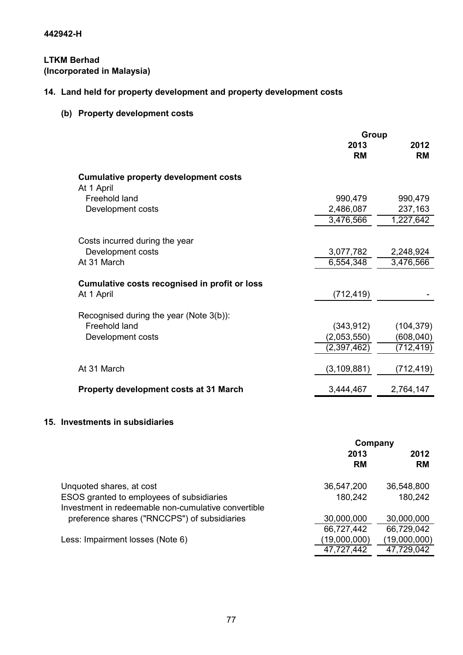# **14. Land held for property development and property development costs**

# **(b) Property development costs**

|                                                            | Group         |            |  |
|------------------------------------------------------------|---------------|------------|--|
|                                                            | 2013          | 2012       |  |
|                                                            | <b>RM</b>     | <b>RM</b>  |  |
| <b>Cumulative property development costs</b><br>At 1 April |               |            |  |
| Freehold land                                              | 990,479       | 990,479    |  |
| Development costs                                          | 2,486,087     | 237,163    |  |
|                                                            | 3,476,566     | 1,227,642  |  |
| Costs incurred during the year                             |               |            |  |
| Development costs                                          | 3,077,782     | 2,248,924  |  |
| At 31 March                                                | 6,554,348     | 3,476,566  |  |
| Cumulative costs recognised in profit or loss              |               |            |  |
| At 1 April                                                 | (712, 419)    |            |  |
| Recognised during the year (Note 3(b)):                    |               |            |  |
| Freehold land                                              | (343, 912)    | (104, 379) |  |
| Development costs                                          | (2,053,550)   | (608, 040) |  |
|                                                            | (2, 397, 462) | (712, 419) |  |
| At 31 March                                                | (3, 109, 881) | (712,419)  |  |
| <b>Property development costs at 31 March</b>              | 3,444,467     | 2,764,147  |  |

# **15. Investments in subsidiaries**

|                                                     |                   | Company           |  |  |
|-----------------------------------------------------|-------------------|-------------------|--|--|
|                                                     | 2013<br><b>RM</b> | 2012<br><b>RM</b> |  |  |
|                                                     |                   |                   |  |  |
| Unquoted shares, at cost                            | 36,547,200        | 36,548,800        |  |  |
| ESOS granted to employees of subsidiaries           | 180,242           | 180,242           |  |  |
| Investment in redeemable non-cumulative convertible |                   |                   |  |  |
| preference shares ("RNCCPS") of subsidiaries        | 30,000,000        | 30,000,000        |  |  |
|                                                     | 66,727,442        | 66,729,042        |  |  |
| Less: Impairment losses (Note 6)                    | (19,000,000)      | (19,000,000)      |  |  |
|                                                     | 47,727,442        | 47,729,042        |  |  |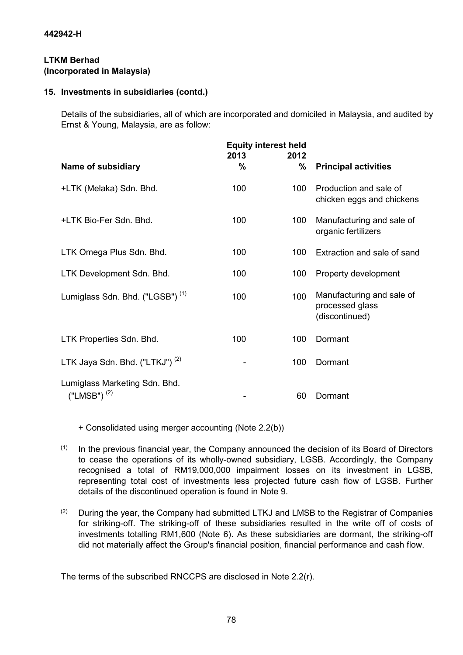# **15. Investments in subsidiaries (contd.)**

Details of the subsidiaries, all of which are incorporated and domiciled in Malaysia, and audited by Ernst & Young, Malaysia, are as follow:

|                                                    | <b>Equity interest held</b><br>2013 | 2012 |                                                                |
|----------------------------------------------------|-------------------------------------|------|----------------------------------------------------------------|
| <b>Name of subsidiary</b>                          | $\%$                                | %    | <b>Principal activities</b>                                    |
| +LTK (Melaka) Sdn. Bhd.                            | 100                                 | 100. | Production and sale of<br>chicken eggs and chickens            |
| +LTK Bio-Fer Sdn. Bhd.                             | 100                                 | 100  | Manufacturing and sale of<br>organic fertilizers               |
| LTK Omega Plus Sdn. Bhd.                           | 100                                 | 100  | Extraction and sale of sand                                    |
| LTK Development Sdn. Bhd.                          | 100                                 | 100  | Property development                                           |
| Lumiglass Sdn. Bhd. ("LGSB") <sup>(1)</sup>        | 100                                 | 100  | Manufacturing and sale of<br>processed glass<br>(discontinued) |
| LTK Properties Sdn. Bhd.                           | 100                                 | 100  | Dormant                                                        |
| LTK Jaya Sdn. Bhd. ("LTKJ") $(2)$                  |                                     | 100  | Dormant                                                        |
| Lumiglass Marketing Sdn. Bhd.<br>("LMSB") $^{(2)}$ |                                     | 60   | Dormant                                                        |

+ Consolidated using merger accounting (Note 2.2(b))

- (1) In the previous financial year, the Company announced the decision of its Board of Directors to cease the operations of its wholly-owned subsidiary, LGSB. Accordingly, the Company recognised a total of RM19,000,000 impairment losses on its investment in LGSB, representing total cost of investments less projected future cash flow of LGSB. Further details of the discontinued operation is found in Note 9.
- <sup>(2)</sup> During the year, the Company had submitted LTKJ and LMSB to the Registrar of Companies for striking-off. The striking-off of these subsidiaries resulted in the write off of costs of investments totalling RM1,600 (Note 6). As these subsidiaries are dormant, the striking-off did not materially affect the Group's financial position, financial performance and cash flow.

The terms of the subscribed RNCCPS are disclosed in Note 2.2(r).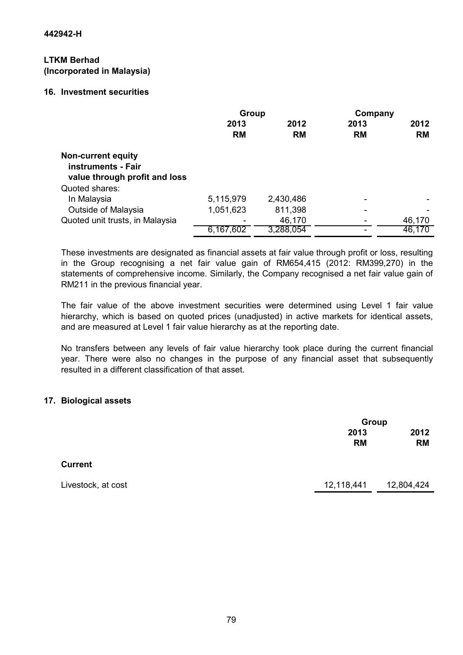# **16. Investment securities**

|                                                                                  | Group     |           | Company   |           |
|----------------------------------------------------------------------------------|-----------|-----------|-----------|-----------|
|                                                                                  | 2013      | 2012      | 2013      | 2012      |
|                                                                                  | <b>RM</b> | <b>RM</b> | <b>RM</b> | <b>RM</b> |
| <b>Non-current equity</b><br>instruments - Fair<br>value through profit and loss |           |           |           |           |
| Quoted shares:                                                                   |           |           |           |           |
| In Malaysia                                                                      | 5,115,979 | 2,430,486 |           |           |
| Outside of Malaysia                                                              | 1,051,623 | 811,398   |           |           |
| Quoted unit trusts, in Malaysia                                                  |           | 46,170    |           | 46,170    |
|                                                                                  | 6,167,602 | 3,288,054 |           | 46,170    |

These investments are designated as financial assets at fair value through profit or loss, resulting in the Group recognising a net fair value gain of RM654,415 (2012: RM399,270) in the statements of comprehensive income. Similarly, the Company recognised a net fair value gain of RM211 in the previous financial year.

The fair value of the above investment securities were determined using Level 1 fair value hierarchy, which is based on quoted prices (unadjusted) in active markets for identical assets, and are measured at Level 1 fair value hierarchy as at the reporting date.

No transfers between any levels of fair value hierarchy took place during the current financial year. There were also no changes in the purpose of any financial asset that subsequently resulted in a different classification of that asset.

# **17. Biological assets**

|                    | <b>Group</b>      |                   |  |
|--------------------|-------------------|-------------------|--|
|                    | 2013<br><b>RM</b> | 2012<br><b>RM</b> |  |
| <b>Current</b>     |                   |                   |  |
| Livestock, at cost | 12,118,441        | 12,804,424        |  |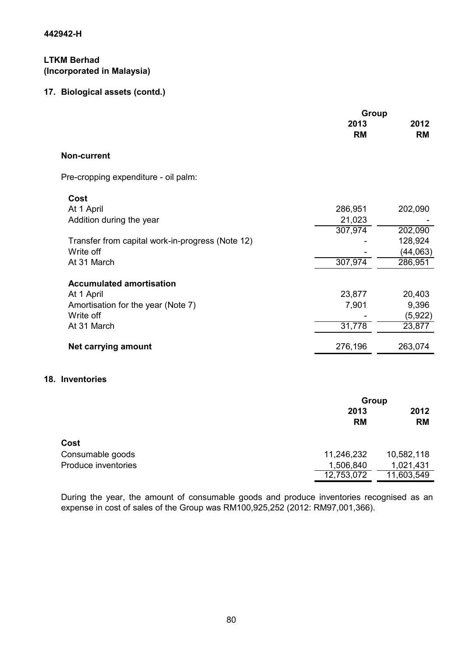# **17. Biological assets (contd.)**

|                                                  | Group             |                   |
|--------------------------------------------------|-------------------|-------------------|
|                                                  | 2013<br><b>RM</b> | 2012<br><b>RM</b> |
| <b>Non-current</b>                               |                   |                   |
| Pre-cropping expenditure - oil palm:             |                   |                   |
| Cost                                             |                   |                   |
| At 1 April                                       | 286,951           | 202,090           |
| Addition during the year                         | 21,023            |                   |
|                                                  | 307,974           | 202,090           |
| Transfer from capital work-in-progress (Note 12) |                   | 128,924           |
| Write off                                        |                   | (44, 063)         |
| At 31 March                                      | 307,974           | 286,951           |
| <b>Accumulated amortisation</b>                  |                   |                   |
| At 1 April                                       | 23,877            | 20,403            |
| Amortisation for the year (Note 7)               | 7,901             | 9,396             |
| Write off                                        |                   | (5,922)           |
| At 31 March                                      | 31,778            | 23,877            |
| <b>Net carrying amount</b>                       | 276,196           | 263,074           |
| 18. Inventories                                  |                   |                   |
|                                                  | Group             |                   |
|                                                  | 2013              | 2012              |
|                                                  | <b>RM</b>         | <b>RM</b>         |
| Cost                                             |                   |                   |
| Consumable goods                                 | 11,246,232        | 10,582,118        |
| Produce inventories                              | 1,506,840         | 1,021,431         |
|                                                  | 12,753,072        | 11,603,549        |

During the year, the amount of consumable goods and produce inventories recognised as an expense in cost of sales of the Group was RM100,925,252 (2012: RM97,001,366).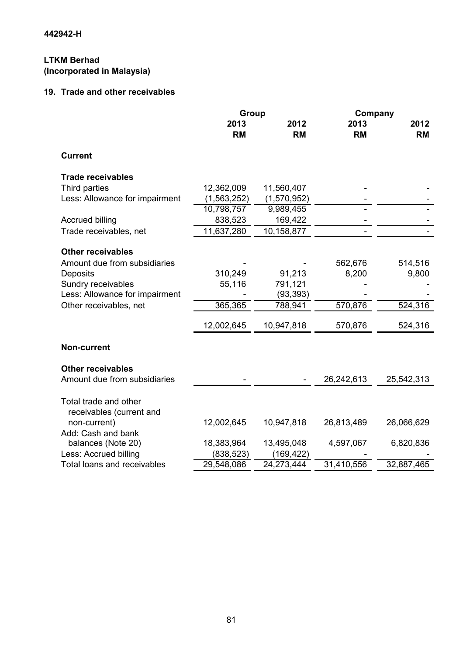# **19. Trade and other receivables**

|                                    | Group         |             | Company    |            |
|------------------------------------|---------------|-------------|------------|------------|
|                                    | 2013          | 2012        | 2013       | 2012       |
|                                    | <b>RM</b>     | <b>RM</b>   | <b>RM</b>  | <b>RM</b>  |
| <b>Current</b>                     |               |             |            |            |
| <b>Trade receivables</b>           |               |             |            |            |
| Third parties                      | 12,362,009    | 11,560,407  |            |            |
| Less: Allowance for impairment     | (1, 563, 252) | (1,570,952) |            |            |
|                                    | 10,798,757    | 9,989,455   |            |            |
| <b>Accrued billing</b>             | 838,523       | 169,422     |            |            |
| Trade receivables, net             | 11,637,280    | 10,158,877  |            |            |
| <b>Other receivables</b>           |               |             |            |            |
| Amount due from subsidiaries       |               |             | 562,676    | 514,516    |
| Deposits                           | 310,249       | 91,213      | 8,200      | 9,800      |
| Sundry receivables                 | 55,116        | 791,121     |            |            |
| Less: Allowance for impairment     |               | (93, 393)   |            |            |
| Other receivables, net             | 365,365       | 788,941     | 570,876    | 524,316    |
|                                    | 12,002,645    | 10,947,818  | 570,876    | 524,316    |
|                                    |               |             |            |            |
| Non-current                        |               |             |            |            |
| <b>Other receivables</b>           |               |             |            |            |
| Amount due from subsidiaries       |               |             | 26,242,613 | 25,542,313 |
| Total trade and other              |               |             |            |            |
| receivables (current and           |               |             |            |            |
| non-current)                       | 12,002,645    | 10,947,818  | 26,813,489 | 26,066,629 |
| Add: Cash and bank                 |               |             |            |            |
| balances (Note 20)                 | 18,383,964    | 13,495,048  | 4,597,067  | 6,820,836  |
| Less: Accrued billing              | (838, 523)    | (169, 422)  |            |            |
| <b>Total loans and receivables</b> | 29,548,086    | 24,273,444  | 31,410,556 | 32,887,465 |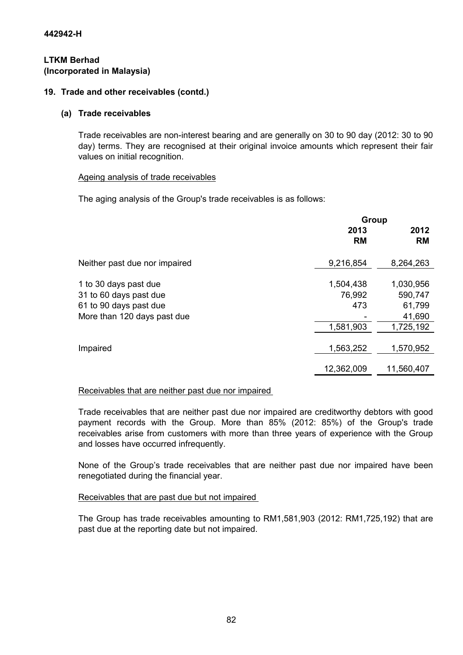# **19. Trade and other receivables (contd.)**

## **(a) Trade receivables**

Trade receivables are non-interest bearing and are generally on 30 to 90 day (2012: 30 to 90 day) terms. They are recognised at their original invoice amounts which represent their fair values on initial recognition.

### Ageing analysis of trade receivables

The aging analysis of the Group's trade receivables is as follows:

|                               | Group      |            |  |
|-------------------------------|------------|------------|--|
|                               | 2013       | 2012       |  |
|                               | <b>RM</b>  | <b>RM</b>  |  |
| Neither past due nor impaired | 9,216,854  | 8,264,263  |  |
| 1 to 30 days past due         | 1,504,438  | 1,030,956  |  |
| 31 to 60 days past due        | 76,992     | 590,747    |  |
| 61 to 90 days past due        | 473        | 61,799     |  |
| More than 120 days past due   |            | 41,690     |  |
|                               | 1,581,903  | 1,725,192  |  |
| Impaired                      | 1,563,252  | 1,570,952  |  |
|                               | 12,362,009 | 11,560,407 |  |

### Receivables that are neither past due nor impaired

Trade receivables that are neither past due nor impaired are creditworthy debtors with good payment records with the Group. More than 85% (2012: 85%) of the Group's trade receivables arise from customers with more than three years of experience with the Group and losses have occurred infrequently.

None of the Group's trade receivables that are neither past due nor impaired have been renegotiated during the financial year.

### Receivables that are past due but not impaired

The Group has trade receivables amounting to RM1,581,903 (2012: RM1,725,192) that are past due at the reporting date but not impaired.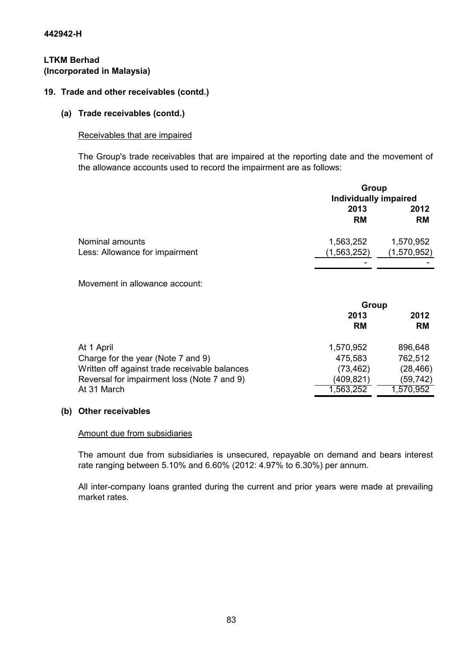# **19. Trade and other receivables (contd.)**

## **(a) Trade receivables (contd.)**

### Receivables that are impaired

The Group's trade receivables that are impaired at the reporting date and the movement of the allowance accounts used to record the impairment are as follows:

|                                                   | Group<br><b>Individually impaired</b> |                          |  |
|---------------------------------------------------|---------------------------------------|--------------------------|--|
|                                                   | 2013<br><b>RM</b>                     | 2012<br><b>RM</b>        |  |
| Nominal amounts<br>Less: Allowance for impairment | 1,563,252<br>(1, 563, 252)            | 1,570,952<br>(1,570,952) |  |
|                                                   | $\overline{\phantom{0}}$              |                          |  |

Movement in allowance account:

|                                               | Group     |           |  |
|-----------------------------------------------|-----------|-----------|--|
|                                               | 2013      | 2012      |  |
|                                               | <b>RM</b> | <b>RM</b> |  |
| At 1 April                                    | 1,570,952 | 896,648   |  |
| Charge for the year (Note 7 and 9)            | 475,583   | 762,512   |  |
| Written off against trade receivable balances | (73, 462) | (28, 466) |  |
| Reversal for impairment loss (Note 7 and 9)   | (409,821) | (59, 742) |  |
| At 31 March                                   | 1,563,252 | 1,570,952 |  |

### **(b) Other receivables**

### Amount due from subsidiaries

The amount due from subsidiaries is unsecured, repayable on demand and bears interest rate ranging between 5.10% and 6.60% (2012: 4.97% to 6.30%) per annum.

All inter-company loans granted during the current and prior years were made at prevailing market rates.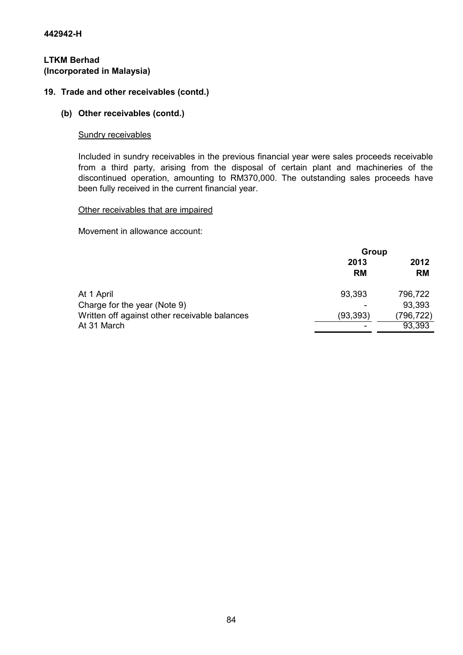# **19. Trade and other receivables (contd.)**

## **(b) Other receivables (contd.)**

### Sundry receivables

Included in sundry receivables in the previous financial year were sales proceeds receivable from a third party, arising from the disposal of certain plant and machineries of the discontinued operation, amounting to RM370,000. The outstanding sales proceeds have been fully received in the current financial year.

### Other receivables that are impaired

Movement in allowance account:

|                                               | Group             |                   |  |
|-----------------------------------------------|-------------------|-------------------|--|
|                                               | 2013<br><b>RM</b> | 2012<br><b>RM</b> |  |
| At 1 April                                    | 93,393            | 796,722           |  |
| Charge for the year (Note 9)                  |                   | 93,393            |  |
| Written off against other receivable balances | (93, 393)         | (796,722)         |  |
| At 31 March                                   |                   | 93,393            |  |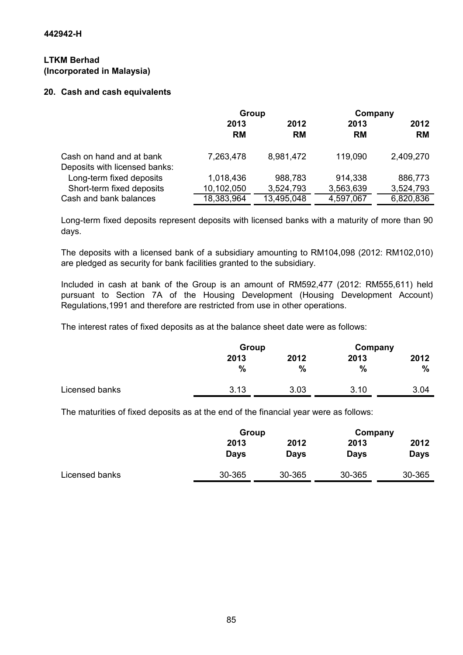# **20. Cash and cash equivalents**

|                                                           | Group             |                   |                   | Company           |
|-----------------------------------------------------------|-------------------|-------------------|-------------------|-------------------|
|                                                           | 2013<br><b>RM</b> | 2012<br><b>RM</b> | 2013<br><b>RM</b> | 2012<br><b>RM</b> |
| Cash on hand and at bank<br>Deposits with licensed banks: | 7,263,478         | 8,981,472         | 119,090           | 2,409,270         |
| Long-term fixed deposits                                  | 1,018,436         | 988,783           | 914,338           | 886,773           |
| Short-term fixed deposits                                 | 10,102,050        | 3,524,793         | 3,563,639         | 3,524,793         |
| Cash and bank balances                                    | 18,383,964        | 13,495,048        | 4,597,067         | 6,820,836         |

Long-term fixed deposits represent deposits with licensed banks with a maturity of more than 90 days.

The deposits with a licensed bank of a subsidiary amounting to RM104,098 (2012: RM102,010) are pledged as security for bank facilities granted to the subsidiary.

Included in cash at bank of the Group is an amount of RM592,477 (2012: RM555,611) held pursuant to Section 7A of the Housing Development (Housing Development Account) Regulations,1991 and therefore are restricted from use in other operations.

The interest rates of fixed deposits as at the balance sheet date were as follows:

|                | Group        |      | Company |      |
|----------------|--------------|------|---------|------|
|                | 2013<br>2012 | 2013 | 2012    |      |
|                | $\%$         | $\%$ | $\%$    | $\%$ |
| Licensed banks | 3.13         | 3.03 | 3.10    | 3.04 |

The maturities of fixed deposits as at the end of the financial year were as follows:

|                | Group               |                     |                     | Company             |  |
|----------------|---------------------|---------------------|---------------------|---------------------|--|
|                | 2013<br><b>Days</b> | 2012<br><b>Days</b> | 2013<br><b>Days</b> | 2012<br><b>Days</b> |  |
| Licensed banks | 30-365              | 30-365              | 30-365              | 30-365              |  |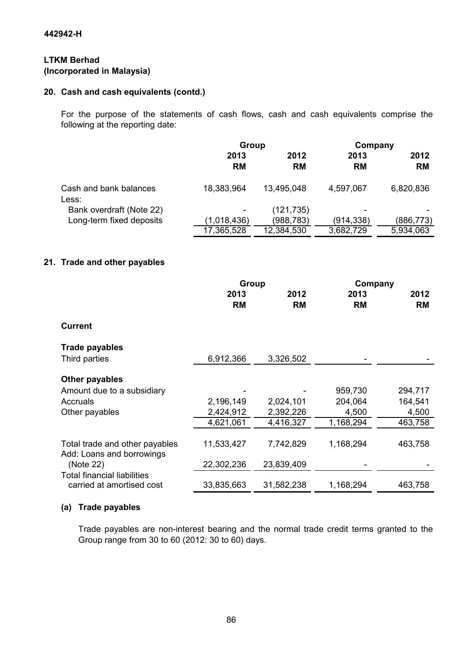# **20. Cash and cash equivalents (contd.)**

For the purpose of the statements of cash flows, cash and cash equivalents comprise the following at the reporting date:

|                                 |                   | Group             |                   | Company           |
|---------------------------------|-------------------|-------------------|-------------------|-------------------|
|                                 | 2013<br><b>RM</b> | 2012<br><b>RM</b> | 2013<br><b>RM</b> | 2012<br><b>RM</b> |
| Cash and bank balances<br>Less: | 18,383,964        | 13,495,048        | 4,597,067         | 6,820,836         |
| Bank overdraft (Note 22)        |                   | (121, 735)        |                   |                   |
| Long-term fixed deposits        | (1,018,436)       | (988, 783)        | (914, 338)        | (886,773)         |
|                                 | 17,365,528        | 12,384,530        | 3,682,729         | 5,934,063         |

# **21. Trade and other payables**

|                                                                 | Group             |                   | Company           |                   |
|-----------------------------------------------------------------|-------------------|-------------------|-------------------|-------------------|
|                                                                 | 2013<br><b>RM</b> | 2012<br><b>RM</b> | 2013<br><b>RM</b> | 2012<br><b>RM</b> |
| <b>Current</b>                                                  |                   |                   |                   |                   |
| <b>Trade payables</b>                                           |                   |                   |                   |                   |
| Third parties                                                   | 6,912,366         | 3,326,502         |                   |                   |
| Other payables                                                  |                   |                   |                   |                   |
| Amount due to a subsidiary                                      |                   |                   | 959,730           | 294,717           |
| Accruals                                                        | 2,196,149         | 2,024,101         | 204,064           | 164,541           |
| Other payables                                                  | 2,424,912         | 2,392,226         | 4,500             | 4,500             |
|                                                                 | 4,621,061         | 4,416,327         | 1,168,294         | 463,758           |
| Total trade and other payables<br>Add: Loans and borrowings     | 11,533,427        | 7,742,829         | 1,168,294         | 463,758           |
| (Note 22)                                                       | 22,302,236        | 23,839,409        |                   |                   |
| <b>Total financial liabilities</b><br>carried at amortised cost | 33,835,663        | 31,582,238        | 1,168,294         | 463,758           |

# **(a) Trade payables**

Trade payables are non-interest bearing and the normal trade credit terms granted to the Group range from 30 to 60 (2012: 30 to 60) days.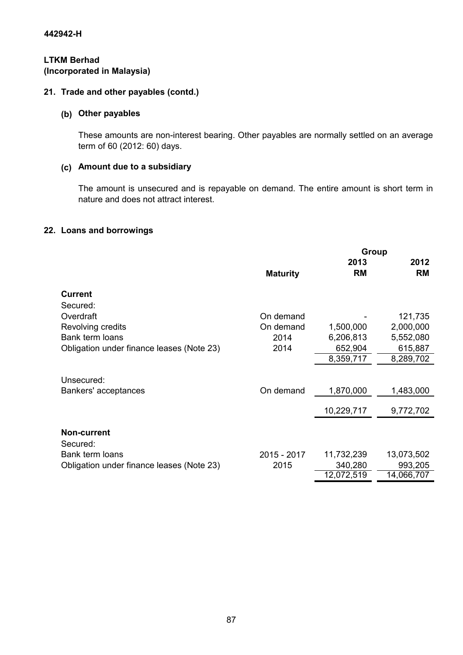# **21. Trade and other payables (contd.)**

# **(b) Other payables**

These amounts are non-interest bearing. Other payables are normally settled on an average term of 60 (2012: 60) days.

# **(c) Amount due to a subsidiary**

The amount is unsecured and is repayable on demand. The entire amount is short term in nature and does not attract interest.

# **22. Loans and borrowings**

|                                           | Group           |            |            |  |
|-------------------------------------------|-----------------|------------|------------|--|
|                                           |                 | 2013       | 2012       |  |
|                                           | <b>Maturity</b> | <b>RM</b>  | <b>RM</b>  |  |
| <b>Current</b>                            |                 |            |            |  |
| Secured:                                  |                 |            |            |  |
| Overdraft                                 | On demand       |            | 121,735    |  |
| Revolving credits                         | On demand       | 1,500,000  | 2,000,000  |  |
| Bank term loans                           | 2014            | 6,206,813  | 5,552,080  |  |
| Obligation under finance leases (Note 23) | 2014            | 652,904    | 615,887    |  |
|                                           |                 | 8,359,717  | 8,289,702  |  |
| Unsecured:                                |                 |            |            |  |
| Bankers' acceptances                      | On demand       | 1,870,000  | 1,483,000  |  |
|                                           |                 | 10,229,717 | 9,772,702  |  |
| <b>Non-current</b>                        |                 |            |            |  |
| Secured:                                  |                 |            |            |  |
| Bank term loans                           | 2015 - 2017     | 11,732,239 | 13,073,502 |  |
| Obligation under finance leases (Note 23) | 2015            | 340,280    | 993,205    |  |
|                                           |                 | 12,072,519 | 14,066,707 |  |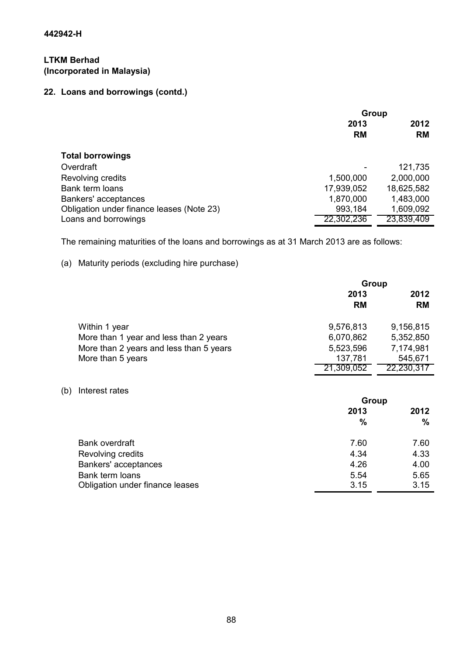# **22. Loans and borrowings (contd.)**

|                                           | Group      |            |  |
|-------------------------------------------|------------|------------|--|
|                                           | 2013       |            |  |
|                                           | <b>RM</b>  | <b>RM</b>  |  |
| <b>Total borrowings</b>                   |            |            |  |
| Overdraft                                 |            | 121,735    |  |
| Revolving credits                         | 1,500,000  | 2,000,000  |  |
| Bank term loans                           | 17,939,052 | 18,625,582 |  |
| Bankers' acceptances                      | 1,870,000  | 1,483,000  |  |
| Obligation under finance leases (Note 23) | 993,184    | 1,609,092  |  |
| Loans and borrowings                      | 22,302,236 | 23,839,409 |  |

The remaining maturities of the loans and borrowings as at 31 March 2013 are as follows:

# (a) Maturity periods (excluding hire purchase)

|     |                                         | Group      |            |
|-----|-----------------------------------------|------------|------------|
|     |                                         | 2013       | 2012       |
|     |                                         | <b>RM</b>  | <b>RM</b>  |
|     | Within 1 year                           | 9,576,813  | 9,156,815  |
|     | More than 1 year and less than 2 years  | 6,070,862  | 5,352,850  |
|     | More than 2 years and less than 5 years | 5,523,596  | 7,174,981  |
|     | More than 5 years                       | 137,781    | 545,671    |
|     |                                         | 21,309,052 | 22,230,317 |
| (b) | Interest rates                          |            |            |
|     |                                         | Group      |            |
|     |                                         | 2013       | 2012       |
|     |                                         | $\%$       | $\%$       |
|     | Bank overdraft                          | 7.60       | 7.60       |
|     | Revolving credits                       | 4.34       | 4.33       |
|     | Bankers' acceptances                    | 4.26       | 4.00       |
|     | Bank term loans                         | 5.54       | 5.65       |
|     | Obligation under finance leases         | 3.15       | 3.15       |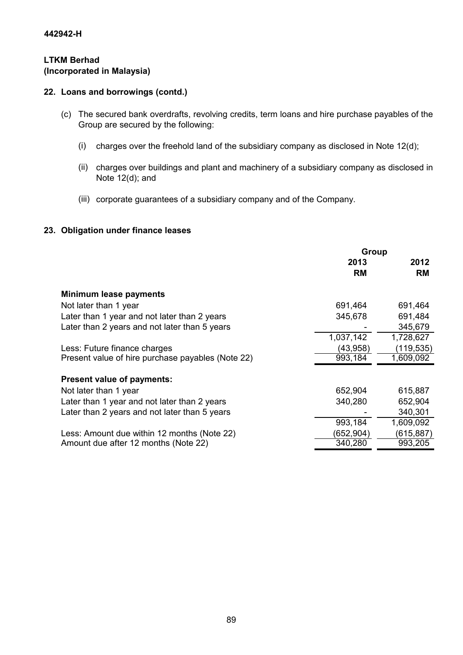# **22. Loans and borrowings (contd.)**

- (c) The secured bank overdrafts, revolving credits, term loans and hire purchase payables of the Group are secured by the following:
	- (i) charges over the freehold land of the subsidiary company as disclosed in Note 12(d);
	- (ii) charges over buildings and plant and machinery of a subsidiary company as disclosed in Note 12(d); and
	- (iii) corporate guarantees of a subsidiary company and of the Company.

# **23. Obligation under finance leases**

|                                                   | <b>Group</b> |            |
|---------------------------------------------------|--------------|------------|
|                                                   | 2013         | 2012       |
|                                                   | <b>RM</b>    | <b>RM</b>  |
| Minimum lease payments                            |              |            |
| Not later than 1 year                             | 691,464      | 691,464    |
| Later than 1 year and not later than 2 years      | 345,678      | 691,484    |
| Later than 2 years and not later than 5 years     |              | 345,679    |
|                                                   | 1,037,142    | 1,728,627  |
| Less: Future finance charges                      | (43,958)     | (119, 535) |
| Present value of hire purchase payables (Note 22) | 993,184      | 1,609,092  |
| <b>Present value of payments:</b>                 |              |            |
| Not later than 1 year                             | 652,904      | 615,887    |
| Later than 1 year and not later than 2 years      | 340,280      | 652,904    |
| Later than 2 years and not later than 5 years     |              | 340,301    |
|                                                   | 993,184      | 1,609,092  |
| Less: Amount due within 12 months (Note 22)       | (652,904)    | (615, 887) |
| Amount due after 12 months (Note 22)              | 340,280      | 993,205    |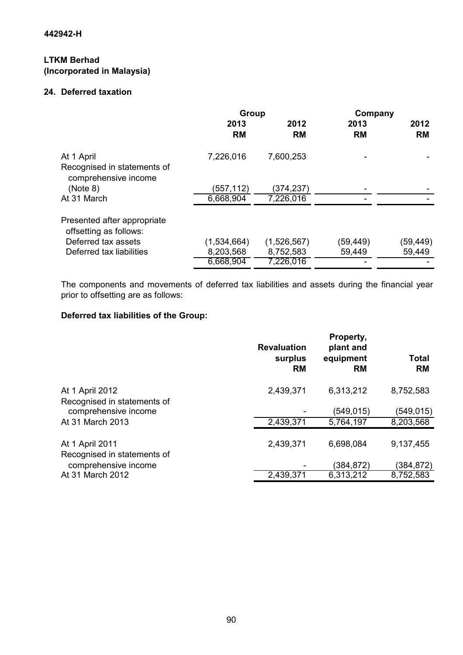# **24. Deferred taxation**

|                                                                   | Group                    |                          | Company            |                    |
|-------------------------------------------------------------------|--------------------------|--------------------------|--------------------|--------------------|
|                                                                   | 2013<br><b>RM</b>        | 2012<br><b>RM</b>        | 2013<br><b>RM</b>  | 2012<br><b>RM</b>  |
| At 1 April<br>Recognised in statements of<br>comprehensive income | 7,226,016                | 7,600,253                |                    |                    |
| (Note 8)<br>At 31 March                                           | (557,112)<br>6,668,904   | (374,237)<br>7,226,016   |                    |                    |
| Presented after appropriate<br>offsetting as follows:             |                          |                          |                    |                    |
| Deferred tax assets<br>Deferred tax liabilities                   | (1,534,664)<br>8,203,568 | (1,526,567)<br>8,752,583 | (59,449)<br>59,449 | (59,449)<br>59,449 |
|                                                                   | 6,668,904                | 7,226,016                |                    |                    |

The components and movements of deferred tax liabilities and assets during the financial year prior to offsetting are as follows:

# **Deferred tax liabilities of the Group:**

|                                                     | <b>Revaluation</b><br>surplus<br><b>RM</b> | Property,<br>plant and<br>equipment<br><b>RM</b> | <b>Total</b><br><b>RM</b> |
|-----------------------------------------------------|--------------------------------------------|--------------------------------------------------|---------------------------|
| At 1 April 2012                                     | 2,439,371                                  | 6,313,212                                        | 8,752,583                 |
| Recognised in statements of<br>comprehensive income |                                            | (549,015)                                        | (549, 015)                |
| At 31 March 2013                                    | 2,439,371                                  | 5,764,197                                        | 8,203,568                 |
| At 1 April 2011<br>Recognised in statements of      | 2,439,371                                  | 6,698,084                                        | 9,137,455                 |
| comprehensive income                                |                                            | (384,872)                                        | (384, 872)                |
| At 31 March 2012                                    | 2,439,371                                  | 6,313,212                                        | 8,752,583                 |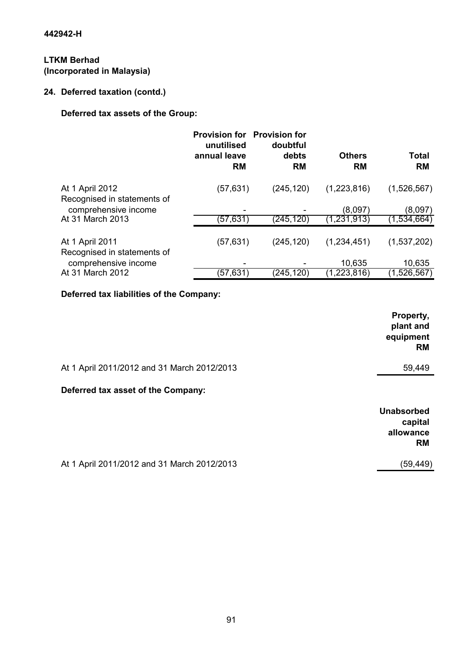# **24. Deferred taxation (contd.)**

# **Deferred tax assets of the Group:**

|                                                | <b>Provision for Provision for</b><br>unutilised<br>annual leave<br><b>RM</b> | doubtful<br>debts<br><b>RM</b> | <b>Others</b><br><b>RM</b> | <b>Total</b><br><b>RM</b> |
|------------------------------------------------|-------------------------------------------------------------------------------|--------------------------------|----------------------------|---------------------------|
| At 1 April 2012<br>Recognised in statements of | (57,631)                                                                      | (245, 120)                     | (1,223,816)                | (1,526,567)               |
| comprehensive income                           |                                                                               |                                | (8.097)                    | (8,097)                   |
| At 31 March 2013                               | (57,631)                                                                      | (245, 120)                     | (1,231,913)                | (1,534,664)               |
| At 1 April 2011<br>Recognised in statements of | (57, 631)                                                                     | (245, 120)                     | (1,234,451)                | (1,537,202)               |
| comprehensive income                           |                                                                               |                                | 10,635                     | 10,635                    |
| At 31 March 2012                               | (57,631)                                                                      | (245, 120)                     | (1, 223, 816)              | (1,526,567)               |

# **Deferred tax liabilities of the Company:**

|                                             | Property,<br>plant and<br>equipment<br><b>RM</b> |
|---------------------------------------------|--------------------------------------------------|
| At 1 April 2011/2012 and 31 March 2012/2013 | 59,449                                           |
| Deferred tax asset of the Company:          |                                                  |
|                                             |                                                  |

| Unabsorbed |
|------------|
| capital    |
| allowance  |
| RM         |

At 1 April 2011/2012 and 31 March 2012/2013 (59,449)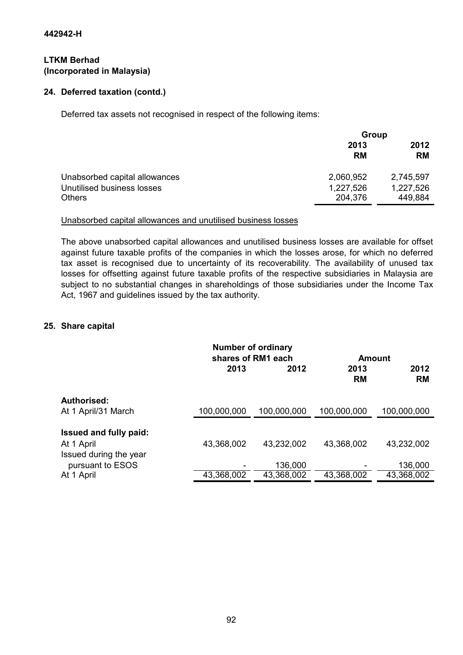## **24. Deferred taxation (contd.)**

Deferred tax assets not recognised in respect of the following items:

|                               | Group             |                   |  |
|-------------------------------|-------------------|-------------------|--|
|                               | 2013<br><b>RM</b> | 2012<br><b>RM</b> |  |
| Unabsorbed capital allowances | 2,060,952         | 2,745,597         |  |
| Unutilised business losses    | 1,227,526         | 1,227,526         |  |
| <b>Others</b>                 | 204,376           | 449,884           |  |

### Unabsorbed capital allowances and unutilised business losses

The above unabsorbed capital allowances and unutilised business losses are available for offset against future taxable profits of the companies in which the losses arose, for which no deferred tax asset is recognised due to uncertainty of its recoverability. The availability of unused tax losses for offsetting against future taxable profits of the respective subsidiaries in Malaysia are subject to no substantial changes in shareholdings of those subsidiaries under the Income Tax Act, 1967 and guidelines issued by the tax authority.

### **25. Share capital**

|                                            |             | <b>Number of ordinary</b><br>shares of RM1 each |                   | <b>Amount</b>     |  |
|--------------------------------------------|-------------|-------------------------------------------------|-------------------|-------------------|--|
|                                            | 2013        | 2012                                            | 2013<br><b>RM</b> | 2012<br><b>RM</b> |  |
| <b>Authorised:</b>                         |             |                                                 |                   |                   |  |
| At 1 April/31 March                        | 100,000,000 | 100,000,000                                     | 100,000,000       | 100,000,000       |  |
| <b>Issued and fully paid:</b>              |             |                                                 |                   |                   |  |
| At 1 April                                 | 43,368,002  | 43,232,002                                      | 43,368,002        | 43,232,002        |  |
| Issued during the year<br>pursuant to ESOS |             | 136,000                                         |                   | 136,000           |  |
| At 1 April                                 | 43,368,002  | 43,368,002                                      | 43,368,002        | 43,368,002        |  |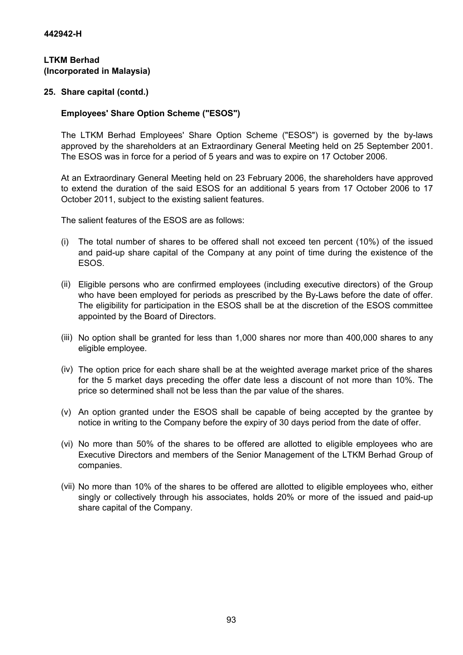# **25. Share capital (contd.)**

# **Employees' Share Option Scheme ("ESOS")**

The LTKM Berhad Employees' Share Option Scheme ("ESOS") is governed by the by-laws approved by the shareholders at an Extraordinary General Meeting held on 25 September 2001. The ESOS was in force for a period of 5 years and was to expire on 17 October 2006.

At an Extraordinary General Meeting held on 23 February 2006, the shareholders have approved to extend the duration of the said ESOS for an additional 5 years from 17 October 2006 to 17 October 2011, subject to the existing salient features.

The salient features of the ESOS are as follows:

- (i) The total number of shares to be offered shall not exceed ten percent (10%) of the issued and paid-up share capital of the Company at any point of time during the existence of the ESOS.
- (ii) Eligible persons who are confirmed employees (including executive directors) of the Group who have been employed for periods as prescribed by the By-Laws before the date of offer. The eligibility for participation in the ESOS shall be at the discretion of the ESOS committee appointed by the Board of Directors.
- (iii) No option shall be granted for less than 1,000 shares nor more than 400,000 shares to any eligible employee.
- (iv) The option price for each share shall be at the weighted average market price of the shares for the 5 market days preceding the offer date less a discount of not more than 10%. The price so determined shall not be less than the par value of the shares.
- (v) An option granted under the ESOS shall be capable of being accepted by the grantee by notice in writing to the Company before the expiry of 30 days period from the date of offer.
- (vi) No more than 50% of the shares to be offered are allotted to eligible employees who are Executive Directors and members of the Senior Management of the LTKM Berhad Group of companies.
- (vii) No more than 10% of the shares to be offered are allotted to eligible employees who, either singly or collectively through his associates, holds 20% or more of the issued and paid-up share capital of the Company.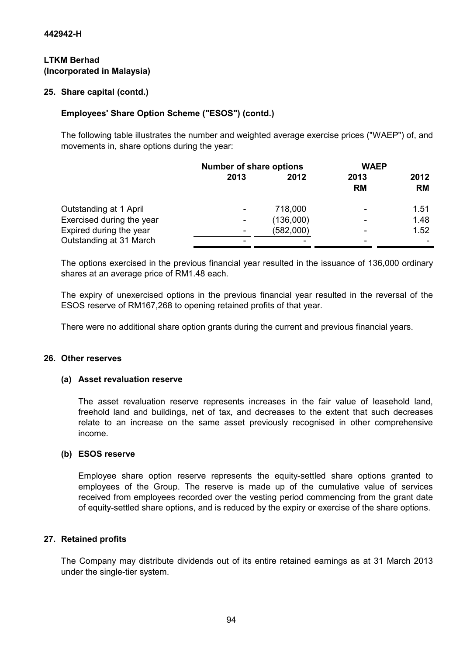# **25. Share capital (contd.)**

# **Employees' Share Option Scheme ("ESOS") (contd.)**

The following table illustrates the number and weighted average exercise prices ("WAEP") of, and movements in, share options during the year:

|                           | <b>Number of share options</b> |           | <b>WAEP</b>       |                   |
|---------------------------|--------------------------------|-----------|-------------------|-------------------|
|                           | 2013                           | 2012      | 2013<br><b>RM</b> | 2012<br><b>RM</b> |
| Outstanding at 1 April    | ۰                              | 718,000   |                   | 1.51              |
| Exercised during the year | ۰                              | (136,000) |                   | 1.48              |
| Expired during the year   | $\overline{\phantom{0}}$       | (582,000) |                   | 1.52              |
| Outstanding at 31 March   |                                |           |                   |                   |

The options exercised in the previous financial year resulted in the issuance of 136,000 ordinary shares at an average price of RM1.48 each.

The expiry of unexercised options in the previous financial year resulted in the reversal of the ESOS reserve of RM167,268 to opening retained profits of that year.

There were no additional share option grants during the current and previous financial years.

### **26. Other reserves**

### **(a) Asset revaluation reserve**

The asset revaluation reserve represents increases in the fair value of leasehold land, freehold land and buildings, net of tax, and decreases to the extent that such decreases relate to an increase on the same asset previously recognised in other comprehensive income.

#### **(b) ESOS reserve**

Employee share option reserve represents the equity-settled share options granted to employees of the Group. The reserve is made up of the cumulative value of services received from employees recorded over the vesting period commencing from the grant date of equity-settled share options, and is reduced by the expiry or exercise of the share options.

#### **27. Retained profits**

The Company may distribute dividends out of its entire retained earnings as at 31 March 2013 under the single-tier system.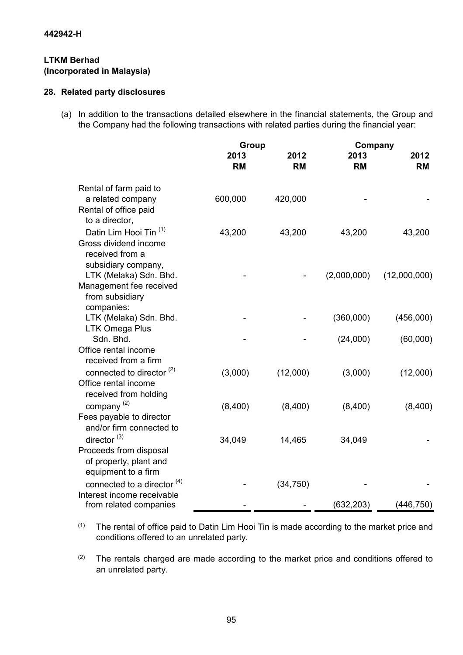## **28. Related party disclosures**

(a) In addition to the transactions detailed elsewhere in the financial statements, the Group and the Company had the following transactions with related parties during the financial year:

|                                                                                       | Group             |                   |                   | Company           |  |
|---------------------------------------------------------------------------------------|-------------------|-------------------|-------------------|-------------------|--|
|                                                                                       | 2013<br><b>RM</b> | 2012<br><b>RM</b> | 2013<br><b>RM</b> | 2012<br><b>RM</b> |  |
| Rental of farm paid to                                                                |                   |                   |                   |                   |  |
| a related company<br>Rental of office paid<br>to a director,                          | 600,000           | 420,000           |                   |                   |  |
| Datin Lim Hooi Tin <sup>(1)</sup><br>Gross dividend income<br>received from a         | 43,200            | 43,200            | 43,200            | 43,200            |  |
| subsidiary company,<br>LTK (Melaka) Sdn. Bhd.                                         |                   |                   | (2,000,000)       | (12,000,000)      |  |
| Management fee received<br>from subsidiary<br>companies:                              |                   |                   |                   |                   |  |
| LTK (Melaka) Sdn. Bhd.                                                                |                   |                   | (360,000)         | (456,000)         |  |
| <b>LTK Omega Plus</b><br>Sdn. Bhd.                                                    |                   |                   | (24,000)          | (60,000)          |  |
| Office rental income<br>received from a firm                                          |                   |                   |                   |                   |  |
| connected to director <sup>(2)</sup><br>Office rental income<br>received from holding | (3,000)           | (12,000)          | (3,000)           | (12,000)          |  |
| company <sup>(2)</sup><br>Fees payable to director                                    | (8,400)           | (8,400)           | (8,400)           | (8,400)           |  |
| and/or firm connected to<br>director $^{(3)}$                                         | 34,049            | 14,465            | 34,049            |                   |  |
| Proceeds from disposal<br>of property, plant and<br>equipment to a firm               |                   |                   |                   |                   |  |
| connected to a director $(4)$                                                         |                   | (34, 750)         |                   |                   |  |
| Interest income receivable<br>from related companies                                  |                   |                   | (632, 203)        | (446, 750)        |  |

(1) The rental of office paid to Datin Lim Hooi Tin is made according to the market price and conditions offered to an unrelated party.

 $(2)$  The rentals charged are made according to the market price and conditions offered to an unrelated party.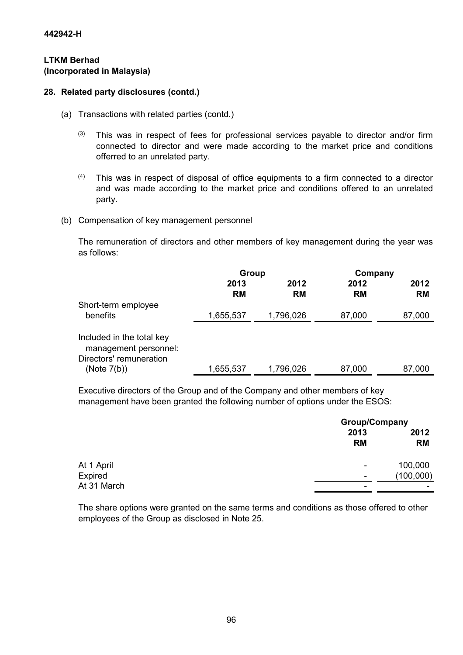# **28. Related party disclosures (contd.)**

- (a) Transactions with related parties (contd.)
	- (3) This was in respect of fees for professional services payable to director and/or firm connected to director and were made according to the market price and conditions offerred to an unrelated party.
	- (4) This was in respect of disposal of office equipments to a firm connected to a director and was made according to the market price and conditions offered to an unrelated party.
- (b) Compensation of key management personnel

The remuneration of directors and other members of key management during the year was as follows:

|                                                                                              | Group             |                   | Company           |                   |
|----------------------------------------------------------------------------------------------|-------------------|-------------------|-------------------|-------------------|
|                                                                                              | 2013<br><b>RM</b> | 2012<br><b>RM</b> | 2012<br><b>RM</b> | 2012<br><b>RM</b> |
| Short-term employee<br>benefits                                                              | 1,655,537         | 1,796,026         | 87,000            | 87,000            |
| Included in the total key<br>management personnel:<br>Directors' remuneration<br>(Note 7(b)) | 1,655,537         | 1,796,026         | 87,000            | 87,000            |

Executive directors of the Group and of the Company and other members of key management have been granted the following number of options under the ESOS:

|             | <b>Group/Company</b> |                   |
|-------------|----------------------|-------------------|
|             | 2013<br><b>RM</b>    | 2012<br><b>RM</b> |
| At 1 April  | -                    | 100,000           |
| Expired     | -                    | (100,000)         |
| At 31 March | -                    | -                 |

The share options were granted on the same terms and conditions as those offered to other employees of the Group as disclosed in Note 25.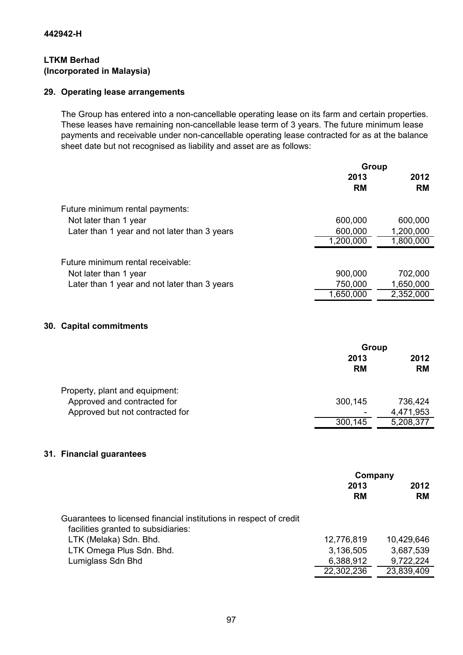## **29. Operating lease arrangements**

The Group has entered into a non-cancellable operating lease on its farm and certain properties. These leases have remaining non-cancellable lease term of 3 years. The future minimum lease payments and receivable under non-cancellable operating lease contracted for as at the balance sheet date but not recognised as liability and asset are as follows:

|                                              | Group             |                   |  |
|----------------------------------------------|-------------------|-------------------|--|
|                                              | 2013<br><b>RM</b> | 2012<br><b>RM</b> |  |
| Future minimum rental payments:              |                   |                   |  |
| Not later than 1 year                        | 600,000           | 600,000           |  |
| Later than 1 year and not later than 3 years | 600,000           | 1,200,000         |  |
|                                              | 1,200,000         | 1,800,000         |  |
| Future minimum rental receivable:            |                   |                   |  |
| Not later than 1 year                        | 900,000           | 702,000           |  |
| Later than 1 year and not later than 3 years | 750,000           | 1,650,000         |  |
|                                              | 1,650,000         | 2,352,000         |  |

# **30. Capital commitments**

|                                 | Group             |                   |
|---------------------------------|-------------------|-------------------|
|                                 | 2013<br><b>RM</b> | 2012<br><b>RM</b> |
| Property, plant and equipment:  |                   |                   |
| Approved and contracted for     | 300,145           | 736,424           |
| Approved but not contracted for |                   | 4,471,953         |
|                                 | 300,145           | 5,208,377         |

## **31. Financial guarantees**

|                                                                                                           | Company           |                   |
|-----------------------------------------------------------------------------------------------------------|-------------------|-------------------|
|                                                                                                           | 2013<br><b>RM</b> | 2012<br><b>RM</b> |
| Guarantees to licensed financial institutions in respect of credit<br>facilities granted to subsidiaries: |                   |                   |
| LTK (Melaka) Sdn. Bhd.                                                                                    | 12,776,819        | 10,429,646        |
| LTK Omega Plus Sdn. Bhd.                                                                                  | 3,136,505         | 3,687,539         |
| Lumiglass Sdn Bhd                                                                                         | 6,388,912         | 9,722,224         |
|                                                                                                           | 22,302,236        | 23,839,409        |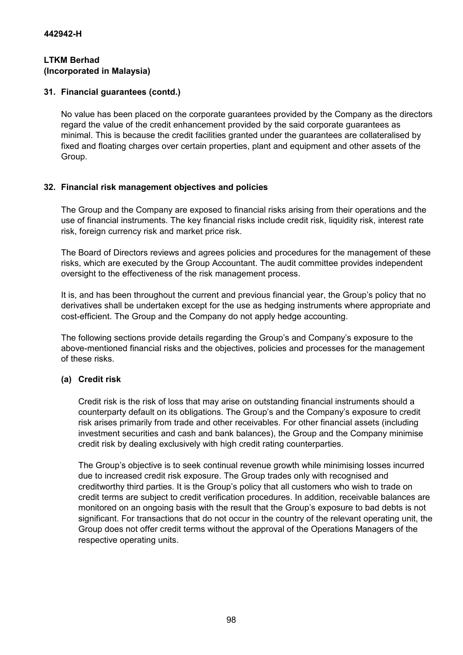# **31. Financial guarantees (contd.)**

No value has been placed on the corporate guarantees provided by the Company as the directors regard the value of the credit enhancement provided by the said corporate guarantees as minimal. This is because the credit facilities granted under the guarantees are collateralised by fixed and floating charges over certain properties, plant and equipment and other assets of the Group.

# **32. Financial risk management objectives and policies**

The Group and the Company are exposed to financial risks arising from their operations and the use of financial instruments. The key financial risks include credit risk, liquidity risk, interest rate risk, foreign currency risk and market price risk.

The Board of Directors reviews and agrees policies and procedures for the management of these risks, which are executed by the Group Accountant. The audit committee provides independent oversight to the effectiveness of the risk management process.

It is, and has been throughout the current and previous financial year, the Group's policy that no derivatives shall be undertaken except for the use as hedging instruments where appropriate and cost-efficient. The Group and the Company do not apply hedge accounting.

The following sections provide details regarding the Group's and Company's exposure to the above-mentioned financial risks and the objectives, policies and processes for the management of these risks.

# **(a) Credit risk**

Credit risk is the risk of loss that may arise on outstanding financial instruments should a counterparty default on its obligations. The Group's and the Company's exposure to credit risk arises primarily from trade and other receivables. For other financial assets (including investment securities and cash and bank balances), the Group and the Company minimise credit risk by dealing exclusively with high credit rating counterparties.

The Group's objective is to seek continual revenue growth while minimising losses incurred due to increased credit risk exposure. The Group trades only with recognised and creditworthy third parties. It is the Group's policy that all customers who wish to trade on credit terms are subject to credit verification procedures. In addition, receivable balances are monitored on an ongoing basis with the result that the Group's exposure to bad debts is not significant. For transactions that do not occur in the country of the relevant operating unit, the Group does not offer credit terms without the approval of the Operations Managers of the respective operating units.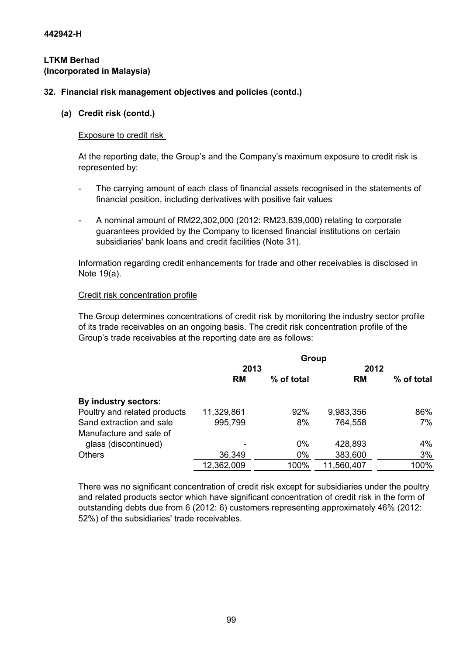## **32. Financial risk management objectives and policies (contd.)**

# **(a) Credit risk (contd.)**

## Exposure to credit risk

At the reporting date, the Group's and the Company's maximum exposure to credit risk is represented by:

- The carrying amount of each class of financial assets recognised in the statements of financial position, including derivatives with positive fair values
- A nominal amount of RM22,302,000 (2012: RM23,839,000) relating to corporate guarantees provided by the Company to licensed financial institutions on certain subsidiaries' bank loans and credit facilities (Note 31).

Information regarding credit enhancements for trade and other receivables is disclosed in Note 19(a).

### Credit risk concentration profile

The Group determines concentrations of credit risk by monitoring the industry sector profile of its trade receivables on an ongoing basis. The credit risk concentration profile of the Group's trade receivables at the reporting date are as follows:

|                              | Group      |            |            |            |
|------------------------------|------------|------------|------------|------------|
|                              | 2013       |            | 2012       |            |
|                              | <b>RM</b>  | % of total | <b>RM</b>  | % of total |
| By industry sectors:         |            |            |            |            |
| Poultry and related products | 11,329,861 | 92%        | 9,983,356  | 86%        |
| Sand extraction and sale     | 995,799    | 8%         | 764,558    | 7%         |
| Manufacture and sale of      |            |            |            |            |
| glass (discontinued)         |            | 0%         | 428,893    | 4%         |
| <b>Others</b>                | 36,349     | $0\%$      | 383,600    | 3%         |
|                              | 12,362,009 | 100%       | 11,560,407 | 100%       |

There was no significant concentration of credit risk except for subsidiaries under the poultry and related products sector which have significant concentration of credit risk in the form of outstanding debts due from 6 (2012: 6) customers representing approximately 46% (2012: 52%) of the subsidiaries' trade receivables.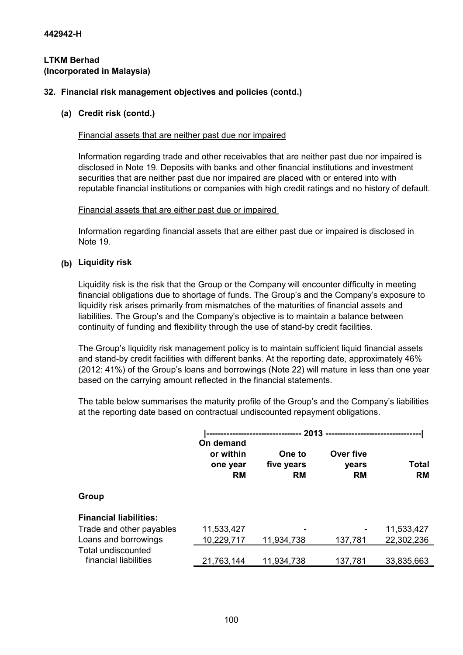# **32. Financial risk management objectives and policies (contd.)**

# **(a) Credit risk (contd.)**

### Financial assets that are neither past due nor impaired

Information regarding trade and other receivables that are neither past due nor impaired is disclosed in Note 19. Deposits with banks and other financial institutions and investment securities that are neither past due nor impaired are placed with or entered into with reputable financial institutions or companies with high credit ratings and no history of default.

### Financial assets that are either past due or impaired

Information regarding financial assets that are either past due or impaired is disclosed in Note 19.

### **(b) Liquidity risk**

Liquidity risk is the risk that the Group or the Company will encounter difficulty in meeting financial obligations due to shortage of funds. The Group's and the Company's exposure to liquidity risk arises primarily from mismatches of the maturities of financial assets and liabilities. The Group's and the Company's objective is to maintain a balance between continuity of funding and flexibility through the use of stand-by credit facilities.

The Group's liquidity risk management policy is to maintain sufficient liquid financial assets and stand-by credit facilities with different banks. At the reporting date, approximately 46% (2012: 41%) of the Group's loans and borrowings (Note 22) will mature in less than one year based on the carrying amount reflected in the financial statements.

The table below summarises the maturity profile of the Group's and the Company's liabilities at the reporting date based on contractual undiscounted repayment obligations.

|                                             | 2013 -------------------------------            |                                   |                                 |                           |
|---------------------------------------------|-------------------------------------------------|-----------------------------------|---------------------------------|---------------------------|
|                                             | On demand<br>or within<br>one year<br><b>RM</b> | One to<br>five years<br><b>RM</b> | Over five<br>years<br><b>RM</b> | <b>Total</b><br><b>RM</b> |
| Group                                       |                                                 |                                   |                                 |                           |
| <b>Financial liabilities:</b>               |                                                 |                                   |                                 |                           |
| Trade and other payables                    | 11,533,427                                      |                                   | $\qquad \qquad \blacksquare$    | 11,533,427                |
| Loans and borrowings                        | 10,229,717                                      | 11,934,738                        | 137,781                         | 22,302,236                |
| Total undiscounted<br>financial liabilities | 21,763,144                                      | 11,934,738                        | 137,781                         | 33,835,663                |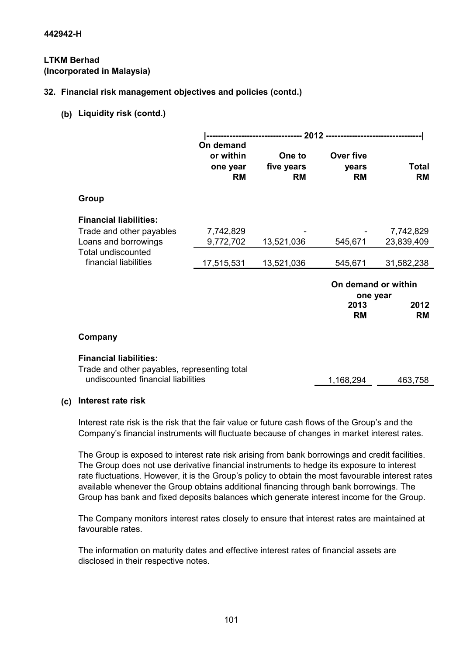# **32. Financial risk management objectives and policies (contd.)**

**(b) Liquidity risk (contd.)**

|                                                                                    | On demand                          |                                   |                                 |                    |  |
|------------------------------------------------------------------------------------|------------------------------------|-----------------------------------|---------------------------------|--------------------|--|
|                                                                                    | or within<br>one year<br><b>RM</b> | One to<br>five years<br><b>RM</b> | Over five<br>years<br><b>RM</b> | Total<br><b>RM</b> |  |
| Group                                                                              |                                    |                                   |                                 |                    |  |
| <b>Financial liabilities:</b>                                                      |                                    |                                   |                                 |                    |  |
| Trade and other payables                                                           | 7,742,829                          |                                   |                                 | 7,742,829          |  |
| Loans and borrowings                                                               | 9,772,702                          | 13,521,036                        | 545,671                         | 23,839,409         |  |
| Total undiscounted<br>financial liabilities                                        | 17,515,531                         | 13,521,036                        | 545,671                         | 31,582,238         |  |
|                                                                                    |                                    |                                   | On demand or within             |                    |  |
|                                                                                    |                                    |                                   | one year<br>2013<br><b>RM</b>   | 2012<br><b>RM</b>  |  |
| Company                                                                            |                                    |                                   |                                 |                    |  |
| <b>Financial liabilities:</b>                                                      |                                    |                                   |                                 |                    |  |
| Trade and other payables, representing total<br>undiscounted financial liabilities |                                    |                                   | 1,168,294                       | 463,758            |  |

### **(c) Interest rate risk**

Interest rate risk is the risk that the fair value or future cash flows of the Group's and the Company's financial instruments will fluctuate because of changes in market interest rates.

The Group is exposed to interest rate risk arising from bank borrowings and credit facilities. The Group does not use derivative financial instruments to hedge its exposure to interest rate fluctuations. However, it is the Group's policy to obtain the most favourable interest rates available whenever the Group obtains additional financing through bank borrowings. The Group has bank and fixed deposits balances which generate interest income for the Group.

The Company monitors interest rates closely to ensure that interest rates are maintained at favourable rates.

The information on maturity dates and effective interest rates of financial assets are disclosed in their respective notes.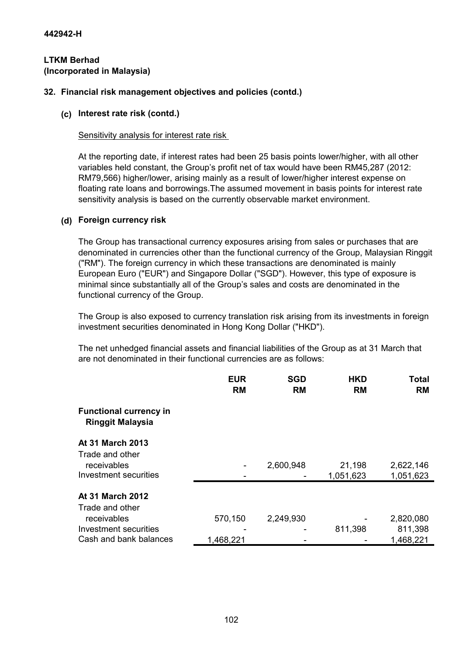# **32. Financial risk management objectives and policies (contd.)**

## **(c) Interest rate risk (contd.)**

### Sensitivity analysis for interest rate risk

At the reporting date, if interest rates had been 25 basis points lower/higher, with all other variables held constant, the Group's profit net of tax would have been RM45,287 (2012: RM79,566) higher/lower, arising mainly as a result of lower/higher interest expense on floating rate loans and borrowings.The assumed movement in basis points for interest rate sensitivity analysis is based on the currently observable market environment.

### **(d) Foreign currency risk**

The Group has transactional currency exposures arising from sales or purchases that are denominated in currencies other than the functional currency of the Group, Malaysian Ringgit ("RM"). The foreign currency in which these transactions are denominated is mainly European Euro ("EUR") and Singapore Dollar ("SGD"). However, this type of exposure is minimal since substantially all of the Group's sales and costs are denominated in the functional currency of the Group.

The Group is also exposed to currency translation risk arising from its investments in foreign investment securities denominated in Hong Kong Dollar ("HKD").

The net unhedged financial assets and financial liabilities of the Group as at 31 March that are not denominated in their functional currencies are as follows:

|                                                          | <b>EUR</b><br><b>RM</b> | <b>SGD</b><br><b>RM</b> | <b>HKD</b><br><b>RM</b> | <b>Total</b><br><b>RM</b> |
|----------------------------------------------------------|-------------------------|-------------------------|-------------------------|---------------------------|
| <b>Functional currency in</b><br><b>Ringgit Malaysia</b> |                         |                         |                         |                           |
| <b>At 31 March 2013</b>                                  |                         |                         |                         |                           |
| Trade and other                                          |                         |                         |                         |                           |
| receivables                                              |                         | 2,600,948               | 21,198                  | 2,622,146                 |
| Investment securities                                    |                         |                         | 1,051,623               | 1,051,623                 |
| <b>At 31 March 2012</b>                                  |                         |                         |                         |                           |
| Trade and other                                          |                         |                         |                         |                           |
| receivables                                              | 570,150                 | 2,249,930               |                         | 2,820,080                 |
| Investment securities                                    |                         |                         | 811,398                 | 811,398                   |
| Cash and bank balances                                   | 1,468,221               |                         |                         | 1,468,221                 |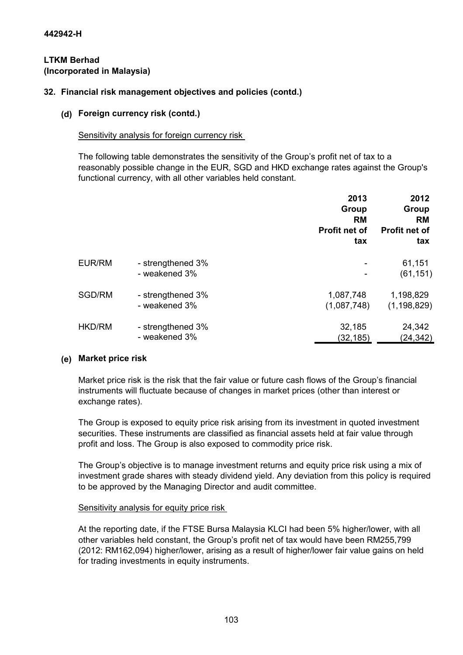# **32. Financial risk management objectives and policies (contd.)**

# **(d) Foreign currency risk (contd.)**

## Sensitivity analysis for foreign currency risk

The following table demonstrates the sensitivity of the Group's profit net of tax to a reasonably possible change in the EUR, SGD and HKD exchange rates against the Group's functional currency, with all other variables held constant.

|               |                                    | 2013<br>Group<br><b>RM</b><br><b>Profit net of</b><br>tax | 2012<br>Group<br><b>RM</b><br>Profit net of<br>tax |
|---------------|------------------------------------|-----------------------------------------------------------|----------------------------------------------------|
| <b>EUR/RM</b> | - strengthened 3%<br>- weakened 3% |                                                           | 61,151<br>(61, 151)                                |
| <b>SGD/RM</b> | - strengthened 3%                  | 1,087,748                                                 | 1,198,829                                          |
|               | - weakened 3%                      | (1,087,748)                                               | (1, 198, 829)                                      |
| <b>HKD/RM</b> | - strengthened 3%                  | 32,185                                                    | 24,342                                             |
|               | - weakened 3%                      | (32, 185)                                                 | (24, 342)                                          |

### **(e) Market price risk**

Market price risk is the risk that the fair value or future cash flows of the Group's financial instruments will fluctuate because of changes in market prices (other than interest or exchange rates).

The Group is exposed to equity price risk arising from its investment in quoted investment securities. These instruments are classified as financial assets held at fair value through profit and loss. The Group is also exposed to commodity price risk.

The Group's objective is to manage investment returns and equity price risk using a mix of investment grade shares with steady dividend yield. Any deviation from this policy is required to be approved by the Managing Director and audit committee.

### Sensitivity analysis for equity price risk

At the reporting date, if the FTSE Bursa Malaysia KLCI had been 5% higher/lower, with all other variables held constant, the Group's profit net of tax would have been RM255,799 (2012: RM162,094) higher/lower, arising as a result of higher/lower fair value gains on held for trading investments in equity instruments.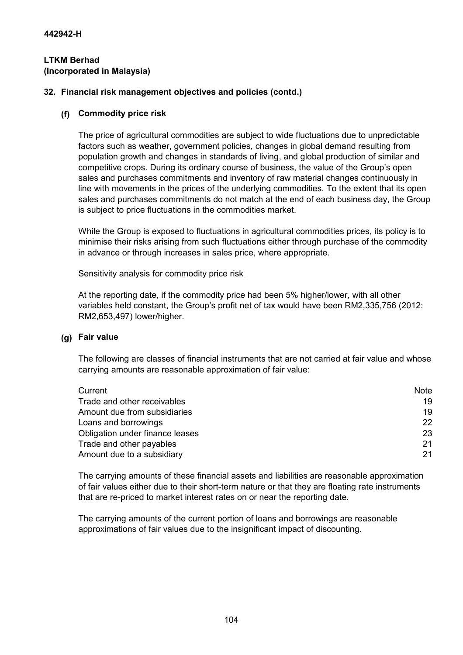# **32. Financial risk management objectives and policies (contd.)**

# **(f) Commodity price risk**

The price of agricultural commodities are subject to wide fluctuations due to unpredictable factors such as weather, government policies, changes in global demand resulting from population growth and changes in standards of living, and global production of similar and competitive crops. During its ordinary course of business, the value of the Group's open sales and purchases commitments and inventory of raw material changes continuously in line with movements in the prices of the underlying commodities. To the extent that its open sales and purchases commitments do not match at the end of each business day, the Group is subject to price fluctuations in the commodities market.

While the Group is exposed to fluctuations in agricultural commodities prices, its policy is to minimise their risks arising from such fluctuations either through purchase of the commodity in advance or through increases in sales price, where appropriate.

### Sensitivity analysis for commodity price risk

At the reporting date, if the commodity price had been 5% higher/lower, with all other variables held constant, the Group's profit net of tax would have been RM2,335,756 (2012: RM2,653,497) lower/higher.

### **(g) Fair value**

The following are classes of financial instruments that are not carried at fair value and whose carrying amounts are reasonable approximation of fair value:

| Current                         | Note |
|---------------------------------|------|
| Trade and other receivables     | 19   |
| Amount due from subsidiaries    | 19   |
| Loans and borrowings            | 22   |
| Obligation under finance leases | 23   |
| Trade and other payables        | 21   |
| Amount due to a subsidiary      | 21   |

The carrying amounts of these financial assets and liabilities are reasonable approximation of fair values either due to their short-term nature or that they are floating rate instruments that are re-priced to market interest rates on or near the reporting date.

The carrying amounts of the current portion of loans and borrowings are reasonable approximations of fair values due to the insignificant impact of discounting.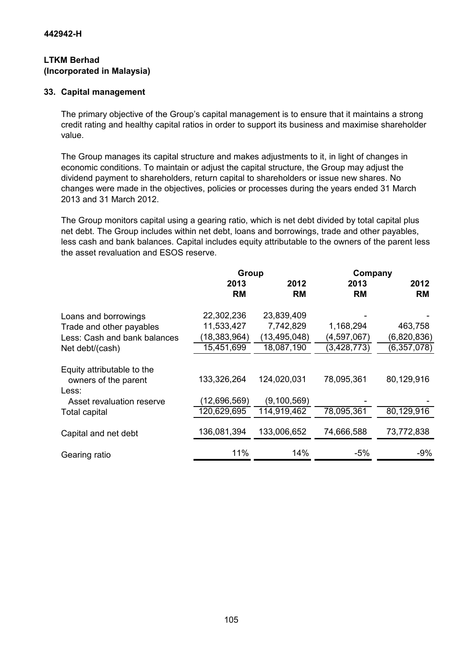## **33. Capital management**

The primary objective of the Group's capital management is to ensure that it maintains a strong credit rating and healthy capital ratios in order to support its business and maximise shareholder value.

The Group manages its capital structure and makes adjustments to it, in light of changes in economic conditions. To maintain or adjust the capital structure, the Group may adjust the dividend payment to shareholders, return capital to shareholders or issue new shares. No changes were made in the objectives, policies or processes during the years ended 31 March 2013 and 31 March 2012.

The Group monitors capital using a gearing ratio, which is net debt divided by total capital plus net debt. The Group includes within net debt, loans and borrowings, trade and other payables, less cash and bank balances. Capital includes equity attributable to the owners of the parent less the asset revaluation and ESOS reserve.

|                                                             | Group          |                | Company       |               |
|-------------------------------------------------------------|----------------|----------------|---------------|---------------|
|                                                             | 2013           | 2012           | 2013          | 2012          |
|                                                             | <b>RM</b>      | RM             | <b>RM</b>     | <b>RM</b>     |
| Loans and borrowings                                        | 22,302,236     | 23,839,409     |               |               |
| Trade and other payables                                    | 11,533,427     | 7,742,829      | 1,168,294     | 463,758       |
| Less: Cash and bank balances                                | (18, 383, 964) | (13, 495, 048) | (4,597,067)   | (6,820,836)   |
| Net debt/(cash)                                             | 15,451,699     | 18,087,190     | (3, 428, 773) | (6, 357, 078) |
| Equity attributable to the<br>owners of the parent<br>Less: | 133,326,264    | 124,020,031    | 78,095,361    | 80,129,916    |
| Asset revaluation reserve                                   | (12,696,569)   | (9, 100, 569)  |               |               |
| Total capital                                               | 120,629,695    | 114,919,462    | 78,095,361    | 80,129,916    |
| Capital and net debt                                        | 136,081,394    | 133,006,652    | 74,666,588    | 73,772,838    |
| Gearing ratio                                               | 11%            | 14%            | -5%           | $-9%$         |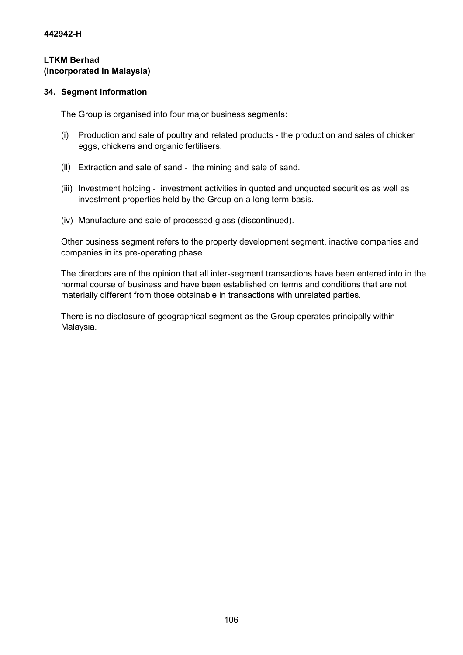## **34. Segment information**

The Group is organised into four major business segments:

- (i) Production and sale of poultry and related products the production and sales of chicken eggs, chickens and organic fertilisers.
- (ii) Extraction and sale of sand the mining and sale of sand.
- (iii) Investment holding investment activities in quoted and unquoted securities as well as investment properties held by the Group on a long term basis.
- (iv) Manufacture and sale of processed glass (discontinued).

Other business segment refers to the property development segment, inactive companies and companies in its pre-operating phase.

The directors are of the opinion that all inter-segment transactions have been entered into in the normal course of business and have been established on terms and conditions that are not materially different from those obtainable in transactions with unrelated parties.

There is no disclosure of geographical segment as the Group operates principally within Malaysia.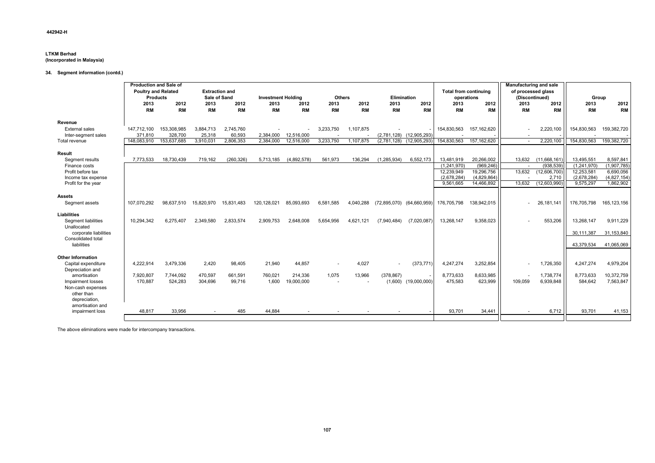#### **442942-H**

#### **LTKM Berhad (Incorporated in Malaysia)**

#### **34. Segment information (contd.)**

|                                           | <b>Production and Sale of</b><br><b>Poultry and Related</b><br><b>Products</b> |                        | <b>Extraction and</b><br>Sale of Sand |                     | <b>Investment Holding</b> |                          | Others                   |                   | Elimination                |                              | <b>Total from continuing</b><br>operations |                           | <b>Manufacturing and sale</b><br>of processed glass<br>(Discontinued) |                       | Group                     |                          |
|-------------------------------------------|--------------------------------------------------------------------------------|------------------------|---------------------------------------|---------------------|---------------------------|--------------------------|--------------------------|-------------------|----------------------------|------------------------------|--------------------------------------------|---------------------------|-----------------------------------------------------------------------|-----------------------|---------------------------|--------------------------|
|                                           | 2013<br><b>RM</b>                                                              | 2012<br><b>RM</b>      | 2013<br><b>RM</b>                     | 2012<br><b>RM</b>   | 2013<br><b>RM</b>         | 2012<br><b>RM</b>        | 2013<br><b>RM</b>        | 2012<br><b>RM</b> | 2013<br><b>RM</b>          | 2012<br><b>RM</b>            | 2013<br><b>RM</b>                          | 2012<br><b>RM</b>         | 2013<br><b>RM</b>                                                     | 2012<br><b>RM</b>     | 2013<br><b>RM</b>         | 2012<br><b>RM</b>        |
|                                           |                                                                                |                        |                                       |                     |                           |                          |                          |                   |                            |                              |                                            |                           |                                                                       |                       |                           |                          |
| Revenue                                   |                                                                                |                        |                                       |                     |                           |                          |                          |                   |                            |                              |                                            |                           |                                                                       |                       |                           |                          |
| External sales                            | 147,712,100                                                                    | 153,308,985            | 3,884,713                             | 2,745,760           |                           |                          | 3,233,750                | 1,107,875         |                            |                              | 154,830,563                                | 157, 162, 620             |                                                                       | 2,220,100             | 154,830,563               | 159,382,720              |
| Inter-segment sales<br>Total revenue      | 371.810<br>148,083,910                                                         | 328,700<br>153,637,685 | 25,318<br>3,910,031                   | 60,593<br>2,806,353 | 2,384,000<br>2,384,000    | 12,516,000<br>12,516,000 | 3,233,750                | 1,107,875         | (2.781.128)<br>(2,781,128) | (12,905,293)<br>(12,905,293) | 154,830,563                                | 157, 162, 620             |                                                                       | 2.220.100             | 154,830,563               | 159,382,720              |
|                                           |                                                                                |                        |                                       |                     |                           |                          |                          |                   |                            |                              |                                            |                           | $\sim$                                                                |                       |                           |                          |
| Result                                    |                                                                                |                        |                                       |                     |                           |                          |                          |                   |                            |                              |                                            |                           |                                                                       |                       |                           |                          |
| Segment results                           | 7.773.533                                                                      | 18.730.439             | 719.162                               | (260.326)           | 5.713.185                 | (4,892,578)              | 561.973                  | 136.294           | (1.285.934)                | 6,552,173                    | 13,481,919                                 | 20,266,002                | 13,632                                                                | (11,668,161)          | 13,495,551                | 8,597,841                |
| Finance costs                             |                                                                                |                        |                                       |                     |                           |                          |                          |                   |                            |                              | (1,241,970)                                | (969.246)                 |                                                                       | (938, 539)            | (1.241.970)               | (1,907,785)              |
| Profit before tax                         |                                                                                |                        |                                       |                     |                           |                          |                          |                   |                            |                              | 12,239,949<br>(2.678.284)                  | 19,296,756<br>(4.829.864) | 13,632                                                                | (12,606,700)          | 12.253.581<br>(2.678.284) | 6,690,056                |
| Income tax expense<br>Profit for the year |                                                                                |                        |                                       |                     |                           |                          |                          |                   |                            |                              | 9.561.665                                  | 14.466.892                | $\sim$<br>13.632                                                      | 2.710<br>(12,603,990) | 9.575.297                 | (4,827,154)<br>1.862.902 |
|                                           |                                                                                |                        |                                       |                     |                           |                          |                          |                   |                            |                              |                                            |                           |                                                                       |                       |                           |                          |
| <b>Assets</b>                             |                                                                                |                        |                                       |                     |                           |                          |                          |                   |                            |                              |                                            |                           |                                                                       |                       |                           |                          |
| Segment assets                            | 107.070.292                                                                    | 98.637.510             | 15.820.970                            | 15.831.483          | 120,128,021               | 85.093.693               | 6,581,585                | 4,040,288         | (72,895,070) (64,660,959)  |                              | 176,705,798                                | 138,942,015               |                                                                       | 26, 181, 141          | 176,705,798               | 165, 123, 156            |
|                                           |                                                                                |                        |                                       |                     |                           |                          |                          |                   |                            |                              |                                            |                           |                                                                       |                       |                           |                          |
| Liabilities<br>Segment liabilities        | 10,294,342                                                                     | 6.275.407              | 2,349,580                             | 2,833,574           | 2,909,753                 | 2.648.008                | 5,654,956                | 4,621,121         | (7,940,484)                | (7,020,087)                  | 13,268,147                                 | 9,358,023                 |                                                                       | 553,206               | 13,268,147                | 9,911,229                |
| Unallocated                               |                                                                                |                        |                                       |                     |                           |                          |                          |                   |                            |                              |                                            |                           | $\overline{\phantom{a}}$                                              |                       |                           |                          |
| corporate liabilities                     |                                                                                |                        |                                       |                     |                           |                          |                          |                   |                            |                              |                                            |                           |                                                                       |                       | 30.111.387                | 31,153,840               |
| Consolidated total                        |                                                                                |                        |                                       |                     |                           |                          |                          |                   |                            |                              |                                            |                           |                                                                       |                       |                           |                          |
| liabilities                               |                                                                                |                        |                                       |                     |                           |                          |                          |                   |                            |                              |                                            |                           |                                                                       |                       | 43,379,534                | 41,065,069               |
| <b>Other Information</b>                  |                                                                                |                        |                                       |                     |                           |                          |                          |                   |                            |                              |                                            |                           |                                                                       |                       |                           |                          |
| Capital expenditure                       | 4.222.914                                                                      | 3,479,336              | 2,420                                 | 98.405              | 21,940                    | 44,857                   | $\blacksquare$           | 4,027             | $\overline{\phantom{a}}$   | (373, 771)                   | 4,247,274                                  | 3,252,854                 |                                                                       | 1,726,350             | 4,247,274                 | 4,979,204                |
| Depreciation and                          |                                                                                |                        |                                       |                     |                           |                          |                          |                   |                            |                              |                                            |                           |                                                                       |                       |                           |                          |
| amortisation                              | 7,920,807                                                                      | 7,744,092              | 470,597                               | 661,591             | 760,021                   | 214,336                  | 1,075                    | 13,966            | (378, 867)                 |                              | 8,773,633                                  | 8,633,985                 |                                                                       | 1,738,774             | 8,773,633                 | 10,372,759               |
| Impairment losses                         | 170,887                                                                        | 524,283                | 304,696                               | 99,716              | 1,600                     | 19,000,000               | $\overline{\phantom{a}}$ |                   | (1,600)                    | (19,000,000)                 | 475,583                                    | 623,999                   | 109,059                                                               | 6,939,848             | 584.642                   | 7,563,847                |
| Non-cash expenses                         |                                                                                |                        |                                       |                     |                           |                          |                          |                   |                            |                              |                                            |                           |                                                                       |                       |                           |                          |
| other than                                |                                                                                |                        |                                       |                     |                           |                          |                          |                   |                            |                              |                                            |                           |                                                                       |                       |                           |                          |
| depreciation,<br>amortisation and         |                                                                                |                        |                                       |                     |                           |                          |                          |                   |                            |                              |                                            |                           |                                                                       |                       |                           |                          |
| impairment loss                           | 48.817                                                                         | 33.956                 |                                       | 485                 | 44,884                    |                          |                          |                   |                            |                              | 93,701                                     | 34,441                    |                                                                       | 6,712                 | 93,701                    | 41,153                   |
|                                           |                                                                                |                        |                                       |                     |                           |                          |                          |                   |                            |                              |                                            |                           |                                                                       |                       |                           |                          |

The above eliminations were made for intercompany transactions.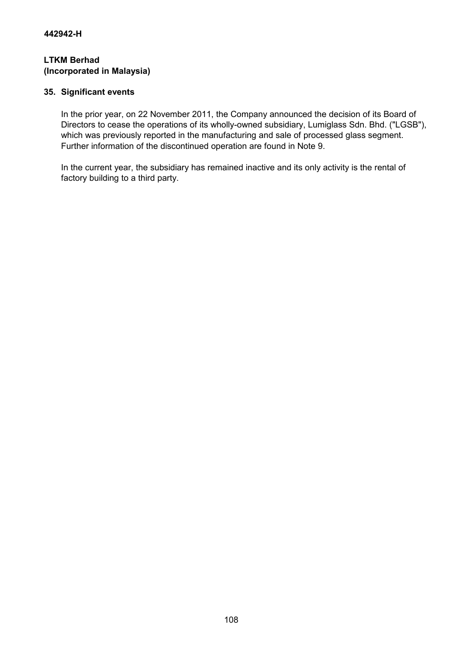## **LTKM Berhad (Incorporated in Malaysia)**

## **35. Significant events**

In the prior year, on 22 November 2011, the Company announced the decision of its Board of Directors to cease the operations of its wholly-owned subsidiary, Lumiglass Sdn. Bhd. ("LGSB"), which was previously reported in the manufacturing and sale of processed glass segment. Further information of the discontinued operation are found in Note 9.

In the current year, the subsidiary has remained inactive and its only activity is the rental of factory building to a third party.